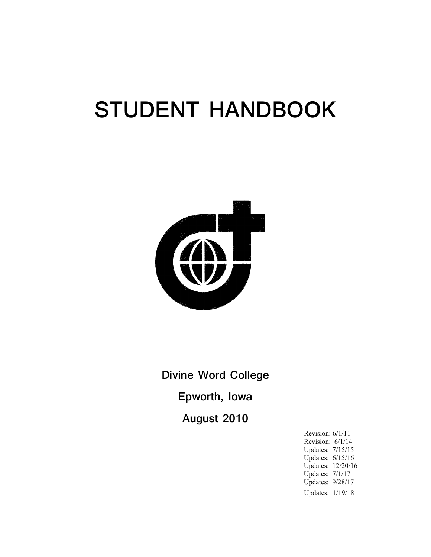# **STUDENT HANDBOOK**



**Divine Word College Epworth, Iowa August 2010**

> Revision: 6/1/11 Revision: 6/1/14 Updates: 7/15/15 Updates: 6/15/16 Updates: 12/20/16 Updates: 7/1/17 Updates: 9/28/17 Updates: 1/19/18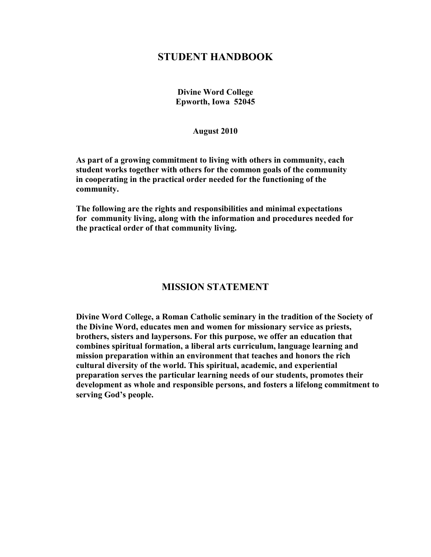# **STUDENT HANDBOOK**

**Divine Word College Epworth, Iowa 52045**

#### **August 2010**

**As part of a growing commitment to living with others in community, each student works together with others for the common goals of the community in cooperating in the practical order needed for the functioning of the community.**

**The following are the rights and responsibilities and minimal expectations for community living, along with the information and procedures needed for the practical order of that community living.**

## **MISSION STATEMENT**

**Divine Word College, a Roman Catholic seminary in the tradition of the Society of the Divine Word, educates men and women for missionary service as priests, brothers, sisters and laypersons. For this purpose, we offer an education that combines spiritual formation, a liberal arts curriculum, language learning and mission preparation within an environment that teaches and honors the rich cultural diversity of the world. This spiritual, academic, and experiential preparation serves the particular learning needs of our students, promotes their development as whole and responsible persons, and fosters a lifelong commitment to serving God's people.**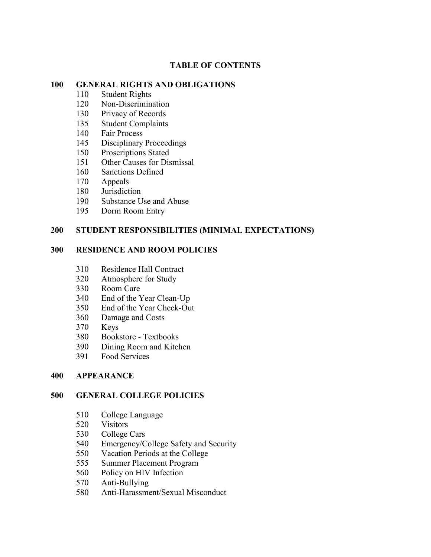#### **TABLE OF CONTENTS**

#### **GENERAL RIGHTS AND OBLIGATIONS**

- Student Rights
- Non-Discrimination
- Privacy of Records
- Student Complaints
- Fair Process
- Disciplinary Proceedings
- Proscriptions Stated
- 151 Other Causes for Dismissal
- Sanctions Defined
- Appeals
- Jurisdiction
- Substance Use and Abuse
- Dorm Room Entry

#### **STUDENT RESPONSIBILITIES (MINIMAL EXPECTATIONS)**

#### **RESIDENCE AND ROOM POLICIES**

- Residence Hall Contract
- Atmosphere for Study
- Room Care
- End of the Year Clean-Up
- End of the Year Check-Out
- Damage and Costs
- Keys
- Bookstore Textbooks
- 390 Dining Room and Kitchen<br>391 Food Services
- Food Services

#### **APPEARANCE**

#### **GENERAL COLLEGE POLICIES**

- College Language
- Visitors
- College Cars
- Emergency/College Safety and Security
- Vacation Periods at the College
- Summer Placement Program
- Policy on HIV Infection
- Anti-Bullying
- Anti-Harassment/Sexual Misconduct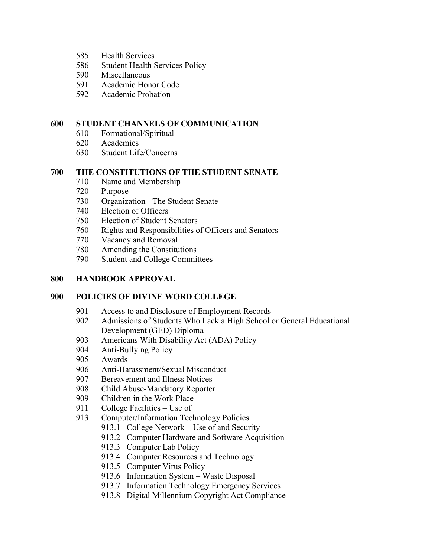- Health Services
- Student Health Services Policy
- Miscellaneous
- Academic Honor Code
- Academic Probation

## **STUDENT CHANNELS OF COMMUNICATION**

- Formational/Spiritual
- Academics
- Student Life/Concerns

## **THE CONSTITUTIONS OF THE STUDENT SENATE**

- Name and Membership
- Purpose
- Organization The Student Senate
- Election of Officers
- Election of Student Senators
- Rights and Responsibilities of Officers and Senators
- Vacancy and Removal
- Amending the Constitutions
- Student and College Committees

## **HANDBOOK APPROVAL**

## **POLICIES OF DIVINE WORD COLLEGE**

- Access to and Disclosure of Employment Records
- Admissions of Students Who Lack a High School or General Educational Development (GED) Diploma
- Americans With Disability Act (ADA) Policy
- Anti-Bullying Policy
- Awards
- Anti-Harassment/Sexual Misconduct
- Bereavement and Illness Notices
- Child Abuse-Mandatory Reporter
- Children in the Work Place
- College Facilities Use of
- 913 Computer/Information Technology Policies
	- 913.1 College Network Use of and Security
	- 913.2 Computer Hardware and Software Acquisition
	- 913.3 Computer Lab Policy
	- 913.4 Computer Resources and Technology
	- 913.5 Computer Virus Policy
	- 913.6 Information System Waste Disposal
	- 913.7 Information Technology Emergency Services
	- 913.8 Digital Millennium Copyright Act Compliance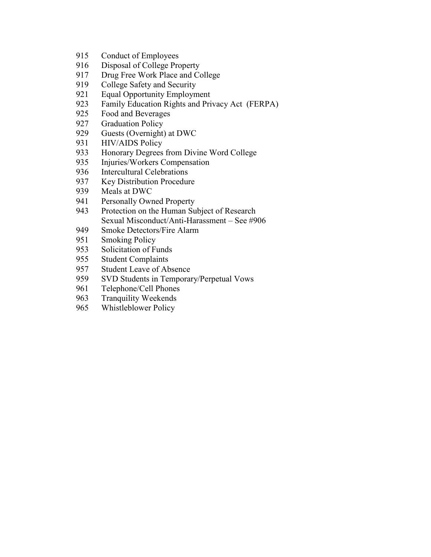- 915 Conduct of Employees
- 916 Disposal of College Property<br>917 Drug Free Work Place and Co
- Drug Free Work Place and College
- 919 College Safety and Security<br>921 Equal Opportunity Employm
- **Equal Opportunity Employment**
- 923 Family Education Rights and Privacy Act (FERPA)<br>925 Food and Beverages
- Food and Beverages
- 927 Graduation Policy<br>929 Guests (Overnight)
- Guests (Overnight) at DWC
- 931 HIV/AIDS Policy
- 933 Honorary Degrees from Divine Word College
- 935 Injuries/Workers Compensation
- 936 Intercultural Celebrations
- 937 Key Distribution Procedure<br>939 Meals at DWC
- Meals at DWC
- 941 Personally Owned Property
- 943 Protection on the Human Subject of Research Sexual Misconduct/Anti-Harassment – See #906
- 949 Smoke Detectors/Fire Alarm
- 951 Smoking Policy
- 953 Solicitation of Funds
- 955 Student Complaints
- 957 Student Leave of Absence<br>959 SVD Students in Temporar
- 959 SVD Students in Temporary/Perpetual Vows
- 961 Telephone/Cell Phones
- 963 Tranquility Weekends
- 965 Whistleblower Policy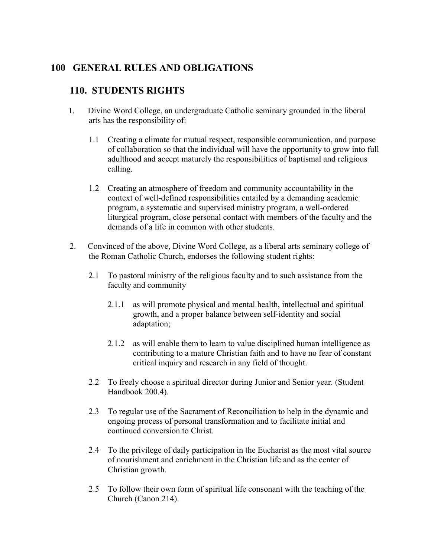# **100 GENERAL RULES AND OBLIGATIONS**

# **110. STUDENTS RIGHTS**

- 1.Divine Word College, an undergraduate Catholic seminary grounded in the liberal arts has the responsibility of:
	- 1.1 Creating a climate for mutual respect, responsible communication, and purpose of collaboration so that the individual will have the opportunity to grow into full adulthood and accept maturely the responsibilities of baptismal and religious calling.
	- 1.2 Creating an atmosphere of freedom and community accountability in the context of well-defined responsibilities entailed by a demanding academic program, a systematic and supervised ministry program, a well-ordered liturgical program, close personal contact with members of the faculty and the demands of a life in common with other students.
- 2. Convinced of the above, Divine Word College, as a liberal arts seminary college of the Roman Catholic Church, endorses the following student rights:
	- 2.1 To pastoral ministry of the religious faculty and to such assistance from the faculty and community
		- 2.1.1 as will promote physical and mental health, intellectual and spiritual growth, and a proper balance between self-identity and social adaptation;
		- 2.1.2 as will enable them to learn to value disciplined human intelligence as contributing to a mature Christian faith and to have no fear of constant critical inquiry and research in any field of thought.
	- 2.2 To freely choose a spiritual director during Junior and Senior year. (Student Handbook 200.4).
	- 2.3 To regular use of the Sacrament of Reconciliation to help in the dynamic and ongoing process of personal transformation and to facilitate initial and continued conversion to Christ.
	- 2.4 To the privilege of daily participation in the Eucharist as the most vital source of nourishment and enrichment in the Christian life and as the center of Christian growth.
	- 2.5 To follow their own form of spiritual life consonant with the teaching of the Church (Canon 214).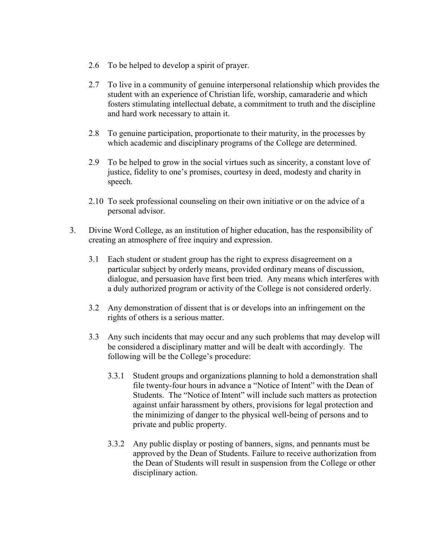- 2.6 To be helped to develop a spirit of prayer.
- 2.7 To live in a community of genuine interpersonal relationship which provides the student with an experience of Christian life, worship, camaraderie and which fosters stimulating intellectual debate, a commitment to truth and the discipline and hard work necessary to attain it.
- 2.8 To genuine participation, proportionate to their maturity, in the processes by which academic and disciplinary programs of the College are determined.
- 2.9 To be helped to grow in the social virtues such as sincerity, a constant love of justice, fidelity to one's promises, courtesy in deed, modesty and charity in speech.
- 2.10 To seek professional counseling on their own initiative or on the advice of a personal advisor.
- 3. Divine Word College, as an institution of higher education, has the responsibility of creating an atmosphere of free inquiry and expression.
	- 3.1 Each student or student group has the right to express disagreement on a particular subject by orderly means, provided ordinary means of discussion, dialogue, and persuasion have first been tried. Any means which interferes with a duly authorized program or activity of the College is not considered orderly.
	- 3.2 Any demonstration of dissent that is or develops into an infringement on the rights of others is a serious matter.
	- 3.3 Any such incidents that may occur and any such problems that may develop will be considered a disciplinary matter and will be dealt with accordingly. The following will be the College's procedure:
		- 3.3.1 Student groups and organizations planning to hold a demonstration shall file twenty-four hours in advance a "Notice of Intent" with the Dean of Students. The "Notice of Intent" will include such matters as protection against unfair harassment by others, provisions for legal protection and the minimizing of danger to the physical well-being of persons and to private and public property.
		- 3.3.2 Any public display or posting of banners, signs, and pennants must be approved by the Dean of Students. Failure to receive authorization from the Dean of Students will result in suspension from the College or other disciplinary action.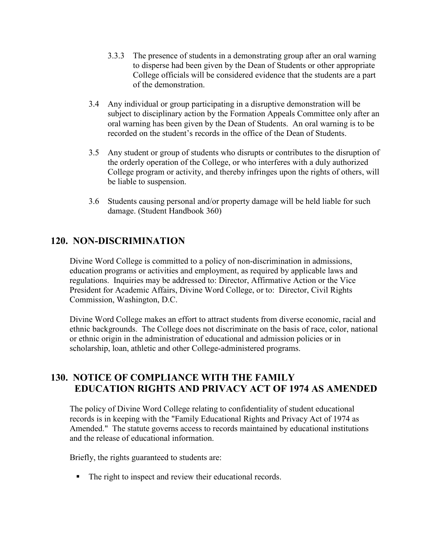- 3.3.3 The presence of students in a demonstrating group after an oral warning to disperse had been given by the Dean of Students or other appropriate College officials will be considered evidence that the students are a part of the demonstration.
- 3.4 Any individual or group participating in a disruptive demonstration will be subject to disciplinary action by the Formation Appeals Committee only after an oral warning has been given by the Dean of Students. An oral warning is to be recorded on the student's records in the office of the Dean of Students.
- 3.5 Any student or group of students who disrupts or contributes to the disruption of the orderly operation of the College, or who interferes with a duly authorized College program or activity, and thereby infringes upon the rights of others, will be liable to suspension.
- 3.6 Students causing personal and/or property damage will be held liable for such damage. (Student Handbook 360)

# **120. NON-DISCRIMINATION**

Divine Word College is committed to a policy of non-discrimination in admissions, education programs or activities and employment, as required by applicable laws and regulations. Inquiries may be addressed to: Director, Affirmative Action or the Vice President for Academic Affairs, Divine Word College, or to: Director, Civil Rights Commission, Washington, D.C.

Divine Word College makes an effort to attract students from diverse economic, racial and ethnic backgrounds. The College does not discriminate on the basis of race, color, national or ethnic origin in the administration of educational and admission policies or in scholarship, loan, athletic and other College-administered programs.

## **130. NOTICE OF COMPLIANCE WITH THE FAMILY EDUCATION RIGHTS AND PRIVACY ACT OF 1974 AS AMENDED**

The policy of Divine Word College relating to confidentiality of student educational records is in keeping with the "Family Educational Rights and Privacy Act of 1974 as Amended." The statute governs access to records maintained by educational institutions and the release of educational information.

Briefly, the rights guaranteed to students are:

The right to inspect and review their educational records.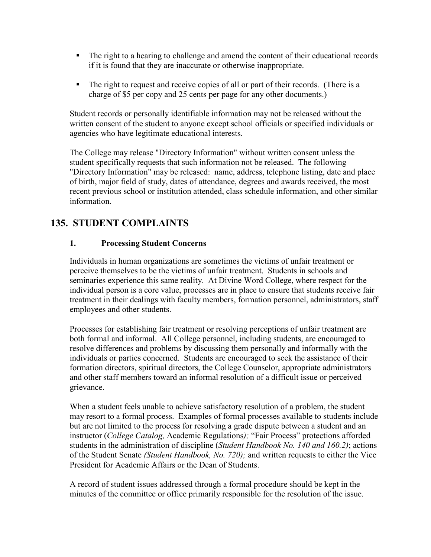- The right to a hearing to challenge and amend the content of their educational records if it is found that they are inaccurate or otherwise inappropriate.
- The right to request and receive copies of all or part of their records. (There is a charge of \$5 per copy and 25 cents per page for any other documents.)

Student records or personally identifiable information may not be released without the written consent of the student to anyone except school officials or specified individuals or agencies who have legitimate educational interests.

The College may release "Directory Information" without written consent unless the student specifically requests that such information not be released. The following "Directory Information" may be released: name, address, telephone listing, date and place of birth, major field of study, dates of attendance, degrees and awards received, the most recent previous school or institution attended, class schedule information, and other similar information.

# **135. STUDENT COMPLAINTS**

## **1. Processing Student Concerns**

Individuals in human organizations are sometimes the victims of unfair treatment or perceive themselves to be the victims of unfair treatment. Students in schools and seminaries experience this same reality. At Divine Word College, where respect for the individual person is a core value, processes are in place to ensure that students receive fair treatment in their dealings with faculty members, formation personnel, administrators, staff employees and other students.

Processes for establishing fair treatment or resolving perceptions of unfair treatment are both formal and informal. All College personnel, including students, are encouraged to resolve differences and problems by discussing them personally and informally with the individuals or parties concerned. Students are encouraged to seek the assistance of their formation directors, spiritual directors, the College Counselor, appropriate administrators and other staff members toward an informal resolution of a difficult issue or perceived grievance.

When a student feels unable to achieve satisfactory resolution of a problem, the student may resort to a formal process. Examples of formal processes available to students include but are not limited to the process for resolving a grade dispute between a student and an instructor (*College Catalog,* Academic Regulations*);* "Fair Process" protections afforded students in the administration of discipline (*Student Handbook No. 140 and 160.2)*; actions of the Student Senate *(Student Handbook, No. 720);* and written requests to either the Vice President for Academic Affairs or the Dean of Students.

A record of student issues addressed through a formal procedure should be kept in the minutes of the committee or office primarily responsible for the resolution of the issue.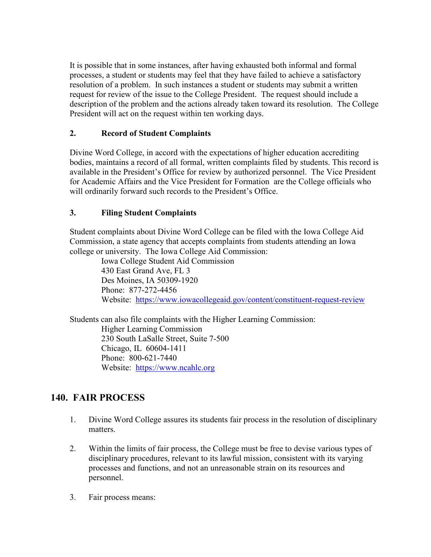It is possible that in some instances, after having exhausted both informal and formal processes, a student or students may feel that they have failed to achieve a satisfactory resolution of a problem. In such instances a student or students may submit a written request for review of the issue to the College President. The request should include a description of the problem and the actions already taken toward its resolution. The College President will act on the request within ten working days.

## **2. Record of Student Complaints**

Divine Word College, in accord with the expectations of higher education accrediting bodies, maintains a record of all formal, written complaints filed by students. This record is available in the President's Office for review by authorized personnel. The Vice President for Academic Affairs and the Vice President for Formation are the College officials who will ordinarily forward such records to the President's Office.

## **3. Filing Student Complaints**

Student complaints about Divine Word College can be filed with the Iowa College Aid Commission, a state agency that accepts complaints from students attending an Iowa college or university. The Iowa College Aid Commission:

Iowa College Student Aid Commission 430 East Grand Ave, FL 3 Des Moines, IA 50309-1920 Phone: 877-272-4456 Website: <https://www.iowacollegeaid.gov/content/constituent-request-review>

Students can also file complaints with the Higher Learning Commission: Higher Learning Commission 230 South LaSalle Street, Suite 7-500 Chicago, IL 60604-1411 Phone: 800-621-7440 Website: [https://www.ncahlc.org](https://www.ncahlc.org/)

# **140. FAIR PROCESS**

- 1. Divine Word College assures its students fair process in the resolution of disciplinary matters.
- 2. Within the limits of fair process, the College must be free to devise various types of disciplinary procedures, relevant to its lawful mission, consistent with its varying processes and functions, and not an unreasonable strain on its resources and personnel.
- 3. Fair process means: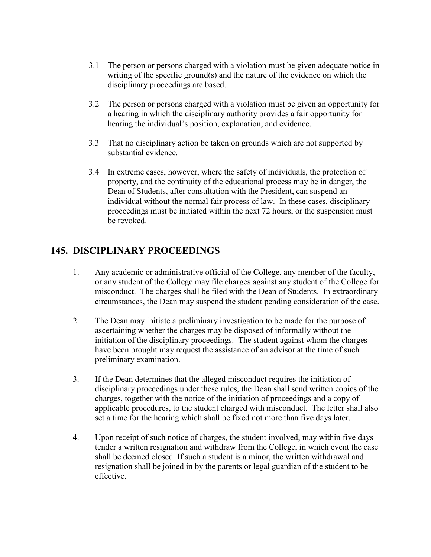- 3.1 The person or persons charged with a violation must be given adequate notice in writing of the specific ground(s) and the nature of the evidence on which the disciplinary proceedings are based.
- 3.2 The person or persons charged with a violation must be given an opportunity for a hearing in which the disciplinary authority provides a fair opportunity for hearing the individual's position, explanation, and evidence.
- 3.3 That no disciplinary action be taken on grounds which are not supported by substantial evidence.
- 3.4 In extreme cases, however, where the safety of individuals, the protection of property, and the continuity of the educational process may be in danger, the Dean of Students, after consultation with the President, can suspend an individual without the normal fair process of law. In these cases, disciplinary proceedings must be initiated within the next 72 hours, or the suspension must be revoked.

# **145. DISCIPLINARY PROCEEDINGS**

- 1. Any academic or administrative official of the College, any member of the faculty, or any student of the College may file charges against any student of the College for misconduct. The charges shall be filed with the Dean of Students. In extraordinary circumstances, the Dean may suspend the student pending consideration of the case.
- 2. The Dean may initiate a preliminary investigation to be made for the purpose of ascertaining whether the charges may be disposed of informally without the initiation of the disciplinary proceedings. The student against whom the charges have been brought may request the assistance of an advisor at the time of such preliminary examination.
- 3. If the Dean determines that the alleged misconduct requires the initiation of disciplinary proceedings under these rules, the Dean shall send written copies of the charges, together with the notice of the initiation of proceedings and a copy of applicable procedures, to the student charged with misconduct. The letter shall also set a time for the hearing which shall be fixed not more than five days later.
- 4. Upon receipt of such notice of charges, the student involved, may within five days tender a written resignation and withdraw from the College, in which event the case shall be deemed closed. If such a student is a minor, the written withdrawal and resignation shall be joined in by the parents or legal guardian of the student to be effective.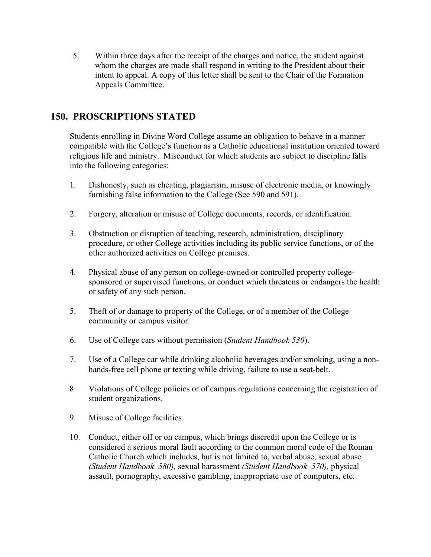5. Within three days after the receipt of the charges and notice, the student against whom the charges are made shall respond in writing to the President about their intent to appeal. A copy of this letter shall be sent to the Chair of the Formation Appeals Committee.

# **150. PROSCRIPTIONS STATED**

Students enrolling in Divine Word College assume an obligation to behave in a manner compatible with the College's function as a Catholic educational institution oriented toward religious life and ministry. Misconduct for which students are subject to discipline falls into the following categories:

- 1. Dishonesty, such as cheating, plagiarism, misuse of electronic media, or knowingly furnishing false information to the College (See 590 and 591).
- 2. Forgery, alteration or misuse of College documents, records, or identification.
- 3. Obstruction or disruption of teaching, research, administration, disciplinary procedure, or other College activities including its public service functions, or of the other authorized activities on College premises.
- 4. Physical abuse of any person on college-owned or controlled property collegesponsored or supervised functions, or conduct which threatens or endangers the health or safety of any such person.
- 5. Theft of or damage to property of the College, or of a member of the College community or campus visitor.
- 6. Use of College cars without permission (*Student Handbook 530*).
- 7. Use of a College car while drinking alcoholic beverages and/or smoking, using a nonhands-free cell phone or texting while driving, failure to use a seat-belt.
- 8. Violations of College policies or of campus regulations concerning the registration of student organizations.
- 9. Misuse of College facilities.
- 10. Conduct, either off or on campus, which brings discredit upon the College or is considered a serious moral fault according to the common moral code of the Roman Catholic Church which includes, but is not limited to, verbal abuse, sexual abuse *(Student Handbook 580),* sexual harassment *(Student Handbook 570),* physical assault, pornography, excessive gambling, inappropriate use of computers, etc.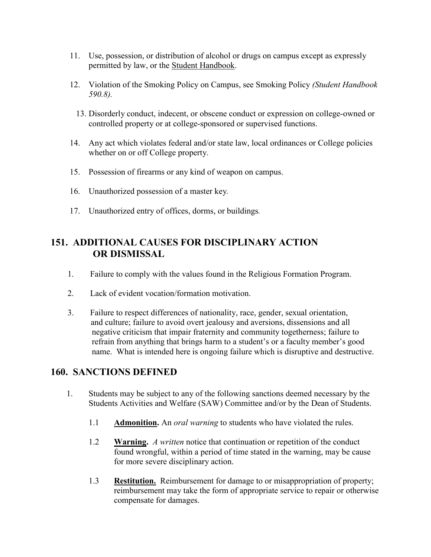- 11. Use, possession, or distribution of alcohol or drugs on campus except as expressly permitted by law, or the Student Handbook.
- 12. Violation of the Smoking Policy on Campus, see Smoking Policy *(Student Handbook 590.8).*
	- 13. Disorderly conduct, indecent, or obscene conduct or expression on college-owned or controlled property or at college-sponsored or supervised functions.
- 14. Any act which violates federal and/or state law, local ordinances or College policies whether on or off College property.
- 15. Possession of firearms or any kind of weapon on campus.
- 16. Unauthorized possession of a master key*.*
- 17. Unauthorized entry of offices, dorms, or buildings*.*

# **151. ADDITIONAL CAUSES FOR DISCIPLINARY ACTION OR DISMISSAL**

- 1. Failure to comply with the values found in the Religious Formation Program.
- 2. Lack of evident vocation/formation motivation.
- 3. Failure to respect differences of nationality, race, gender, sexual orientation, and culture; failure to avoid overt jealousy and aversions, dissensions and all negative criticism that impair fraternity and community togetherness; failure to refrain from anything that brings harm to a student's or a faculty member's good name. What is intended here is ongoing failure which is disruptive and destructive.

# **160. SANCTIONS DEFINED**

- 1. Students may be subject to any of the following sanctions deemed necessary by the Students Activities and Welfare (SAW) Committee and/or by the Dean of Students.
	- 1.1 **Admonition.** An *oral warning* to students who have violated the rules.
	- 1.2 **Warning.** *A written* notice that continuation or repetition of the conduct found wrongful, within a period of time stated in the warning, may be cause for more severe disciplinary action.
	- 1.3 **Restitution.** Reimbursement for damage to or misappropriation of property; reimbursement may take the form of appropriate service to repair or otherwise compensate for damages.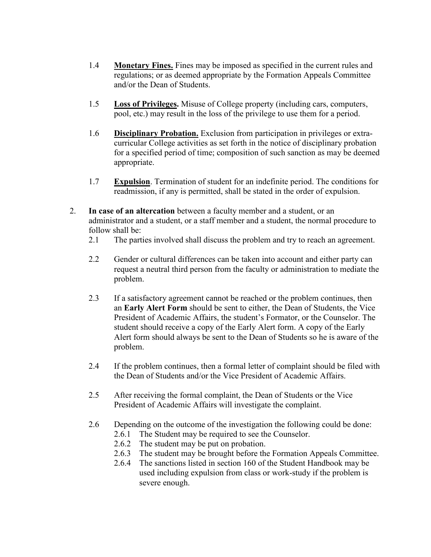- 1.4 **Monetary Fines.** Fines may be imposed as specified in the current rules and regulations; or as deemed appropriate by the Formation Appeals Committee and/or the Dean of Students.
- 1.5 **Loss of Privileges.** Misuse of College property (including cars, computers, pool, etc.) may result in the loss of the privilege to use them for a period.
- 1.6 **Disciplinary Probation.** Exclusion from participation in privileges or extracurricular College activities as set forth in the notice of disciplinary probation for a specified period of time; composition of such sanction as may be deemed appropriate.
- 1.7 **Expulsion**. Termination of student for an indefinite period. The conditions for readmission, if any is permitted, shall be stated in the order of expulsion.
- 2. **In case of an altercation** between a faculty member and a student, or an administrator and a student, or a staff member and a student, the normal procedure to follow shall be:
	- 2.1 The parties involved shall discuss the problem and try to reach an agreement.
	- 2.2 Gender or cultural differences can be taken into account and either party can request a neutral third person from the faculty or administration to mediate the problem.
	- 2.3 If a satisfactory agreement cannot be reached or the problem continues, then an **Early Alert Form** should be sent to either, the Dean of Students, the Vice President of Academic Affairs, the student's Formator, or the Counselor. The student should receive a copy of the Early Alert form. A copy of the Early Alert form should always be sent to the Dean of Students so he is aware of the problem.
	- 2.4 If the problem continues, then a formal letter of complaint should be filed with the Dean of Students and/or the Vice President of Academic Affairs.
	- 2.5 After receiving the formal complaint, the Dean of Students or the Vice President of Academic Affairs will investigate the complaint.
	- 2.6 Depending on the outcome of the investigation the following could be done:
		- 2.6.1 The Student may be required to see the Counselor.
		- 2.6.2 The student may be put on probation.
		- 2.6.3 The student may be brought before the Formation Appeals Committee.
		- 2.6.4 The sanctions listed in section 160 of the Student Handbook may be used including expulsion from class or work-study if the problem is severe enough.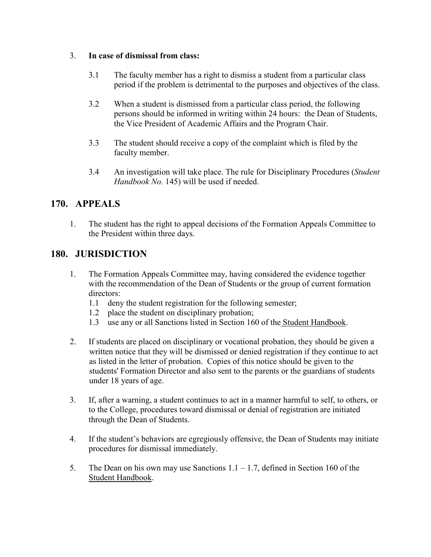## 3. **In case of dismissal from class:**

- 3.1 The faculty member has a right to dismiss a student from a particular class period if the problem is detrimental to the purposes and objectives of the class.
- 3.2 When a student is dismissed from a particular class period, the following persons should be informed in writing within 24 hours: the Dean of Students, the Vice President of Academic Affairs and the Program Chair.
- 3.3 The student should receive a copy of the complaint which is filed by the faculty member.
- 3.4 An investigation will take place. The rule for Disciplinary Procedures (*Student Handbook No.* 145) will be used if needed.

# **170. APPEALS**

1. The student has the right to appeal decisions of the Formation Appeals Committee to the President within three days.

# **180. JURISDICTION**

- 1. The Formation Appeals Committee may, having considered the evidence together with the recommendation of the Dean of Students or the group of current formation directors:
	- 1.1 deny the student registration for the following semester;
	- 1.2 place the student on disciplinary probation;
	- 1.3 use any or all Sanctions listed in Section 160 of the Student Handbook.
- 2. If students are placed on disciplinary or vocational probation, they should be given a written notice that they will be dismissed or denied registration if they continue to act as listed in the letter of probation. Copies of this notice should be given to the students' Formation Director and also sent to the parents or the guardians of students under 18 years of age.
- 3. If, after a warning, a student continues to act in a manner harmful to self, to others, or to the College, procedures toward dismissal or denial of registration are initiated through the Dean of Students.
- 4. If the student's behaviors are egregiously offensive, the Dean of Students may initiate procedures for dismissal immediately.
- 5. The Dean on his own may use Sanctions 1.1 1.7, defined in Section 160 of the Student Handbook.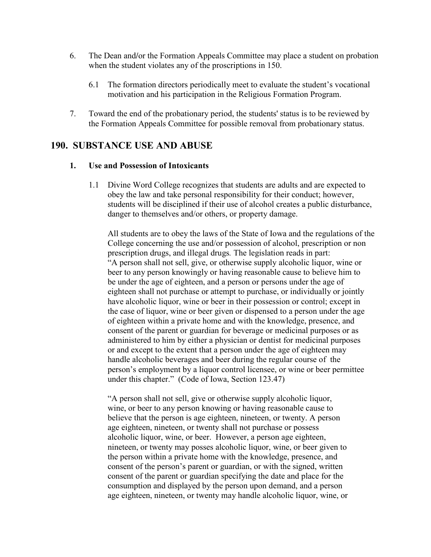- 6. The Dean and**/**or the Formation Appeals Committee may place a student on probation when the student violates any of the proscriptions in 150.
	- 6.1 The formation directors periodically meet to evaluate the student's vocational motivation and his participation in the Religious Formation Program.
- 7. Toward the end of the probationary period, the students' status is to be reviewed by the Formation Appeals Committee for possible removal from probationary status.

## **190. SUBSTANCE USE AND ABUSE**

#### **1. Use and Possession of Intoxicants**

1.1 Divine Word College recognizes that students are adults and are expected to obey the law and take personal responsibility for their conduct; however, students will be disciplined if their use of alcohol creates a public disturbance, danger to themselves and/or others, or property damage.

All students are to obey the laws of the State of Iowa and the regulations of the College concerning the use and/or possession of alcohol, prescription or non prescription drugs, and illegal drugs*.* The legislation reads in part: "A person shall not sell, give, or otherwise supply alcoholic liquor, wine or beer to any person knowingly or having reasonable cause to believe him to be under the age of eighteen, and a person or persons under the age of eighteen shall not purchase or attempt to purchase, or individually or jointly have alcoholic liquor, wine or beer in their possession or control; except in the case of liquor, wine or beer given or dispensed to a person under the age of eighteen within a private home and with the knowledge, presence, and consent of the parent or guardian for beverage or medicinal purposes or as administered to him by either a physician or dentist for medicinal purposes or and except to the extent that a person under the age of eighteen may handle alcoholic beverages and beer during the regular course of the person's employment by a liquor control licensee, or wine or beer permittee under this chapter." (Code of Iowa, Section 123.47)

"A person shall not sell, give or otherwise supply alcoholic liquor, wine, or beer to any person knowing or having reasonable cause to believe that the person is age eighteen, nineteen, or twenty. A person age eighteen, nineteen, or twenty shall not purchase or possess alcoholic liquor, wine, or beer. However, a person age eighteen, nineteen, or twenty may posses alcoholic liquor, wine, or beer given to the person within a private home with the knowledge, presence, and consent of the person's parent or guardian, or with the signed, written consent of the parent or guardian specifying the date and place for the consumption and displayed by the person upon demand, and a person age eighteen, nineteen, or twenty may handle alcoholic liquor, wine, or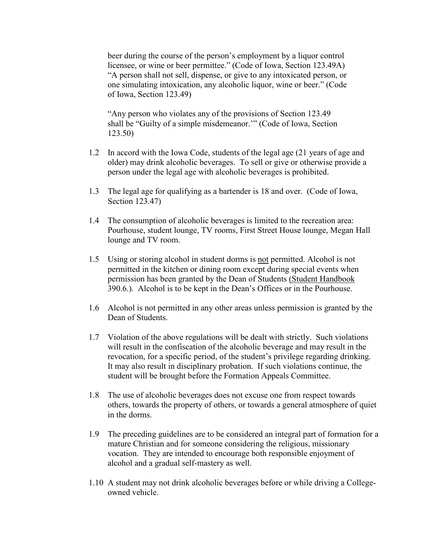beer during the course of the person's employment by a liquor control licensee, or wine or beer permittee." (Code of Iowa, Section 123.49A) "A person shall not sell, dispense, or give to any intoxicated person, or one simulating intoxication, any alcoholic liquor, wine or beer." (Code of Iowa, Section 123.49)

"Any person who violates any of the provisions of Section 123.49 shall be "Guilty of a simple misdemeanor.'" (Code of Iowa, Section 123.50)

- 1.2 In accord with the Iowa Code, students of the legal age (21 years of age and older) may drink alcoholic beverages. To sell or give or otherwise provide a person under the legal age with alcoholic beverages is prohibited.
- 1.3 The legal age for qualifying as a bartender is 18 and over. (Code of Iowa, Section 123.47)
- 1.4 The consumption of alcoholic beverages is limited to the recreation area: Pourhouse, student lounge, TV rooms, First Street House lounge, Megan Hall lounge and TV room.
- 1.5 Using or storing alcohol in student dorms is not permitted. Alcohol is not permitted in the kitchen or dining room except during special events when permission has been granted by the Dean of Students (Student Handbook 390.6.). Alcohol is to be kept in the Dean's Offices or in the Pourhouse.
- 1.6 Alcohol is not permitted in any other areas unless permission is granted by the Dean of Students.
- 1.7 Violation of the above regulations will be dealt with strictly. Such violations will result in the confiscation of the alcoholic beverage and may result in the revocation, for a specific period, of the student's privilege regarding drinking. It may also result in disciplinary probation. If such violations continue, the student will be brought before the Formation Appeals Committee.
- 1.8 The use of alcoholic beverages does not excuse one from respect towards others, towards the property of others, or towards a general atmosphere of quiet in the dorms.
- 1.9 The preceding guidelines are to be considered an integral part of formation for a mature Christian and for someone considering the religious, missionary vocation. They are intended to encourage both responsible enjoyment of alcohol and a gradual self-mastery as well.
- 1.10 A student may not drink alcoholic beverages before or while driving a Collegeowned vehicle.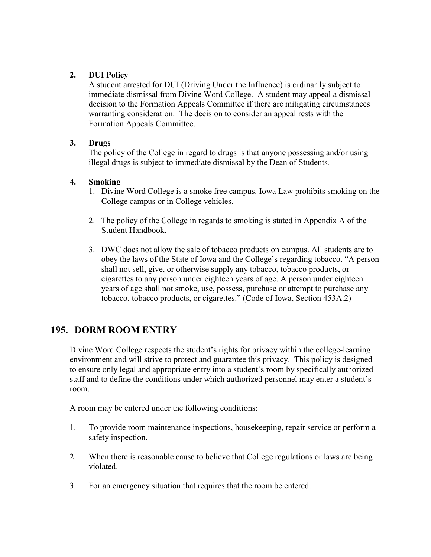## **2. DUI Policy**

A student arrested for DUI (Driving Under the Influence) is ordinarily subject to immediate dismissal from Divine Word College. A student may appeal a dismissal decision to the Formation Appeals Committee if there are mitigating circumstances warranting consideration. The decision to consider an appeal rests with the Formation Appeals Committee.

## **3. Drugs**

The policy of the College in regard to drugs is that anyone possessing and/or using illegal drugs is subject to immediate dismissal by the Dean of Students*.*

#### **4. Smoking**

- 1. Divine Word College is a smoke free campus. Iowa Law prohibits smoking on the College campus or in College vehicles.
- 2. The policy of the College in regards to smoking is stated in Appendix A of the Student Handbook.
- 3. DWC does not allow the sale of tobacco products on campus. All students are to obey the laws of the State of Iowa and the College's regarding tobacco. "A person shall not sell, give, or otherwise supply any tobacco, tobacco products, or cigarettes to any person under eighteen years of age. A person under eighteen years of age shall not smoke, use, possess, purchase or attempt to purchase any tobacco, tobacco products, or cigarettes." (Code of Iowa, Section 453A.2)

# **195. DORM ROOM ENTRY**

Divine Word College respects the student's rights for privacy within the college-learning environment and will strive to protect and guarantee this privacy. This policy is designed to ensure only legal and appropriate entry into a student's room by specifically authorized staff and to define the conditions under which authorized personnel may enter a student's room.

A room may be entered under the following conditions:

- 1. To provide room maintenance inspections, housekeeping, repair service or perform a safety inspection.
- 2. When there is reasonable cause to believe that College regulations or laws are being violated.
- 3. For an emergency situation that requires that the room be entered.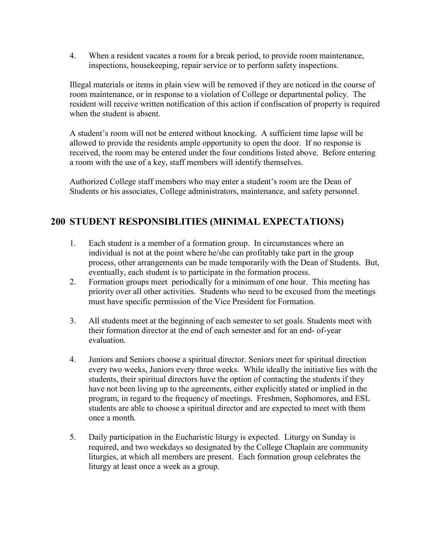4. When a resident vacates a room for a break period, to provide room maintenance, inspections, housekeeping, repair service or to perform safety inspections.

Illegal materials or items in plain view will be removed if they are noticed in the course of room maintenance, or in response to a violation of College or departmental policy. The resident will receive written notification of this action if confiscation of property is required when the student is absent.

A student's room will not be entered without knocking. A sufficient time lapse will be allowed to provide the residents ample opportunity to open the door. If no response is received, the room may be entered under the four conditions listed above. Before entering a room with the use of a key, staff members will identify themselves.

Authorized College staff members who may enter a student's room are the Dean of Students or his associates, College administrators, maintenance, and safety personnel.

# **200 STUDENT RESPONSIBLITIES (MINIMAL EXPECTATIONS)**

- 1. Each student is a member of a formation group. In circumstances where an individual is not at the point where he/she can profitably take part in the group process, other arrangements can be made temporarily with the Dean of Students. But, eventually, each student is to participate in the formation process.
- 2. Formation groups meet periodically for a minimum of one hour. This meeting has priority over all other activities. Students who need to be excused from the meetings must have specific permission of the Vice President for Formation.
- 3. All students meet at the beginning of each semester to set goals. Students meet with their formation director at the end of each semester and for an end- of-year evaluation.
- 4. Juniors and Seniors choose a spiritual director. Seniors meet for spiritual direction every two weeks, Juniors every three weeks. While ideally the initiative lies with the students, their spiritual directors have the option of contacting the students if they have not been living up to the agreements, either explicitly stated or implied in the program, in regard to the frequency of meetings. Freshmen, Sophomores, and ESL students are able to choose a spiritual director and are expected to meet with them once a month*.*
- 5. Daily participation in the Eucharistic liturgy is expected. Liturgy on Sunday is required, and two weekdays so designated by the College Chaplain are community liturgies, at which all members are present. Each formation group celebrates the liturgy at least once a week as a group.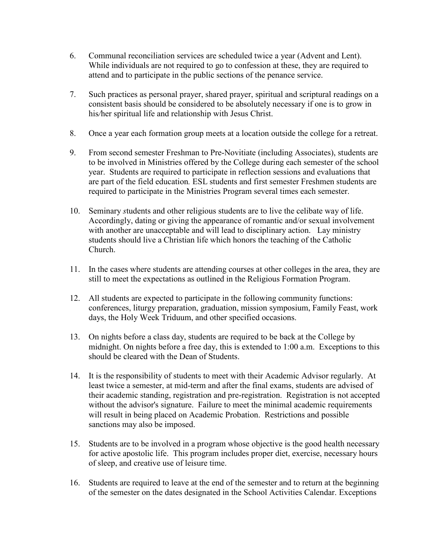- 6. Communal reconciliation services are scheduled twice a year (Advent and Lent). While individuals are not required to go to confession at these, they are required to attend and to participate in the public sections of the penance service.
- 7. Such practices as personal prayer, shared prayer, spiritual and scriptural readings on a consistent basis should be considered to be absolutely necessary if one is to grow in his*/*her spiritual life and relationship with Jesus Christ.
- 8. Once a year each formation group meets at a location outside the college for a retreat.
- 9. From second semester Freshman to Pre-Novitiate (including Associates), students are to be involved in Ministries offered by the College during each semester of the school year. Students are required to participate in reflection sessions and evaluations that are part of the field education*.* ESL students and first semester Freshmen students are required to participate in the Ministries Program several times each semester.
- 10. Seminary *s*tudents and other religious students are to live the celibate way of life. Accordingly, dating or giving the appearance of romantic and/or sexual involvement with another are unacceptable and will lead to disciplinary action. Lay ministry students should live a Christian life which honors the teaching of the Catholic Church.
- 11. In the cases where students are attending courses at other colleges in the area, they are still to meet the expectations as outlined in the Religious Formation Program.
- 12. All students are expected to participate in the following community functions: conferences, liturgy preparation, graduation, mission symposium, Family Feast, work days, the Holy Week Triduum, and other specified occasions.
- 13. On nights before a class day, students are required to be back at the College by midnight. On nights before a free day, this is extended to 1:00 a.m. Exceptions to this should be cleared with the Dean of Students.
- 14. It is the responsibility of students to meet with their Academic Advisor regularly. At least twice a semester, at mid-term and after the final exams, students are advised of their academic standing, registration and pre-registration. Registration is not accepted without the advisor's signature. Failure to meet the minimal academic requirements will result in being placed on Academic Probation. Restrictions and possible sanctions may also be imposed.
- 15. Students are to be involved in a program whose objective is the good health necessary for active apostolic life. This program includes proper diet, exercise, necessary hours of sleep, and creative use of leisure time.
- 16. Students are required to leave at the end of the semester and to return at the beginning of the semester on the dates designated in the School Activities Calendar. Exceptions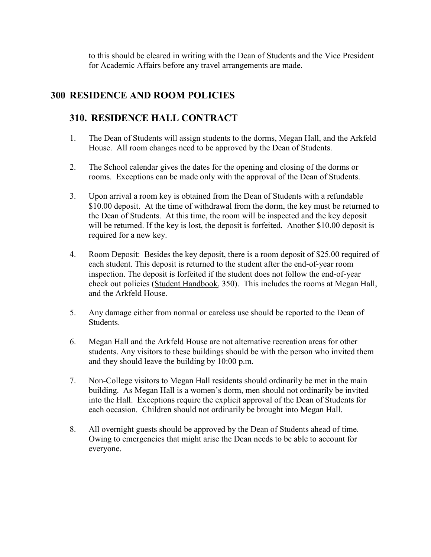to this should be cleared in writing with the Dean of Students and the Vice President for Academic Affairs before any travel arrangements are made.

# **300 RESIDENCE AND ROOM POLICIES**

# **310. RESIDENCE HALL CONTRACT**

- 1. The Dean of Students will assign students to the dorms, Megan Hall, and the Arkfeld House. All room changes need to be approved by the Dean of Students.
- 2. The School calendar gives the dates for the opening and closing of the dorms or rooms. Exceptions can be made only with the approval of the Dean of Students.
- 3. Upon arrival a room key is obtained from the Dean of Students with a refundable \$10.00 deposit. At the time of withdrawal from the dorm, the key must be returned to the Dean of Students. At this time, the room will be inspected and the key deposit will be returned. If the key is lost, the deposit is forfeited. Another \$10.00 deposit is required for a new key.
- 4. Room Deposit: Besides the key deposit, there is a room deposit of \$25.00 required of each student. This deposit is returned to the student after the end-of-year room inspection. The deposit is forfeited if the student does not follow the end-of-year check out policies (Student Handbook, 350). This includes the rooms at Megan Hall, and the Arkfeld House.
- 5. Any damage either from normal or careless use should be reported to the Dean of Students.
- 6. Megan Hall and the Arkfeld House are not alternative recreation areas for other students. Any visitors to these buildings should be with the person who invited them and they should leave the building by 10:00 p.m.
- 7. Non-College visitors to Megan Hall residents should ordinarily be met in the main building. As Megan Hall is a women's dorm, men should not ordinarily be invited into the Hall. Exceptions require the explicit approval of the Dean of Students for each occasion. Children should not ordinarily be brought into Megan Hall.
- 8. All overnight guests should be approved by the Dean of Students ahead of time. Owing to emergencies that might arise the Dean needs to be able to account for everyone.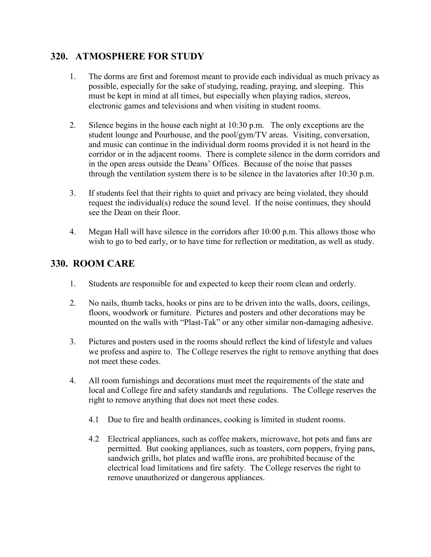# **320. ATMOSPHERE FOR STUDY**

- 1. The dorms are first and foremost meant to provide each individual as much privacy as possible, especially for the sake of studying, reading, praying, and sleeping. This must be kept in mind at all times, but especially when playing radios, stereos, electronic games and televisions and when visiting in student rooms.
- 2. Silence begins in the house each night at 10:30 p.m. The only exceptions are the student lounge and Pourhouse, and the pool/gym/TV areas. Visiting, conversation, and music can continue in the individual dorm rooms provided it is not heard in the corridor or in the adjacent rooms. There is complete silence in the dorm corridors and in the open areas outside the Deans' Offices. Because of the noise that passes through the ventilation system there is to be silence in the lavatories after 10:30 p.m.
- 3. If students feel that their rights to quiet and privacy are being violated, they should request the individual(s) reduce the sound level. If the noise continues, they should see the Dean on their floor.
- 4. Megan Hall will have silence in the corridors after 10:00 p.m. This allows those who wish to go to bed early, or to have time for reflection or meditation, as well as study.

# **330. ROOM CARE**

- 1. Students are responsible for and expected to keep their room clean and orderly.
- 2. No nails, thumb tacks, hooks or pins are to be driven into the walls, doors, ceilings, floors, woodwork or furniture. Pictures and posters and other decorations may be mounted on the walls with "Plast-Tak" or any other similar non-damaging adhesive.
- 3. Pictures and posters used in the rooms should reflect the kind of lifestyle and values we profess and aspire to. The College reserves the right to remove anything that does not meet these codes.
- 4. All room furnishings and decorations must meet the requirements of the state and local and College fire and safety standards and regulations. The College reserves the right to remove anything that does not meet these codes.
	- 4.1 Due to fire and health ordinances, cooking is limited in student rooms.
	- 4.2 Electrical appliances, such as coffee makers, microwave, hot pots and fans are permitted. But cooking appliances, such as toasters, corn poppers, frying pans, sandwich grills, hot plates and waffle irons, are prohibited because of the electrical load limitations and fire safety. The College reserves the right to remove unauthorized or dangerous appliances.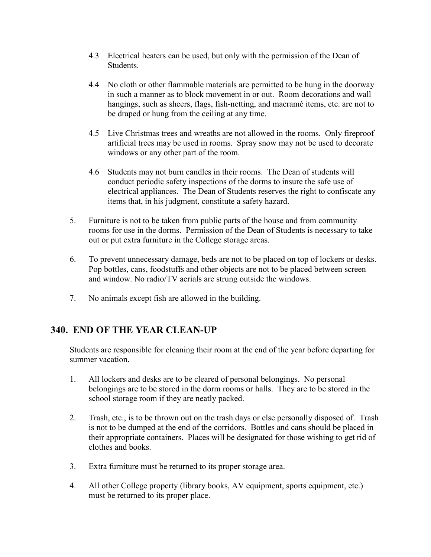- 4.3 Electrical heaters can be used, but only with the permission of the Dean of **Students**
- 4.4 No cloth or other flammable materials are permitted to be hung in the doorway in such a manner as to block movement in or out. Room decorations and wall hangings, such as sheers, flags, fish-netting, and macramé items, etc. are not to be draped or hung from the ceiling at any time.
- 4.5 Live Christmas trees and wreaths are not allowed in the rooms. Only fireproof artificial trees may be used in rooms. Spray snow may not be used to decorate windows or any other part of the room.
- 4.6 Students may not burn candles in their rooms. The Dean of students will conduct periodic safety inspections of the dorms to insure the safe use of electrical appliances. The Dean of Students reserves the right to confiscate any items that, in his judgment, constitute a safety hazard.
- 5. Furniture is not to be taken from public parts of the house and from community rooms for use in the dorms. Permission of the Dean of Students is necessary to take out or put extra furniture in the College storage areas.
- 6. To prevent unnecessary damage, beds are not to be placed on top of lockers or desks. Pop bottles, cans, foodstuffs and other objects are not to be placed between screen and window. No radio/TV aerials are strung outside the windows.
- 7. No animals except fish are allowed in the building.

# **340. END OF THE YEAR CLEAN-UP**

Students are responsible for cleaning their room at the end of the year before departing for summer vacation.

- 1. All lockers and desks are to be cleared of personal belongings. No personal belongings are to be stored in the dorm rooms or halls. They are to be stored in the school storage room if they are neatly packed.
- 2. Trash, etc., is to be thrown out on the trash days or else personally disposed of. Trash is not to be dumped at the end of the corridors. Bottles and cans should be placed in their appropriate containers. Places will be designated for those wishing to get rid of clothes and books.
- 3. Extra furniture must be returned to its proper storage area.
- 4. All other College property (library books, AV equipment, sports equipment, etc.) must be returned to its proper place.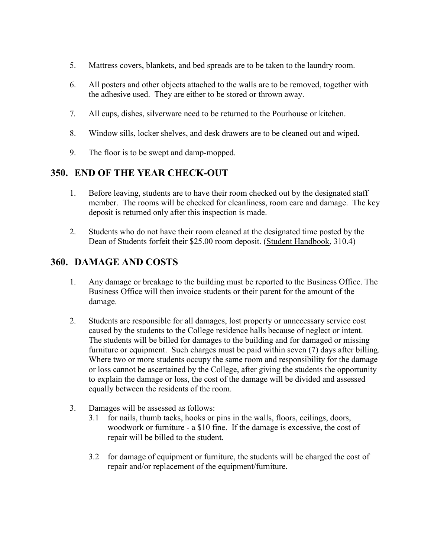- 5. Mattress covers, blankets, and bed spreads are to be taken to the laundry room.
- 6. All posters and other objects attached to the walls are to be removed, together with the adhesive used. They are either to be stored or thrown away.
- 7*.* All cups, dishes, silverware need to be returned to the Pourhouse or kitchen.
- 8. Window sills, locker shelves, and desk drawers are to be cleaned out and wiped.
- 9. The floor is to be swept and damp-mopped.

# **350. END OF THE YEAR CHECK-OUT**

- 1. Before leaving, students are to have their room checked out by the designated staff member. The rooms will be checked for cleanliness, room care and damage. The key deposit is returned only after this inspection is made.
- 2. Students who do not have their room cleaned at the designated time posted by the Dean of Students forfeit their \$25.00 room deposit. (Student Handbook, 310.4)

# **360. DAMAGE AND COSTS**

- 1. Any damage or breakage to the building must be reported to the Business Office. The Business Office will then invoice students or their parent for the amount of the damage.
- 2. Students are responsible for all damages, lost property or unnecessary service cost caused by the students to the College residence halls because of neglect or intent. The students will be billed for damages to the building and for damaged or missing furniture or equipment. Such charges must be paid within seven (7) days after billing. Where two or more students occupy the same room and responsibility for the damage or loss cannot be ascertained by the College, after giving the students the opportunity to explain the damage or loss, the cost of the damage will be divided and assessed equally between the residents of the room.
- 3. Damages will be assessed as follows:
	- 3.1 for nails, thumb tacks, hooks or pins in the walls, floors, ceilings, doors, woodwork or furniture - a \$10 fine. If the damage is excessive, the cost of repair will be billed to the student.
	- 3.2 for damage of equipment or furniture, the students will be charged the cost of repair and/or replacement of the equipment/furniture.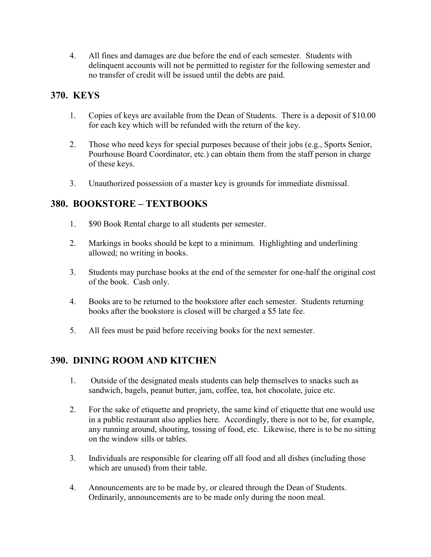4. All fines and damages are due before the end of each semester. Students with delinquent accounts will not be permitted to register for the following semester and no transfer of credit will be issued until the debts are paid.

# **370. KEYS**

- 1. Copies of keys are available from the Dean of Students. There is a deposit of \$10.00 for each key which will be refunded with the return of the key.
- 2. Those who need keys for special purposes because of their jobs (e.g., Sports Senior, Pourhouse Board Coordinator, etc.) can obtain them from the staff person in charge of these keys.
- 3. Unauthorized possession of a master key is grounds for immediate dismissal.

# **380. BOOKSTORE – TEXTBOOKS**

- 1. \$90 Book Rental charge to all students per semester.
- 2. Markings in books should be kept to a minimum. Highlighting and underlining allowed; no writing in books.
- 3. Students may purchase books at the end of the semester for one-half the original cost of the book. Cash only.
- 4. Books are to be returned to the bookstore after each semester. Students returning books after the bookstore is closed will be charged a \$5 late fee.
- 5. All fees must be paid before receiving books for the next semester.

# **390. DINING ROOM AND KITCHEN**

- 1. Outside of the designated meals students can help themselves to snacks such as sandwich, bagels, peanut butter, jam, coffee, tea, hot chocolate, juice etc.
- 2. For the sake of etiquette and propriety, the same kind of etiquette that one would use in a public restaurant also applies here. Accordingly, there is not to be, for example, any running around, shouting, tossing of food, etc. Likewise, there is to be no sitting on the window sills or tables.
- 3. Individuals are responsible for clearing off all food and all dishes (including those which are unused) from their table.
- 4. Announcements are to be made by, or cleared through the Dean of Students. Ordinarily, announcements are to be made only during the noon meal.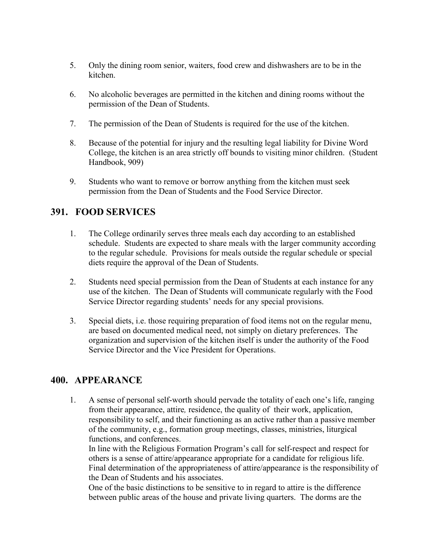- 5. Only the dining room senior, waiters, food crew and dishwashers are to be in the kitchen.
- 6. No alcoholic beverages are permitted in the kitchen and dining rooms without the permission of the Dean of Students.
- 7. The permission of the Dean of Students is required for the use of the kitchen.
- 8. Because of the potential for injury and the resulting legal liability for Divine Word College, the kitchen is an area strictly off bounds to visiting minor children. (Student Handbook, 909)
- 9. Students who want to remove or borrow anything from the kitchen must seek permission from the Dean of Students and the Food Service Director.

# **391. FOOD SERVICES**

- 1. The College ordinarily serves three meals each day according to an established schedule. Students are expected to share meals with the larger community according to the regular schedule. Provisions for meals outside the regular schedule or special diets require the approval of the Dean of Students.
- 2. Students need special permission from the Dean of Students at each instance for any use of the kitchen. The Dean of Students will communicate regularly with the Food Service Director regarding students' needs for any special provisions.
- 3. Special diets, i.e. those requiring preparation of food items not on the regular menu, are based on documented medical need, not simply on dietary preferences. The organization and supervision of the kitchen itself is under the authority of the Food Service Director and the Vice President for Operations.

# **400. APPEARANCE**

1. A sense of personal self-worth should pervade the totality of each one's life, ranging from their appearance, attire*,* residence, the quality of their work, application, responsibility to self, and their functioning as an active rather than a passive member of the community, e.g., formation group meetings, classes, ministries, liturgical functions, and conferences.

In line with the Religious Formation Program's call for self-respect and respect for others is a sense of attire/appearance appropriate for a candidate for religious life. Final determination of the appropriateness of attire/appearance is the responsibility of the Dean of Students and his associates.

One of the basic distinctions to be sensitive to in regard to attire is the difference between public areas of the house and private living quarters. The dorms are the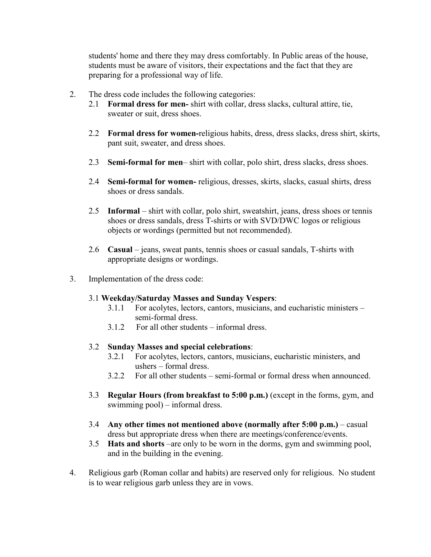students' home and there they may dress comfortably. In Public areas of the house, students must be aware of visitors, their expectations and the fact that they are preparing for a professional way of life.

- 2. The dress code includes the following categories:
	- 2.1 **Formal dress for men***-* shirt with collar, dress slacks, cultural attire, tie, sweater or suit, dress shoes.
	- 2.2 **Formal dress for women-**religious habits, dress, dress slacks, dress shirt, skirts, pant suit, sweater, and dress shoes.
	- 2.3 **Semi-formal for men** shirt with collar, polo shirt, dress slacks, dress shoes.
	- 2.4 **Semi-formal for women-** religious, dresses, skirts, slacks, casual shirts, dress shoes or dress sandals.
	- 2.5 **Informal**  shirt with collar, polo shirt, sweatshirt, jeans, dress shoes or tennis shoes or dress sandals, dress T-shirts or with SVD/DWC logos or religious objects or wordings (permitted but not recommended).
	- 2.6 **Casual**  jeans, sweat pants, tennis shoes or casual sandals, T-shirts with appropriate designs or wordings.
- 3. Implementation of the dress code:

#### 3.1 **Weekday/Saturday Masses and Sunday Vespers**:

- 3.1.1 For acolytes, lectors, cantors, musicians, and eucharistic ministers semi-formal dress.
- 3.1.2 For all other students informal dress.

#### 3.2 **Sunday Masses and special celebrations**:

- 3.2.1 For acolytes, lectors, cantors, musicians, eucharistic ministers, and ushers – formal dress.
- 3.2.2 For all other students semi-formal or formal dress when announced.
- 3.3 **Regular Hours (from breakfast to 5:00 p.m.)** (except in the forms, gym, and swimming pool) – informal dress.
- 3.4 **Any other times not mentioned above (normally after 5:00 p.m.)** casual dress but appropriate dress when there are meetings/conference/events.
- 3.5 **Hats and shorts** –are only to be worn in the dorms, gym and swimming pool, and in the building in the evening.
- 4. Religious garb (Roman collar and habits) are reserved only for religious. No student is to wear religious garb unless they are in vows.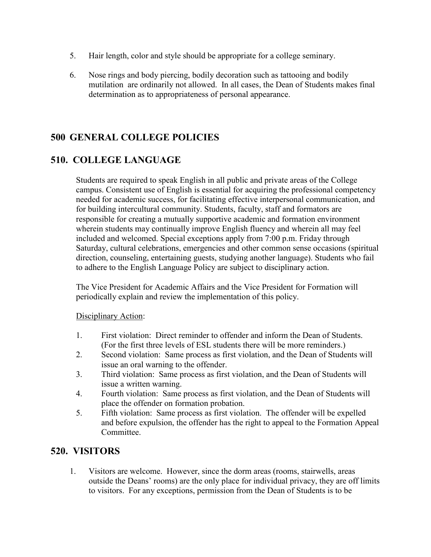- 5. Hair length, color and style should be appropriate for a college seminary.
- 6. Nose rings and body piercing, bodily decoration such as tattooing and bodily mutilation are ordinarily not allowed. In all cases, the Dean of Students makes final determination as to appropriateness of personal appearance.

# **500 GENERAL COLLEGE POLICIES**

# **510. COLLEGE LANGUAGE**

Students are required to speak English in all public and private areas of the College campus. Consistent use of English is essential for acquiring the professional competency needed for academic success, for facilitating effective interpersonal communication, and for building intercultural community. Students, faculty, staff and formators are responsible for creating a mutually supportive academic and formation environment wherein students may continually improve English fluency and wherein all may feel included and welcomed. Special exceptions apply from 7:00 p.m. Friday through Saturday, cultural celebrations, emergencies and other common sense occasions (spiritual direction, counseling, entertaining guests, studying another language). Students who fail to adhere to the English Language Policy are subject to disciplinary action.

The Vice President for Academic Affairs and the Vice President for Formation will periodically explain and review the implementation of this policy.

## Disciplinary Action:

- 1. First violation: Direct reminder to offender and inform the Dean of Students. (For the first three levels of ESL students there will be more reminders.)
- 2. Second violation: Same process as first violation, and the Dean of Students will issue an oral warning to the offender.
- 3. Third violation: Same process as first violation, and the Dean of Students will issue a written warning.
- 4. Fourth violation: Same process as first violation, and the Dean of Students will place the offender on formation probation.
- 5. Fifth violation: Same process as first violation. The offender will be expelled and before expulsion, the offender has the right to appeal to the Formation Appeal Committee.

# **520. VISITORS**

1. Visitors are welcome. However, since the dorm areas (rooms, stairwells, areas outside the Deans' rooms) are the only place for individual privacy, they are off limits to visitors. For any exceptions, permission from the Dean of Students is to be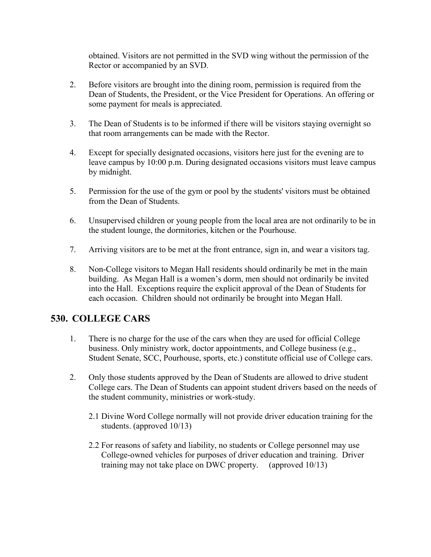obtained. Visitors are not permitted in the SVD wing without the permission of the Rector or accompanied by an SVD.

- 2. Before visitors are brought into the dining room, permission is required from the Dean of Students, the President, or the Vice President for Operations. An offering or some payment for meals is appreciated.
- 3. The Dean of Students is to be informed if there will be visitors staying overnight so that room arrangements can be made with the Rector.
- 4. Except for specially designated occasions, visitors here just for the evening are to leave campus by 10:00 p.m. During designated occasions visitors must leave campus by midnight.
- 5. Permission for the use of the gym or pool by the students' visitors must be obtained from the Dean of Students.
- 6. Unsupervised children or young people from the local area are not ordinarily to be in the student lounge, the dormitories, kitchen or the Pourhouse.
- 7. Arriving visitors are to be met at the front entrance, sign in, and wear a visitors tag.
- 8. Non-College visitors to Megan Hall residents should ordinarily be met in the main building. As Megan Hall is a women's dorm, men should not ordinarily be invited into the Hall. Exceptions require the explicit approval of the Dean of Students for each occasion. Children should not ordinarily be brought into Megan Hall.

# **530. COLLEGE CARS**

- 1. There is no charge for the use of the cars when they are used for official College business. Only ministry work, doctor appointments, and College business (e.g., Student Senate, SCC, Pourhouse, sports, etc.) constitute official use of College cars.
- 2. Only those students approved by the Dean of Students are allowed to drive student College cars. The Dean of Students can appoint student drivers based on the needs of the student community, ministries or work-study.
	- 2.1 Divine Word College normally will not provide driver education training for the students. (approved 10/13)
	- 2.2 For reasons of safety and liability, no students or College personnel may use College-owned vehicles for purposes of driver education and training. Driver training may not take place on DWC property. (approved 10/13)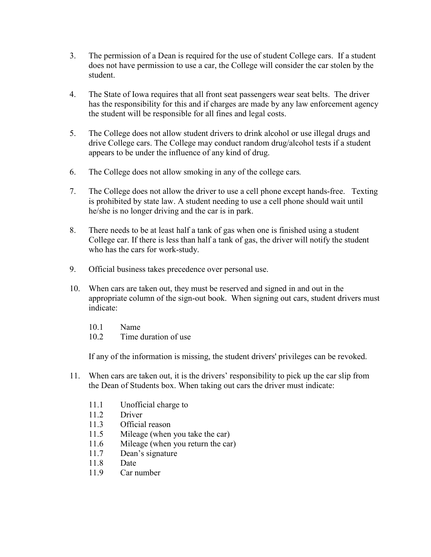- 3. The permission of a Dean is required for the use of student College cars. If a student does not have permission to use a car, the College will consider the car stolen by the student.
- 4. The State of Iowa requires that all front seat passengers wear seat belts. The driver has the responsibility for this and if charges are made by any law enforcement agency the student will be responsible for all fines and legal costs.
- 5. The College does not allow student drivers to drink alcohol or use illegal drugs and drive College cars. The College may conduct random drug/alcohol tests if a student appears to be under the influence of any kind of drug.
- 6. The College does not allow smoking in any of the college cars*.*
- 7. The College does not allow the driver to use a cell phone except hands-free. Texting is prohibited by state law. A student needing to use a cell phone should wait until he/she is no longer driving and the car is in park.
- 8. There needs to be at least half a tank of gas when one is finished using a student College car. If there is less than half a tank of gas, the driver will notify the student who has the cars for work-study.
- 9. Official business takes precedence over personal use.
- 10. When cars are taken out, they must be reserved and signed in and out in the appropriate column of the sign-out book. When signing out cars, student drivers must indicate:
	- 10.1 Name
	- 10.2 Time duration of use

If any of the information is missing, the student drivers' privileges can be revoked.

- 11. When cars are taken out, it is the drivers' responsibility to pick up the car slip from the Dean of Students box. When taking out cars the driver must indicate:
	- 11.1 Unofficial charge to
	- 11.2 Driver
	- 11.3 Official reason
	- 11.5 Mileage (when you take the car)
	- 11.6 Mileage (when you return the car)
	- 11.7 Dean's signature
	- 11.8 Date
	- 11.9 Car number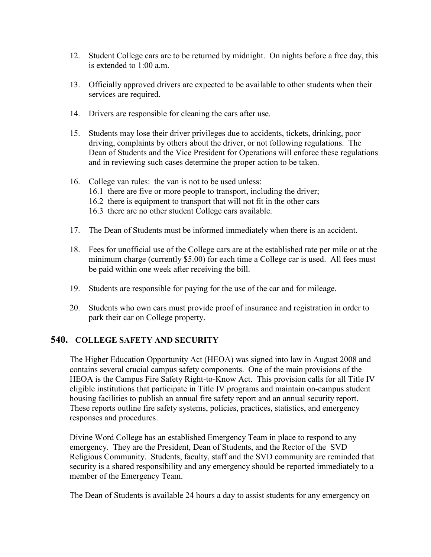- 12. Student College cars are to be returned by midnight. On nights before a free day, this is extended to 1:00 a.m.
- 13. Officially approved drivers are expected to be available to other students when their services are required.
- 14. Drivers are responsible for cleaning the cars after use.
- 15. Students may lose their driver privileges due to accidents, tickets, drinking, poor driving, complaints by others about the driver, or not following regulations. The Dean of Students and the Vice President for Operations will enforce these regulations and in reviewing such cases determine the proper action to be taken.
- 16. College van rules: the van is not to be used unless:
	- 16.1 there are five or more people to transport, including the driver;
	- 16.2 there is equipment to transport that will not fit in the other cars
	- 16.3 there are no other student College cars available.
- 17. The Dean of Students must be informed immediately when there is an accident.
- 18. Fees for unofficial use of the College cars are at the established rate per mile or at the minimum charge (currently \$5.00) for each time a College car is used. All fees must be paid within one week after receiving the bill.
- 19. Students are responsible for paying for the use of the car and for mileage.
- 20. Students who own cars must provide proof of insurance and registration in order to park their car on College property.

## **540. COLLEGE SAFETY AND SECURITY**

The Higher Education Opportunity Act (HEOA) was signed into law in August 2008 and contains several crucial campus safety components. One of the main provisions of the HEOA is the Campus Fire Safety Right-to-Know Act. This provision calls for all Title IV eligible institutions that participate in Title IV programs and maintain on-campus student housing facilities to publish an annual fire safety report and an annual security report. These reports outline fire safety systems, policies, practices, statistics, and emergency responses and procedures.

Divine Word College has an established Emergency Team in place to respond to any emergency. They are the President, Dean of Students, and the Rector of the SVD Religious Community. Students, faculty, staff and the SVD community are reminded that security is a shared responsibility and any emergency should be reported immediately to a member of the Emergency Team.

The Dean of Students is available 24 hours a day to assist students for any emergency on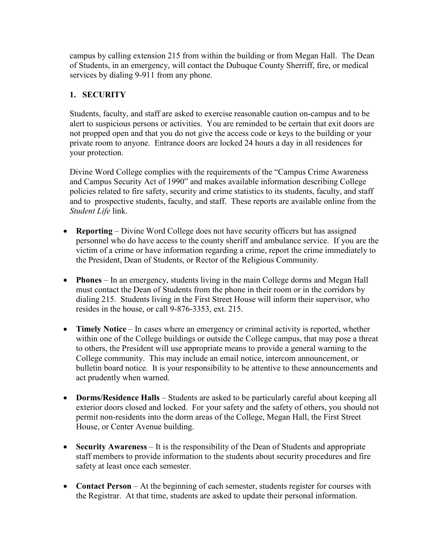campus by calling extension 215 from within the building or from Megan Hall. The Dean of Students, in an emergency, will contact the Dubuque County Sherriff, fire, or medical services by dialing 9-911 from any phone.

## **1. SECURITY**

Students, faculty, and staff are asked to exercise reasonable caution on-campus and to be alert to suspicious persons or activities. You are reminded to be certain that exit doors are not propped open and that you do not give the access code or keys to the building or your private room to anyone. Entrance doors are locked 24 hours a day in all residences for your protection.

Divine Word College complies with the requirements of the "Campus Crime Awareness and Campus Security Act of 1990" and makes available information describing College policies related to fire safety, security and crime statistics to its students, faculty, and staff and to prospective students, faculty, and staff. These reports are available online from the *Student Life* link.

- **Reporting** Divine Word College does not have security officers but has assigned personnel who do have access to the county sheriff and ambulance service. If you are the victim of a crime or have information regarding a crime, report the crime immediately to the President, Dean of Students, or Rector of the Religious Community.
- **Phones** In an emergency, students living in the main College dorms and Megan Hall must contact the Dean of Students from the phone in their room or in the corridors by dialing 215. Students living in the First Street House will inform their supervisor, who resides in the house, or call 9-876-3353, ext. 215.
- **Timely Notice** In cases where an emergency or criminal activity is reported, whether within one of the College buildings or outside the College campus, that may pose a threat to others, the President will use appropriate means to provide a general warning to the College community. This may include an email notice, intercom announcement, or bulletin board notice. It is your responsibility to be attentive to these announcements and act prudently when warned.
- **Dorms/Residence Halls** Students are asked to be particularly careful about keeping all exterior doors closed and locked. For your safety and the safety of others, you should not permit non-residents into the dorm areas of the College, Megan Hall, the First Street House, or Center Avenue building.
- **Security Awareness** It is the responsibility of the Dean of Students and appropriate staff members to provide information to the students about security procedures and fire safety at least once each semester.
- **Contact Person** At the beginning of each semester, students register for courses with the Registrar. At that time, students are asked to update their personal information.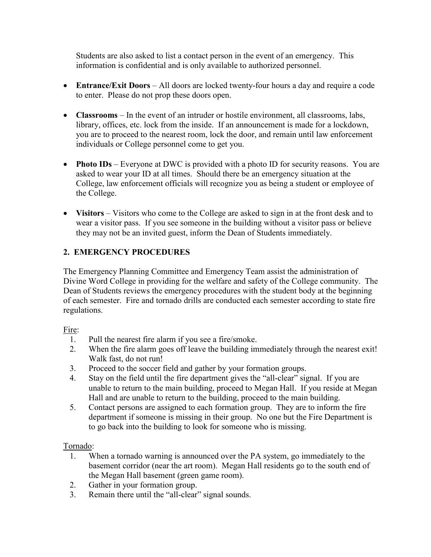Students are also asked to list a contact person in the event of an emergency. This information is confidential and is only available to authorized personnel.

- **Entrance/Exit Doors** All doors are locked twenty-four hours a day and require a code to enter. Please do not prop these doors open.
- **Classrooms** In the event of an intruder or hostile environment, all classrooms, labs, library, offices, etc. lock from the inside. If an announcement is made for a lockdown, you are to proceed to the nearest room, lock the door, and remain until law enforcement individuals or College personnel come to get you.
- **Photo IDs** Everyone at DWC is provided with a photo ID for security reasons. You are asked to wear your ID at all times. Should there be an emergency situation at the College, law enforcement officials will recognize you as being a student or employee of the College.
- Visitors Visitors who come to the College are asked to sign in at the front desk and to wear a visitor pass. If you see someone in the building without a visitor pass or believe they may not be an invited guest, inform the Dean of Students immediately.

## **2. EMERGENCY PROCEDURES**

The Emergency Planning Committee and Emergency Team assist the administration of Divine Word College in providing for the welfare and safety of the College community. The Dean of Students reviews the emergency procedures with the student body at the beginning of each semester. Fire and tornado drills are conducted each semester according to state fire regulations.

## Fire:

- 1. Pull the nearest fire alarm if you see a fire/smoke.
- 2. When the fire alarm goes off leave the building immediately through the nearest exit! Walk fast, do not run!
- 3. Proceed to the soccer field and gather by your formation groups.
- 4. Stay on the field until the fire department gives the "all-clear" signal. If you are unable to return to the main building, proceed to Megan Hall. If you reside at Megan Hall and are unable to return to the building, proceed to the main building.
- 5. Contact persons are assigned to each formation group. They are to inform the fire department if someone is missing in their group. No one but the Fire Department is to go back into the building to look for someone who is missing.

## Tornado:

- 1. When a tornado warning is announced over the PA system, go immediately to the basement corridor (near the art room). Megan Hall residents go to the south end of the Megan Hall basement (green game room).
- 2. Gather in your formation group.
- 3. Remain there until the "all-clear" signal sounds.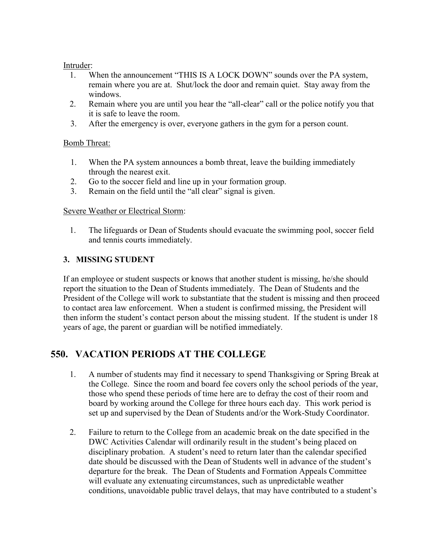#### Intruder:

- 1. When the announcement "THIS IS A LOCK DOWN" sounds over the PA system, remain where you are at. Shut/lock the door and remain quiet. Stay away from the windows.
- 2. Remain where you are until you hear the "all-clear" call or the police notify you that it is safe to leave the room.
- 3. After the emergency is over, everyone gathers in the gym for a person count.

## Bomb Threat:

- 1. When the PA system announces a bomb threat, leave the building immediately through the nearest exit.
- 2. Go to the soccer field and line up in your formation group.
- 3. Remain on the field until the "all clear" signal is given.

## Severe Weather or Electrical Storm:

1. The lifeguards or Dean of Students should evacuate the swimming pool, soccer field and tennis courts immediately.

## **3. MISSING STUDENT**

If an employee or student suspects or knows that another student is missing, he/she should report the situation to the Dean of Students immediately. The Dean of Students and the President of the College will work to substantiate that the student is missing and then proceed to contact area law enforcement. When a student is confirmed missing, the President will then inform the student's contact person about the missing student. If the student is under 18 years of age, the parent or guardian will be notified immediately.

# **550. VACATION PERIODS AT THE COLLEGE**

- 1. A number of students may find it necessary to spend Thanksgiving or Spring Break at the College. Since the room and board fee covers only the school periods of the year, those who spend these periods of time here are to defray the cost of their room and board by working around the College for three hours each day. This work period is set up and supervised by the Dean of Students and/or the Work-Study Coordinator.
- 2. Failure to return to the College from an academic break on the date specified in the DWC Activities Calendar will ordinarily result in the student's being placed on disciplinary probation. A student's need to return later than the calendar specified date should be discussed with the Dean of Students well in advance of the student's departure for the break. The Dean of Students and Formation Appeals Committee will evaluate any extenuating circumstances, such as unpredictable weather conditions, unavoidable public travel delays, that may have contributed to a student's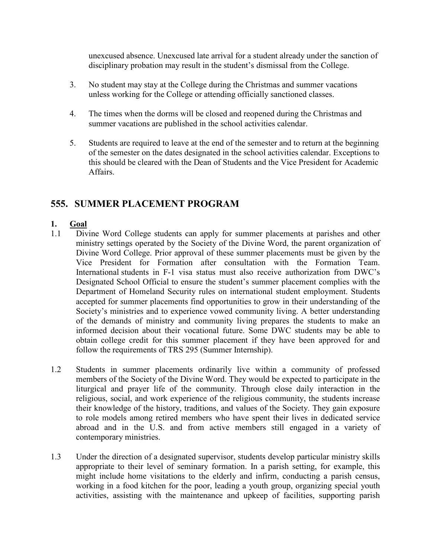unexcused absence. Unexcused late arrival for a student already under the sanction of disciplinary probation may result in the student's dismissal from the College.

- 3. No student may stay at the College during the Christmas and summer vacations unless working for the College or attending officially sanctioned classes.
- 4. The times when the dorms will be closed and reopened during the Christmas and summer vacations are published in the school activities calendar.
- 5. Students are required to leave at the end of the semester and to return at the beginning of the semester on the dates designated in the school activities calendar. Exceptions to this should be cleared with the Dean of Students and the Vice President for Academic Affairs.

## **555. SUMMER PLACEMENT PROGRAM**

#### **1. Goal**

- 1.1 Divine Word College students can apply for summer placements at parishes and other ministry settings operated by the Society of the Divine Word, the parent organization of Divine Word College. Prior approval of these summer placements must be given by the Vice President for Formation after consultation with the Formation Team. International students in F-1 visa status must also receive authorization from DWC's Designated School Official to ensure the student's summer placement complies with the Department of Homeland Security rules on international student employment. Students accepted for summer placements find opportunities to grow in their understanding of the Society's ministries and to experience vowed community living. A better understanding of the demands of ministry and community living prepares the students to make an informed decision about their vocational future. Some DWC students may be able to obtain college credit for this summer placement if they have been approved for and follow the requirements of TRS 295 (Summer Internship).
- 1.2 Students in summer placements ordinarily live within a community of professed members of the Society of the Divine Word. They would be expected to participate in the liturgical and prayer life of the community. Through close daily interaction in the religious, social, and work experience of the religious community, the students increase their knowledge of the history, traditions, and values of the Society. They gain exposure to role models among retired members who have spent their lives in dedicated service abroad and in the U.S. and from active members still engaged in a variety of contemporary ministries.
- 1.3 Under the direction of a designated supervisor, students develop particular ministry skills appropriate to their level of seminary formation. In a parish setting, for example, this might include home visitations to the elderly and infirm, conducting a parish census, working in a food kitchen for the poor, leading a youth group, organizing special youth activities, assisting with the maintenance and upkeep of facilities, supporting parish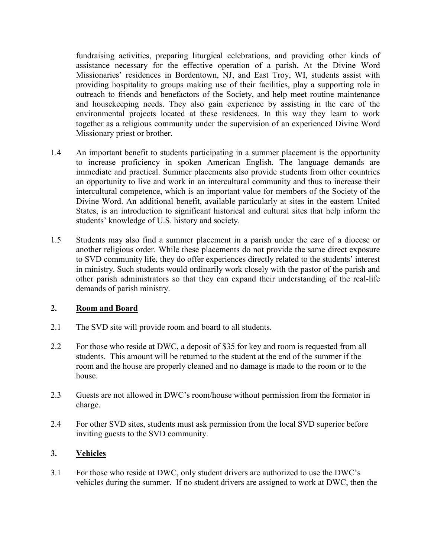fundraising activities, preparing liturgical celebrations, and providing other kinds of assistance necessary for the effective operation of a parish. At the Divine Word Missionaries' residences in Bordentown, NJ, and East Troy, WI, students assist with providing hospitality to groups making use of their facilities, play a supporting role in outreach to friends and benefactors of the Society, and help meet routine maintenance and housekeeping needs. They also gain experience by assisting in the care of the environmental projects located at these residences. In this way they learn to work together as a religious community under the supervision of an experienced Divine Word Missionary priest or brother.

- 1.4 An important benefit to students participating in a summer placement is the opportunity to increase proficiency in spoken American English. The language demands are immediate and practical. Summer placements also provide students from other countries an opportunity to live and work in an intercultural community and thus to increase their intercultural competence, which is an important value for members of the Society of the Divine Word. An additional benefit, available particularly at sites in the eastern United States, is an introduction to significant historical and cultural sites that help inform the students' knowledge of U.S. history and society.
- 1.5 Students may also find a summer placement in a parish under the care of a diocese or another religious order. While these placements do not provide the same direct exposure to SVD community life, they do offer experiences directly related to the students' interest in ministry. Such students would ordinarily work closely with the pastor of the parish and other parish administrators so that they can expand their understanding of the real-life demands of parish ministry.

## **2. Room and Board**

- 2.1 The SVD site will provide room and board to all students.
- 2.2 For those who reside at DWC, a deposit of \$35 for key and room is requested from all students. This amount will be returned to the student at the end of the summer if the room and the house are properly cleaned and no damage is made to the room or to the house.
- 2.3 Guests are not allowed in DWC's room/house without permission from the formator in charge.
- 2.4 For other SVD sites, students must ask permission from the local SVD superior before inviting guests to the SVD community.

## **3. Vehicles**

3.1 For those who reside at DWC, only student drivers are authorized to use the DWC's vehicles during the summer. If no student drivers are assigned to work at DWC, then the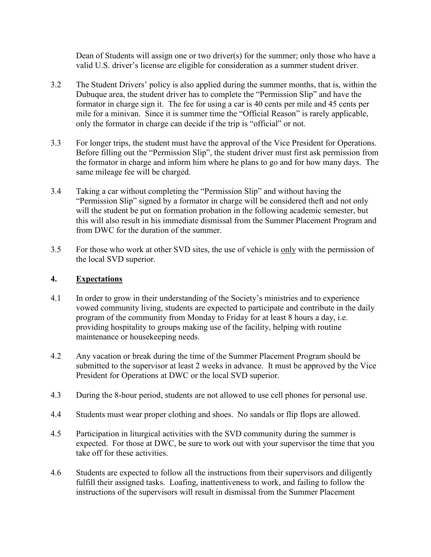Dean of Students will assign one or two driver(s) for the summer; only those who have a valid U.S. driver's license are eligible for consideration as a summer student driver.

- 3.2 The Student Drivers' policy is also applied during the summer months, that is, within the Dubuque area, the student driver has to complete the "Permission Slip" and have the formator in charge sign it. The fee for using a car is 40 cents per mile and 45 cents per mile for a minivan. Since it is summer time the "Official Reason" is rarely applicable, only the formator in charge can decide if the trip is "official" or not.
- 3.3 For longer trips, the student must have the approval of the Vice President for Operations. Before filling out the "Permission Slip", the student driver must first ask permission from the formator in charge and inform him where he plans to go and for how many days. The same mileage fee will be charged.
- 3.4 Taking a car without completing the "Permission Slip" and without having the "Permission Slip" signed by a formator in charge will be considered theft and not only will the student be put on formation probation in the following academic semester, but this will also result in his immediate dismissal from the Summer Placement Program and from DWC for the duration of the summer.
- 3.5 For those who work at other SVD sites, the use of vehicle is only with the permission of the local SVD superior.

#### **4. Expectations**

- 4.1 In order to grow in their understanding of the Society's ministries and to experience vowed community living, students are expected to participate and contribute in the daily program of the community from Monday to Friday for at least 8 hours a day, i.e. providing hospitality to groups making use of the facility, helping with routine maintenance or housekeeping needs.
- 4.2 Any vacation or break during the time of the Summer Placement Program should be submitted to the supervisor at least 2 weeks in advance. It must be approved by the Vice President for Operations at DWC or the local SVD superior.
- 4.3 During the 8-hour period, students are not allowed to use cell phones for personal use.
- 4.4 Students must wear proper clothing and shoes. No sandals or flip flops are allowed.
- 4.5 Participation in liturgical activities with the SVD community during the summer is expected. For those at DWC, be sure to work out with your supervisor the time that you take off for these activities.
- 4.6 Students are expected to follow all the instructions from their supervisors and diligently fulfill their assigned tasks. Loafing, inattentiveness to work, and failing to follow the instructions of the supervisors will result in dismissal from the Summer Placement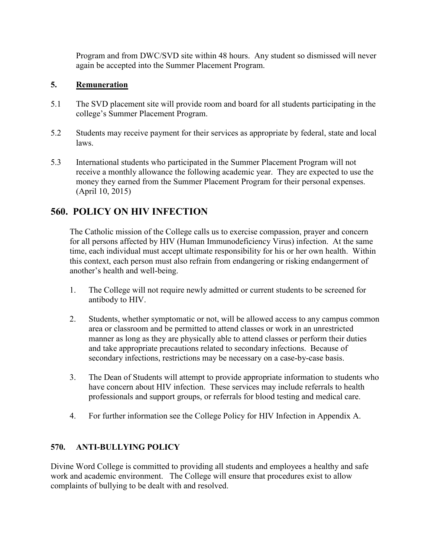Program and from DWC/SVD site within 48 hours. Any student so dismissed will never again be accepted into the Summer Placement Program.

#### **5. Remuneration**

- 5.1 The SVD placement site will provide room and board for all students participating in the college's Summer Placement Program.
- 5.2 Students may receive payment for their services as appropriate by federal, state and local laws.
- 5.3 International students who participated in the Summer Placement Program will not receive a monthly allowance the following academic year. They are expected to use the money they earned from the Summer Placement Program for their personal expenses. (April 10, 2015)

# **560. POLICY ON HIV INFECTION**

The Catholic mission of the College calls us to exercise compassion, prayer and concern for all persons affected by HIV (Human Immunodeficiency Virus) infection. At the same time, each individual must accept ultimate responsibility for his or her own health. Within this context, each person must also refrain from endangering or risking endangerment of another's health and well-being.

- 1. The College will not require newly admitted or current students to be screened for antibody to HIV.
- 2. Students, whether symptomatic or not, will be allowed access to any campus common area or classroom and be permitted to attend classes or work in an unrestricted manner as long as they are physically able to attend classes or perform their duties and take appropriate precautions related to secondary infections. Because of secondary infections, restrictions may be necessary on a case-by-case basis.
- 3. The Dean of Students will attempt to provide appropriate information to students who have concern about HIV infection. These services may include referrals to health professionals and support groups, or referrals for blood testing and medical care.
- 4. For further information see the College Policy for HIV Infection in Appendix A.

## **570. ANTI-BULLYING POLICY**

Divine Word College is committed to providing all students and employees a healthy and safe work and academic environment. The College will ensure that procedures exist to allow complaints of bullying to be dealt with and resolved.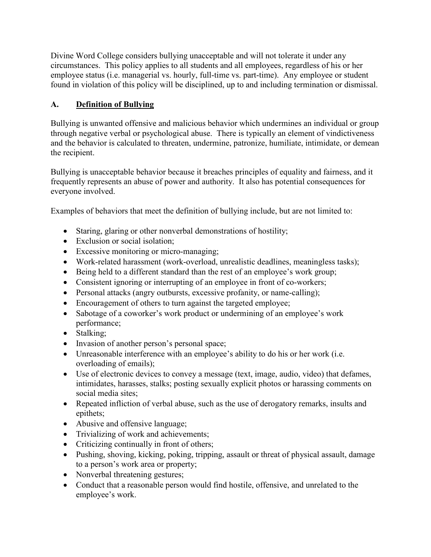Divine Word College considers bullying unacceptable and will not tolerate it under any circumstances. This policy applies to all students and all employees, regardless of his or her employee status (i.e. managerial vs. hourly, full-time vs. part-time). Any employee or student found in violation of this policy will be disciplined, up to and including termination or dismissal.

## **A. Definition of Bullying**

Bullying is unwanted offensive and malicious behavior which undermines an individual or group through negative verbal or psychological abuse. There is typically an element of vindictiveness and the behavior is calculated to threaten, undermine, patronize, humiliate, intimidate, or demean the recipient.

Bullying is unacceptable behavior because it breaches principles of equality and fairness, and it frequently represents an abuse of power and authority. It also has potential consequences for everyone involved.

Examples of behaviors that meet the definition of bullying include, but are not limited to:

- Staring, glaring or other nonverbal demonstrations of hostility;
- Exclusion or social isolation:
- Excessive monitoring or micro-managing;
- Work-related harassment (work-overload, unrealistic deadlines, meaningless tasks);
- Being held to a different standard than the rest of an employee's work group;
- Consistent ignoring or interrupting of an employee in front of co-workers;
- Personal attacks (angry outbursts, excessive profanity, or name-calling);
- Encouragement of others to turn against the targeted employee;
- Sabotage of a coworker's work product or undermining of an employee's work performance;
- Stalking;
- Invasion of another person's personal space;
- Unreasonable interference with an employee's ability to do his or her work (i.e. overloading of emails);
- Use of electronic devices to convey a message (text, image, audio, video) that defames, intimidates, harasses, stalks; posting sexually explicit photos or harassing comments on social media sites;
- Repeated infliction of verbal abuse, such as the use of derogatory remarks, insults and epithets;
- Abusive and offensive language;
- Trivializing of work and achievements;
- Criticizing continually in front of others;
- Pushing, shoving, kicking, poking, tripping, assault or threat of physical assault, damage to a person's work area or property;
- Nonverbal threatening gestures;
- Conduct that a reasonable person would find hostile, offensive, and unrelated to the employee's work.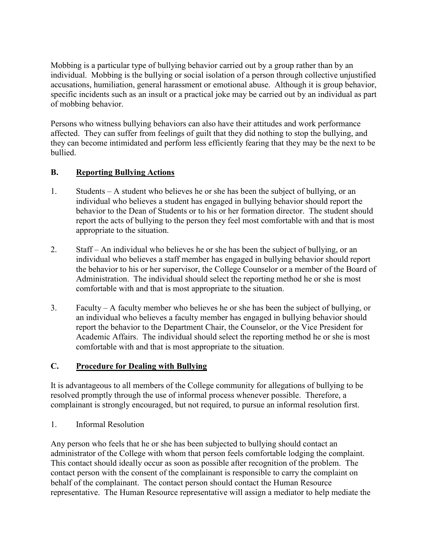Mobbing is a particular type of bullying behavior carried out by a group rather than by an individual. Mobbing is the bullying or social isolation of a person through collective unjustified accusations, humiliation, general harassment or emotional abuse. Although it is group behavior, specific incidents such as an insult or a practical joke may be carried out by an individual as part of mobbing behavior.

Persons who witness bullying behaviors can also have their attitudes and work performance affected. They can suffer from feelings of guilt that they did nothing to stop the bullying, and they can become intimidated and perform less efficiently fearing that they may be the next to be bullied.

#### **B. Reporting Bullying Actions**

- 1. Students A student who believes he or she has been the subject of bullying, or an individual who believes a student has engaged in bullying behavior should report the behavior to the Dean of Students or to his or her formation director. The student should report the acts of bullying to the person they feel most comfortable with and that is most appropriate to the situation.
- 2. Staff An individual who believes he or she has been the subject of bullying, or an individual who believes a staff member has engaged in bullying behavior should report the behavior to his or her supervisor, the College Counselor or a member of the Board of Administration. The individual should select the reporting method he or she is most comfortable with and that is most appropriate to the situation.
- 3. Faculty A faculty member who believes he or she has been the subject of bullying, or an individual who believes a faculty member has engaged in bullying behavior should report the behavior to the Department Chair, the Counselor, or the Vice President for Academic Affairs. The individual should select the reporting method he or she is most comfortable with and that is most appropriate to the situation.

#### **C. Procedure for Dealing with Bullying**

It is advantageous to all members of the College community for allegations of bullying to be resolved promptly through the use of informal process whenever possible. Therefore, a complainant is strongly encouraged, but not required, to pursue an informal resolution first.

1. Informal Resolution

Any person who feels that he or she has been subjected to bullying should contact an administrator of the College with whom that person feels comfortable lodging the complaint. This contact should ideally occur as soon as possible after recognition of the problem. The contact person with the consent of the complainant is responsible to carry the complaint on behalf of the complainant. The contact person should contact the Human Resource representative. The Human Resource representative will assign a mediator to help mediate the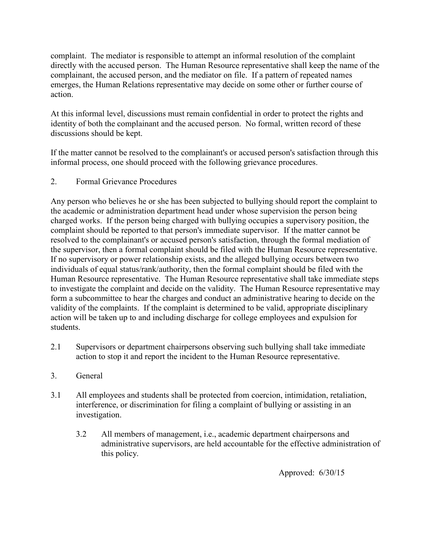complaint. The mediator is responsible to attempt an informal resolution of the complaint directly with the accused person. The Human Resource representative shall keep the name of the complainant, the accused person, and the mediator on file. If a pattern of repeated names emerges, the Human Relations representative may decide on some other or further course of action.

At this informal level, discussions must remain confidential in order to protect the rights and identity of both the complainant and the accused person. No formal, written record of these discussions should be kept.

If the matter cannot be resolved to the complainant's or accused person's satisfaction through this informal process, one should proceed with the following grievance procedures.

2. Formal Grievance Procedures

Any person who believes he or she has been subjected to bullying should report the complaint to the academic or administration department head under whose supervision the person being charged works. If the person being charged with bullying occupies a supervisory position, the complaint should be reported to that person's immediate supervisor. If the matter cannot be resolved to the complainant's or accused person's satisfaction, through the formal mediation of the supervisor, then a formal complaint should be filed with the Human Resource representative. If no supervisory or power relationship exists, and the alleged bullying occurs between two individuals of equal status/rank/authority, then the formal complaint should be filed with the Human Resource representative. The Human Resource representative shall take immediate steps to investigate the complaint and decide on the validity. The Human Resource representative may form a subcommittee to hear the charges and conduct an administrative hearing to decide on the validity of the complaints. If the complaint is determined to be valid, appropriate disciplinary action will be taken up to and including discharge for college employees and expulsion for students.

- 2.1 Supervisors or department chairpersons observing such bullying shall take immediate action to stop it and report the incident to the Human Resource representative.
- 3. General
- 3.1 All employees and students shall be protected from coercion, intimidation, retaliation, interference, or discrimination for filing a complaint of bullying or assisting in an investigation.
	- 3.2 All members of management, i.e., academic department chairpersons and administrative supervisors, are held accountable for the effective administration of this policy.

Approved: 6/30/15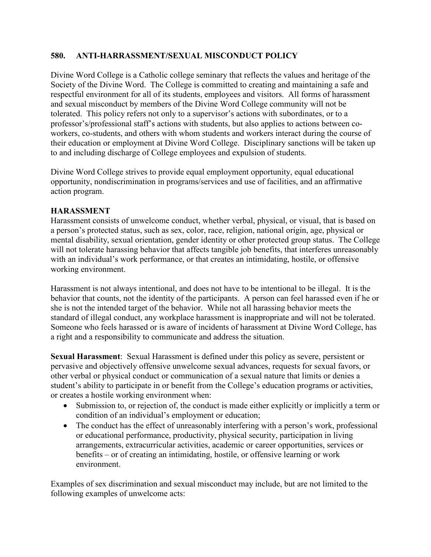#### **580. ANTI-HARRASSMENT/SEXUAL MISCONDUCT POLICY**

Divine Word College is a Catholic college seminary that reflects the values and heritage of the Society of the Divine Word. The College is committed to creating and maintaining a safe and respectful environment for all of its students, employees and visitors. All forms of harassment and sexual misconduct by members of the Divine Word College community will not be tolerated. This policy refers not only to a supervisor's actions with subordinates, or to a professor's/professional staff's actions with students, but also applies to actions between coworkers, co-students, and others with whom students and workers interact during the course of their education or employment at Divine Word College. Disciplinary sanctions will be taken up to and including discharge of College employees and expulsion of students.

Divine Word College strives to provide equal employment opportunity, equal educational opportunity, nondiscrimination in programs/services and use of facilities, and an affirmative action program.

#### **HARASSMENT**

Harassment consists of unwelcome conduct, whether verbal, physical, or visual, that is based on a person's protected status, such as sex, color, race, religion, national origin, age, physical or mental disability, sexual orientation, gender identity or other protected group status. The College will not tolerate harassing behavior that affects tangible job benefits, that interferes unreasonably with an individual's work performance, or that creates an intimidating, hostile, or offensive working environment.

Harassment is not always intentional, and does not have to be intentional to be illegal. It is the behavior that counts, not the identity of the participants. A person can feel harassed even if he or she is not the intended target of the behavior. While not all harassing behavior meets the standard of illegal conduct, any workplace harassment is inappropriate and will not be tolerated. Someone who feels harassed or is aware of incidents of harassment at Divine Word College, has a right and a responsibility to communicate and address the situation.

**Sexual Harassment**: Sexual Harassment is defined under this policy as severe, persistent or pervasive and objectively offensive unwelcome sexual advances, requests for sexual favors, or other verbal or physical conduct or communication of a sexual nature that limits or denies a student's ability to participate in or benefit from the College's education programs or activities, or creates a hostile working environment when:

- Submission to, or rejection of, the conduct is made either explicitly or implicitly a term or condition of an individual's employment or education;
- The conduct has the effect of unreasonably interfering with a person's work, professional or educational performance, productivity, physical security, participation in living arrangements, extracurricular activities, academic or career opportunities, services or benefits – or of creating an intimidating, hostile, or offensive learning or work environment.

Examples of sex discrimination and sexual misconduct may include, but are not limited to the following examples of unwelcome acts: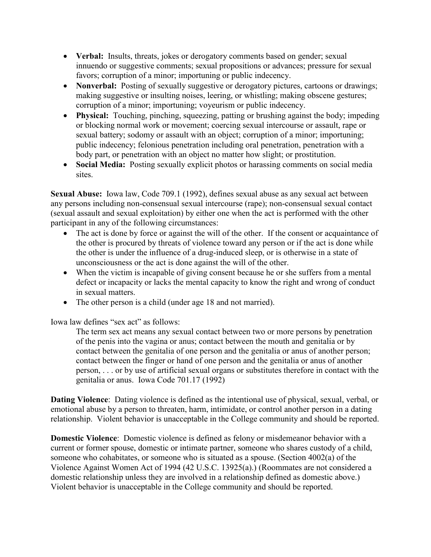- **Verbal:** Insults, threats, jokes or derogatory comments based on gender; sexual innuendo or suggestive comments; sexual propositions or advances; pressure for sexual favors; corruption of a minor; importuning or public indecency.
- **Nonverbal:** Posting of sexually suggestive or derogatory pictures, cartoons or drawings; making suggestive or insulting noises, leering, or whistling; making obscene gestures; corruption of a minor; importuning; voyeurism or public indecency.
- **Physical:** Touching, pinching, squeezing, patting or brushing against the body; impeding or blocking normal work or movement; coercing sexual intercourse or assault, rape or sexual battery; sodomy or assault with an object; corruption of a minor; importuning; public indecency; felonious penetration including oral penetration, penetration with a body part, or penetration with an object no matter how slight; or prostitution.
- **Social Media:** Posting sexually explicit photos or harassing comments on social media sites.

**Sexual Abuse:** Iowa law, Code 709.1 (1992), defines sexual abuse as any sexual act between any persons including non-consensual sexual intercourse (rape); non-consensual sexual contact (sexual assault and sexual exploitation) by either one when the act is performed with the other participant in any of the following circumstances:

- The act is done by force or against the will of the other. If the consent or acquaintance of the other is procured by threats of violence toward any person or if the act is done while the other is under the influence of a drug-induced sleep, or is otherwise in a state of unconsciousness or the act is done against the will of the other.
- When the victim is incapable of giving consent because he or she suffers from a mental defect or incapacity or lacks the mental capacity to know the right and wrong of conduct in sexual matters.
- The other person is a child (under age 18 and not married).

Iowa law defines "sex act" as follows:

The term sex act means any sexual contact between two or more persons by penetration of the penis into the vagina or anus; contact between the mouth and genitalia or by contact between the genitalia of one person and the genitalia or anus of another person; contact between the finger or hand of one person and the genitalia or anus of another person, . . . or by use of artificial sexual organs or substitutes therefore in contact with the genitalia or anus. Iowa Code 701.17 (1992)

**Dating Violence**: Dating violence is defined as the intentional use of physical, sexual, verbal, or emotional abuse by a person to threaten, harm, intimidate, or control another person in a dating relationship. Violent behavior is unacceptable in the College community and should be reported.

**Domestic Violence**: Domestic violence is defined as felony or misdemeanor behavior with a current or former spouse, domestic or intimate partner, someone who shares custody of a child, someone who cohabitates, or someone who is situated as a spouse. (Section 4002(a) of the Violence Against Women Act of 1994 (42 U.S.C. 13925(a).) (Roommates are not considered a domestic relationship unless they are involved in a relationship defined as domestic above.) Violent behavior is unacceptable in the College community and should be reported.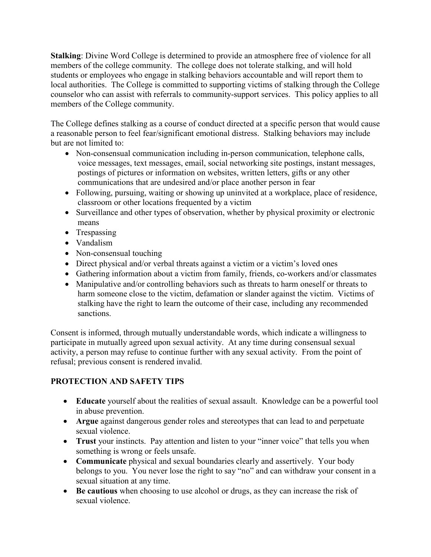**Stalking**: Divine Word College is determined to provide an atmosphere free of violence for all members of the college community. The college does not tolerate stalking, and will hold students or employees who engage in stalking behaviors accountable and will report them to local authorities. The College is committed to supporting victims of stalking through the College counselor who can assist with referrals to community-support services. This policy applies to all members of the College community.

The College defines stalking as a course of conduct directed at a specific person that would cause a reasonable person to feel fear/significant emotional distress. Stalking behaviors may include but are not limited to:

- Non-consensual communication including in-person communication, telephone calls, voice messages, text messages, email, social networking site postings, instant messages, postings of pictures or information on websites, written letters, gifts or any other communications that are undesired and/or place another person in fear
- Following, pursuing, waiting or showing up uninvited at a workplace, place of residence, classroom or other locations frequented by a victim
- Surveillance and other types of observation, whether by physical proximity or electronic means
- Trespassing
- Vandalism
- Non-consensual touching
- Direct physical and/or verbal threats against a victim or a victim's loved ones
- Gathering information about a victim from family, friends, co-workers and/or classmates
- Manipulative and/or controlling behaviors such as threats to harm oneself or threats to harm someone close to the victim, defamation or slander against the victim. Victims of stalking have the right to learn the outcome of their case, including any recommended sanctions.

Consent is informed, through mutually understandable words, which indicate a willingness to participate in mutually agreed upon sexual activity. At any time during consensual sexual activity, a person may refuse to continue further with any sexual activity. From the point of refusal; previous consent is rendered invalid.

## **PROTECTION AND SAFETY TIPS**

- **Educate** yourself about the realities of sexual assault. Knowledge can be a powerful tool in abuse prevention.
- **Argue** against dangerous gender roles and stereotypes that can lead to and perpetuate sexual violence.
- **Trust** your instincts. Pay attention and listen to your "inner voice" that tells you when something is wrong or feels unsafe.
- **Communicate** physical and sexual boundaries clearly and assertively. Your body belongs to you. You never lose the right to say "no" and can withdraw your consent in a sexual situation at any time.
- **Be cautious** when choosing to use alcohol or drugs, as they can increase the risk of sexual violence.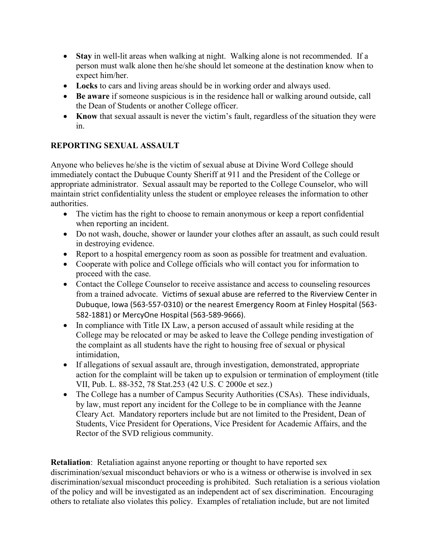- **Stay** in well-lit areas when walking at night. Walking alone is not recommended. If a person must walk alone then he/she should let someone at the destination know when to expect him/her.
- **Locks** to cars and living areas should be in working order and always used.
- **Be aware** if someone suspicious is in the residence hall or walking around outside, call the Dean of Students or another College officer.
- **Know** that sexual assault is never the victim's fault, regardless of the situation they were in.

## **REPORTING SEXUAL ASSAULT**

Anyone who believes he/she is the victim of sexual abuse at Divine Word College should immediately contact the Dubuque County Sheriff at 911 and the President of the College or appropriate administrator. Sexual assault may be reported to the College Counselor, who will maintain strict confidentiality unless the student or employee releases the information to other authorities.

- The victim has the right to choose to remain anonymous or keep a report confidential when reporting an incident.
- Do not wash, douche, shower or launder your clothes after an assault, as such could result in destroying evidence.
- Report to a hospital emergency room as soon as possible for treatment and evaluation.
- Cooperate with police and College officials who will contact you for information to proceed with the case.
- Contact the College Counselor to receive assistance and access to counseling resources from a trained advocate. Victims of sexual abuse are referred to the Riverview Center in Dubuque, Iowa (563-557-0310) or the nearest Emergency Room at Finley Hospital (563- 582-1881) or MercyOne Hospital (563-589-9666).
- In compliance with Title IX Law, a person accused of assault while residing at the College may be relocated or may be asked to leave the College pending investigation of the complaint as all students have the right to housing free of sexual or physical intimidation,
- If allegations of sexual assault are, through investigation, demonstrated, appropriate action for the complaint will be taken up to expulsion or termination of employment (title VII, Pub. L. 88-352, 78 Stat.253 (42 U.S. C 2000e et sez.)
- The College has a number of Campus Security Authorities (CSAs). These individuals, by law, must report any incident for the College to be in compliance with the Jeanne Cleary Act. Mandatory reporters include but are not limited to the President, Dean of Students, Vice President for Operations, Vice President for Academic Affairs, and the Rector of the SVD religious community.

**Retaliation**: Retaliation against anyone reporting or thought to have reported sex discrimination/sexual misconduct behaviors or who is a witness or otherwise is involved in sex discrimination/sexual misconduct proceeding is prohibited. Such retaliation is a serious violation of the policy and will be investigated as an independent act of sex discrimination. Encouraging others to retaliate also violates this policy. Examples of retaliation include, but are not limited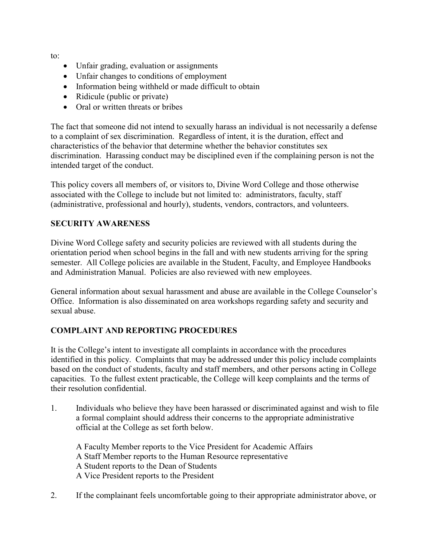to:

- Unfair grading, evaluation or assignments
- Unfair changes to conditions of employment
- Information being withheld or made difficult to obtain
- Ridicule (public or private)
- Oral or written threats or bribes

The fact that someone did not intend to sexually harass an individual is not necessarily a defense to a complaint of sex discrimination. Regardless of intent, it is the duration, effect and characteristics of the behavior that determine whether the behavior constitutes sex discrimination. Harassing conduct may be disciplined even if the complaining person is not the intended target of the conduct.

This policy covers all members of, or visitors to, Divine Word College and those otherwise associated with the College to include but not limited to: administrators, faculty, staff (administrative, professional and hourly), students, vendors, contractors, and volunteers.

#### **SECURITY AWARENESS**

Divine Word College safety and security policies are reviewed with all students during the orientation period when school begins in the fall and with new students arriving for the spring semester. All College policies are available in the Student, Faculty, and Employee Handbooks and Administration Manual. Policies are also reviewed with new employees.

General information about sexual harassment and abuse are available in the College Counselor's Office. Information is also disseminated on area workshops regarding safety and security and sexual abuse.

#### **COMPLAINT AND REPORTING PROCEDURES**

It is the College's intent to investigate all complaints in accordance with the procedures identified in this policy. Complaints that may be addressed under this policy include complaints based on the conduct of students, faculty and staff members, and other persons acting in College capacities. To the fullest extent practicable, the College will keep complaints and the terms of their resolution confidential.

1. Individuals who believe they have been harassed or discriminated against and wish to file a formal complaint should address their concerns to the appropriate administrative official at the College as set forth below.

A Faculty Member reports to the Vice President for Academic Affairs A Staff Member reports to the Human Resource representative A Student reports to the Dean of Students A Vice President reports to the President

2. If the complainant feels uncomfortable going to their appropriate administrator above, or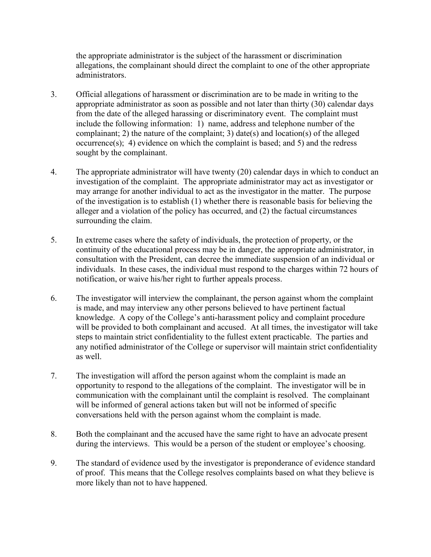the appropriate administrator is the subject of the harassment or discrimination allegations, the complainant should direct the complaint to one of the other appropriate administrators.

- 3. Official allegations of harassment or discrimination are to be made in writing to the appropriate administrator as soon as possible and not later than thirty (30) calendar days from the date of the alleged harassing or discriminatory event. The complaint must include the following information: 1) name, address and telephone number of the complainant; 2) the nature of the complaint; 3) date(s) and location(s) of the alleged occurrence(s); 4) evidence on which the complaint is based; and 5) and the redress sought by the complainant.
- 4. The appropriate administrator will have twenty (20) calendar days in which to conduct an investigation of the complaint. The appropriate administrator may act as investigator or may arrange for another individual to act as the investigator in the matter. The purpose of the investigation is to establish (1) whether there is reasonable basis for believing the alleger and a violation of the policy has occurred, and (2) the factual circumstances surrounding the claim.
- 5. In extreme cases where the safety of individuals, the protection of property, or the continuity of the educational process may be in danger, the appropriate administrator, in consultation with the President, can decree the immediate suspension of an individual or individuals. In these cases, the individual must respond to the charges within 72 hours of notification, or waive his/her right to further appeals process.
- 6. The investigator will interview the complainant, the person against whom the complaint is made, and may interview any other persons believed to have pertinent factual knowledge. A copy of the College's anti-harassment policy and complaint procedure will be provided to both complainant and accused. At all times, the investigator will take steps to maintain strict confidentiality to the fullest extent practicable. The parties and any notified administrator of the College or supervisor will maintain strict confidentiality as well.
- 7. The investigation will afford the person against whom the complaint is made an opportunity to respond to the allegations of the complaint. The investigator will be in communication with the complainant until the complaint is resolved. The complainant will be informed of general actions taken but will not be informed of specific conversations held with the person against whom the complaint is made.
- 8. Both the complainant and the accused have the same right to have an advocate present during the interviews. This would be a person of the student or employee's choosing.
- 9. The standard of evidence used by the investigator is preponderance of evidence standard of proof. This means that the College resolves complaints based on what they believe is more likely than not to have happened.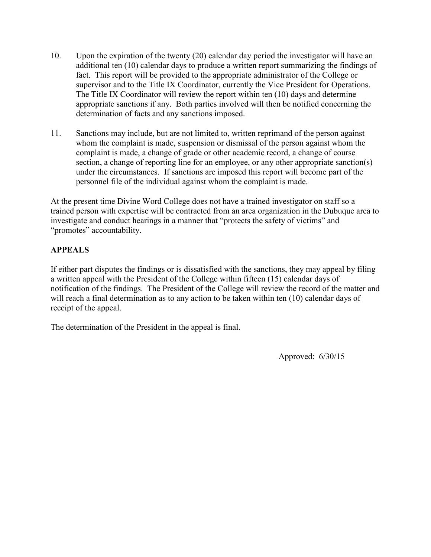- 10. Upon the expiration of the twenty (20) calendar day period the investigator will have an additional ten (10) calendar days to produce a written report summarizing the findings of fact. This report will be provided to the appropriate administrator of the College or supervisor and to the Title IX Coordinator, currently the Vice President for Operations. The Title IX Coordinator will review the report within ten (10) days and determine appropriate sanctions if any. Both parties involved will then be notified concerning the determination of facts and any sanctions imposed.
- 11. Sanctions may include, but are not limited to, written reprimand of the person against whom the complaint is made, suspension or dismissal of the person against whom the complaint is made, a change of grade or other academic record, a change of course section, a change of reporting line for an employee, or any other appropriate sanction(s) under the circumstances. If sanctions are imposed this report will become part of the personnel file of the individual against whom the complaint is made.

At the present time Divine Word College does not have a trained investigator on staff so a trained person with expertise will be contracted from an area organization in the Dubuque area to investigate and conduct hearings in a manner that "protects the safety of victims" and "promotes" accountability.

## **APPEALS**

If either part disputes the findings or is dissatisfied with the sanctions, they may appeal by filing a written appeal with the President of the College within fifteen (15) calendar days of notification of the findings. The President of the College will review the record of the matter and will reach a final determination as to any action to be taken within ten (10) calendar days of receipt of the appeal.

The determination of the President in the appeal is final.

Approved: 6/30/15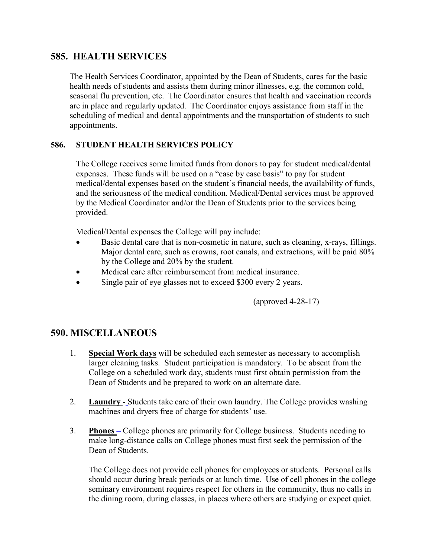## **585. HEALTH SERVICES**

The Health Services Coordinator, appointed by the Dean of Students, cares for the basic health needs of students and assists them during minor illnesses, e.g. the common cold, seasonal flu prevention, etc. The Coordinator ensures that health and vaccination records are in place and regularly updated. The Coordinator enjoys assistance from staff in the scheduling of medical and dental appointments and the transportation of students to such appointments.

#### **586. STUDENT HEALTH SERVICES POLICY**

The College receives some limited funds from donors to pay for student medical/dental expenses. These funds will be used on a "case by case basis" to pay for student medical/dental expenses based on the student's financial needs, the availability of funds, and the seriousness of the medical condition. Medical/Dental services must be approved by the Medical Coordinator and/or the Dean of Students prior to the services being provided.

Medical/Dental expenses the College will pay include:

- Basic dental care that is non-cosmetic in nature, such as cleaning, x-rays, fillings. Major dental care, such as crowns, root canals, and extractions, will be paid 80% by the College and 20% by the student.
- Medical care after reimbursement from medical insurance.
- Single pair of eye glasses not to exceed \$300 every 2 years.

(approved 4-28-17)

## **590. MISCELLANEOUS**

- 1. **Special Work days** will be scheduled each semester as necessary to accomplish larger cleaning tasks. Student participation is mandatory. To be absent from the College on a scheduled work day, students must first obtain permission from the Dean of Students and be prepared to work on an alternate date.
- 2. **Laundry** Students take care of their own laundry. The College provides washing machines and dryers free of charge for students' use.
- 3. **Phones –** College phones are primarily for College business. Students needing to make long-distance calls on College phones must first seek the permission of the Dean of Students.

The College does not provide cell phones for employees or students. Personal calls should occur during break periods or at lunch time. Use of cell phones in the college seminary environment requires respect for others in the community, thus no calls in the dining room, during classes, in places where others are studying or expect quiet.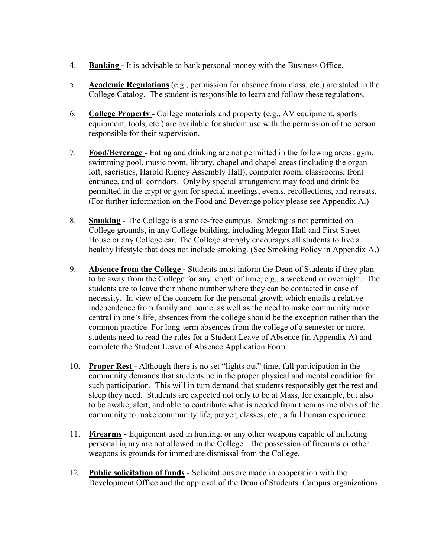- 4. **Banking -** It is advisable to bank personal money with the Business Office.
- 5. **Academic Regulations** (e.g., permission for absence from class, etc.) are stated in the College Catalog. The student is responsible to learn and follow these regulations.
- 6. **College Property -** College materials and property (e.g., AV equipment, sports equipment, tools, etc.) are available for student use with the permission of the person responsible for their supervision.
- 7. **Food/Beverage -** Eating and drinking are not permitted in the following areas: gym, swimming pool, music room, library, chapel and chapel areas (including the organ loft, sacristies, Harold Rigney Assembly Hall), computer room, classrooms, front entrance, and all corridors. Only by special arrangement may food and drink be permitted in the crypt or gym for special meetings, events, recollections, and retreats. (For further information on the Food and Beverage policy please see Appendix A.)
- 8. **Smoking** The College is a smoke-free campus. Smoking is not permitted on College grounds, in any College building, including Megan Hall and First Street House or any College car. The College strongly encourages all students to live a healthy lifestyle that does not include smoking. (See Smoking Policy in Appendix A.)
- 9. **Absence from the College -** Students must inform the Dean of Students if they plan to be away from the College for any length of time, e.g., a weekend or overnight. The students are to leave their phone number where they can be contacted in case of necessity. In view of the concern for the personal growth which entails a relative independence from family and home, as well as the need to make community more central in one's life, absences from the college should be the exception rather than the common practice. For long-term absences from the college of a semester or more, students need to read the rules for a Student Leave of Absence (in Appendix A) and complete the Student Leave of Absence Application Form.
- 10. **Proper Rest -** Although there is no set "lights out" time, full participation in the community demands that students be in the proper physical and mental condition for such participation. This will in turn demand that students responsibly get the rest and sleep they need. Students are expected not only to be at Mass, for example, but also to be awake, alert, and able to contribute what is needed from them as members of the community to make community life, prayer, classes, etc., a full human experience.
- 11. **Firearms** Equipment used in hunting, or any other weapons capable of inflicting personal injury are not allowed in the College. The possession of firearms or other weapons is grounds for immediate dismissal from the College.
- 12. **Public solicitation of funds** Solicitations are made in cooperation with the Development Office and the approval of the Dean of Students. Campus organizations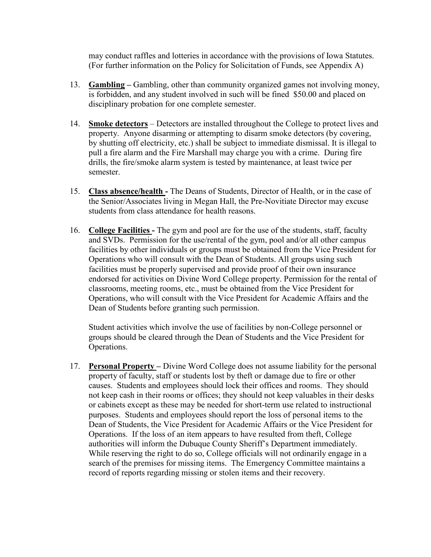may conduct raffles and lotteries in accordance with the provisions of Iowa Statutes. (For further information on the Policy for Solicitation of Funds, see Appendix A)

- 13. **Gambling –** Gambling, other than community organized games not involving money, is forbidden, and any student involved in such will be fined \$50.00 and placed on disciplinary probation for one complete semester.
- 14. **Smoke detectors** Detectors are installed throughout the College to protect lives and property. Anyone disarming or attempting to disarm smoke detectors (by covering, by shutting off electricity, etc.) shall be subject to immediate dismissal. It is illegal to pull a fire alarm and the Fire Marshall may charge you with a crime. During fire drills, the fire/smoke alarm system is tested by maintenance, at least twice per semester.
- 15. **Class absence/health -** The Deans of Students, Director of Health, or in the case of the Senior/Associates living in Megan Hall, the Pre-Novitiate Director may excuse students from class attendance for health reasons.
- 16. **College Facilities -** The gym and pool are for the use of the students, staff, faculty and SVDs. Permission for the use/rental of the gym, pool and/or all other campus facilities by other individuals or groups must be obtained from the Vice President for Operations who will consult with the Dean of Students. All groups using such facilities must be properly supervised and provide proof of their own insurance endorsed for activities on Divine Word College property. Permission for the rental of classrooms, meeting rooms, etc., must be obtained from the Vice President for Operations, who will consult with the Vice President for Academic Affairs and the Dean of Students before granting such permission.

Student activities which involve the use of facilities by non-College personnel or groups should be cleared through the Dean of Students and the Vice President for Operations.

17. **Personal Property –** Divine Word College does not assume liability for the personal property of faculty, staff or students lost by theft or damage due to fire or other causes. Students and employees should lock their offices and rooms. They should not keep cash in their rooms or offices; they should not keep valuables in their desks or cabinets except as these may be needed for short-term use related to instructional purposes. Students and employees should report the loss of personal items to the Dean of Students, the Vice President for Academic Affairs or the Vice President for Operations. If the loss of an item appears to have resulted from theft, College authorities will inform the Dubuque County Sheriff's Department immediately. While reserving the right to do so, College officials will not ordinarily engage in a search of the premises for missing items. The Emergency Committee maintains a record of reports regarding missing or stolen items and their recovery.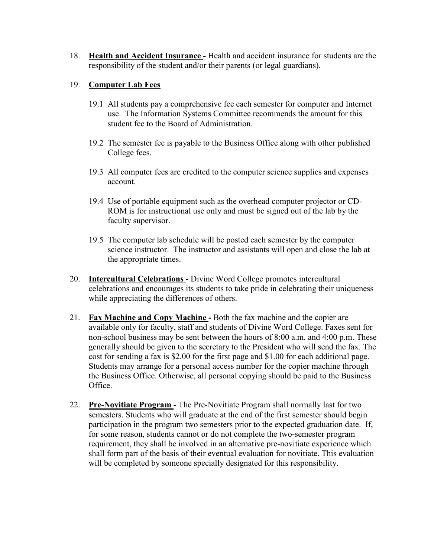18. **Health and Accident Insurance -** Health and accident insurance for students are the responsibility of the student and/or their parents (or legal guardians).

#### 19. **Computer Lab Fees**

- 19.1 All students pay a comprehensive fee each semester for computer and Internet use. The Information Systems Committee recommends the amount for this student fee to the Board of Administration.
- 19.2 The semester fee is payable to the Business Office along with other published College fees.
- 19.3 All computer fees are credited to the computer science supplies and expenses account.
- 19.4 Use of portable equipment such as the overhead computer projector or CD-ROM is for instructional use only and must be signed out of the lab by the faculty supervisor.
- 19.5 The computer lab schedule will be posted each semester by the computer science instructor. The instructor and assistants will open and close the lab at the appropriate times.
- 20. **Intercultural Celebrations -** Divine Word College promotes intercultural celebrations and encourages its students to take pride in celebrating their uniqueness while appreciating the differences of others.
- 21. **Fax Machine and Copy Machine -** Both the fax machine and the copier are available only for faculty, staff and students of Divine Word College. Faxes sent for non-school business may be sent between the hours of 8:00 a.m. and 4:00 p.m. These generally should be given to the secretary to the President who will send the fax. The cost for sending a fax is \$2.00 for the first page and \$1.00 for each additional page. Students may arrange for a personal access number for the copier machine through the Business Office. Otherwise, all personal copying should be paid to the Business Office.
- 22. **Pre-Novitiate Program -** The Pre-Novitiate Program shall normally last for two semesters. Students who will graduate at the end of the first semester should begin participation in the program two semesters prior to the expected graduation date. If, for some reason, students cannot or do not complete the two-semester program requirement, they shall be involved in an alternative pre-novitiate experience which shall form part of the basis of their eventual evaluation for novitiate. This evaluation will be completed by someone specially designated for this responsibility.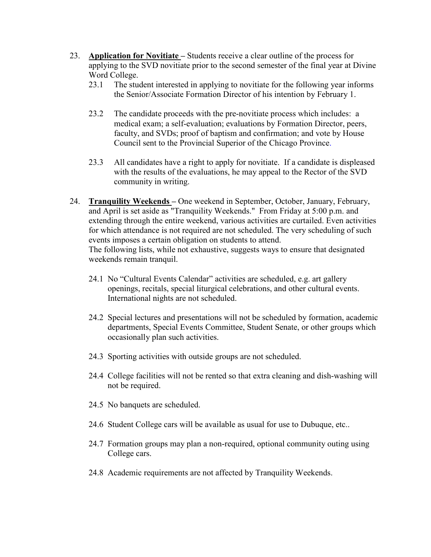- 23. **Application for Novitiate –** Students receive a clear outline of the process for applying to the SVD novitiate prior to the second semester of the final year at Divine Word College.
	- 23.1 The student interested in applying to novitiate for the following year informs the Senior/Associate Formation Director of his intention by February 1.
	- 23.2 The candidate proceeds with the pre-novitiate process which includes: a medical exam; a self-evaluation; evaluations by Formation Director, peers, faculty, and SVDs; proof of baptism and confirmation; and vote by House Council sent to the Provincial Superior of the Chicago Province.
	- 23.3 All candidates have a right to apply for novitiate. If a candidate is displeased with the results of the evaluations, he may appeal to the Rector of the SVD community in writing.
- 24. **Tranquility Weekends –** One weekend in September, October, January, February, and April is set aside as "Tranquility Weekends." From Friday at 5:00 p.m. and extending through the entire weekend, various activities are curtailed. Even activities for which attendance is not required are not scheduled. The very scheduling of such events imposes a certain obligation on students to attend. The following lists, while not exhaustive, suggests ways to ensure that designated weekends remain tranquil.
	- 24.1 No "Cultural Events Calendar" activities are scheduled, e.g. art gallery openings, recitals, special liturgical celebrations, and other cultural events. International nights are not scheduled.
	- 24.2 Special lectures and presentations will not be scheduled by formation, academic departments, Special Events Committee, Student Senate, or other groups which occasionally plan such activities.
	- 24.3 Sporting activities with outside groups are not scheduled.
	- 24.4 College facilities will not be rented so that extra cleaning and dish-washing will not be required.
	- 24.5 No banquets are scheduled.
	- 24.6 Student College cars will be available as usual for use to Dubuque, etc..
	- 24.7 Formation groups may plan a non-required, optional community outing using College cars.
	- 24.8 Academic requirements are not affected by Tranquility Weekends.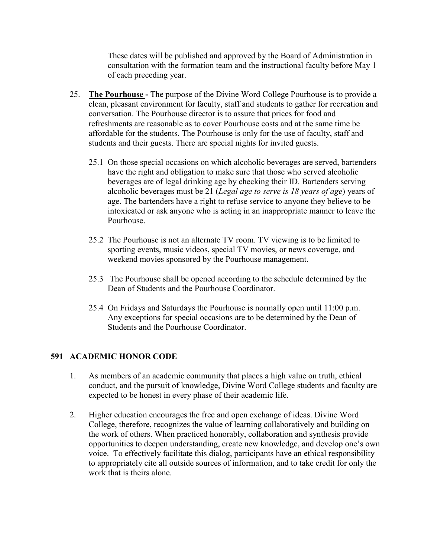These dates will be published and approved by the Board of Administration in consultation with the formation team and the instructional faculty before May 1 of each preceding year.

- 25. **The Pourhouse -** The purpose of the Divine Word College Pourhouse is to provide a clean, pleasant environment for faculty, staff and students to gather for recreation and conversation. The Pourhouse director is to assure that prices for food and refreshments are reasonable as to cover Pourhouse costs and at the same time be affordable for the students. The Pourhouse is only for the use of faculty, staff and students and their guests. There are special nights for invited guests.
	- 25.1 On those special occasions on which alcoholic beverages are served, bartenders have the right and obligation to make sure that those who served alcoholic beverages are of legal drinking age by checking their ID. Bartenders serving alcoholic beverages must be 21 (*Legal age to serve is 18 years of age*) years of age. The bartenders have a right to refuse service to anyone they believe to be intoxicated or ask anyone who is acting in an inappropriate manner to leave the Pourhouse.
	- 25.2 The Pourhouse is not an alternate TV room. TV viewing is to be limited to sporting events, music videos, special TV movies, or news coverage, and weekend movies sponsored by the Pourhouse management.
	- 25.3 The Pourhouse shall be opened according to the schedule determined by the Dean of Students and the Pourhouse Coordinator.
	- 25.4 On Fridays and Saturdays the Pourhouse is normally open until 11:00 p.m. Any exceptions for special occasions are to be determined by the Dean of Students and the Pourhouse Coordinator.

## **591 ACADEMIC HONOR CODE**

- 1. As members of an academic community that places a high value on truth, ethical conduct, and the pursuit of knowledge, Divine Word College students and faculty are expected to be honest in every phase of their academic life.
- 2. Higher education encourages the free and open exchange of ideas. Divine Word College, therefore, recognizes the value of learning collaboratively and building on the work of others. When practiced honorably, collaboration and synthesis provide opportunities to deepen understanding, create new knowledge, and develop one's own voice. To effectively facilitate this dialog, participants have an ethical responsibility to appropriately cite all outside sources of information, and to take credit for only the work that is theirs alone.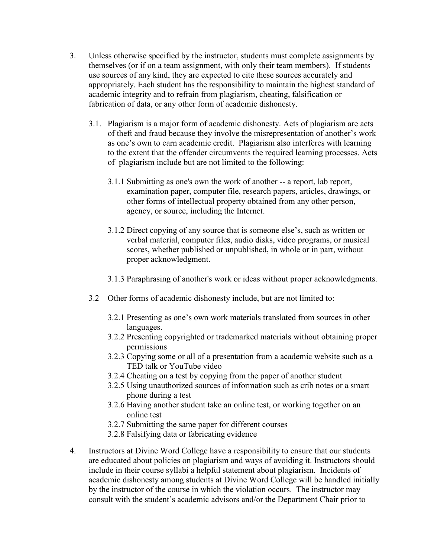- 3. Unless otherwise specified by the instructor, students must complete assignments by themselves (or if on a team assignment, with only their team members). If students use sources of any kind, they are expected to cite these sources accurately and appropriately. Each student has the responsibility to maintain the highest standard of academic integrity and to refrain from plagiarism, cheating, falsification or fabrication of data, or any other form of academic dishonesty.
	- 3.1. Plagiarism is a major form of academic dishonesty. Acts of plagiarism are acts of theft and fraud because they involve the misrepresentation of another's work as one's own to earn academic credit. Plagiarism also interferes with learning to the extent that the offender circumvents the required learning processes. Acts of plagiarism include but are not limited to the following:
		- 3.1.1 Submitting as one's own the work of another -- a report, lab report, examination paper, computer file, research papers, articles, drawings, or other forms of intellectual property obtained from any other person, agency, or source, including the Internet.
		- 3.1.2 Direct copying of any source that is someone else's, such as written or verbal material, computer files, audio disks, video programs, or musical scores, whether published or unpublished, in whole or in part, without proper acknowledgment.
		- 3.1.3 Paraphrasing of another's work or ideas without proper acknowledgments.
	- 3.2 Other forms of academic dishonesty include, but are not limited to:
		- 3.2.1 Presenting as one's own work materials translated from sources in other languages.
		- 3.2.2 Presenting copyrighted or trademarked materials without obtaining proper permissions
		- 3.2.3 Copying some or all of a presentation from a academic website such as a TED talk or YouTube video
		- 3.2.4 Cheating on a test by copying from the paper of another student
		- 3.2.5 Using unauthorized sources of information such as crib notes or a smart phone during a test
		- 3.2.6 Having another student take an online test, or working together on an online test
		- 3.2.7 Submitting the same paper for different courses
		- 3.2.8 Falsifying data or fabricating evidence
- 4. Instructors at Divine Word College have a responsibility to ensure that our students are educated about policies on plagiarism and ways of avoiding it. Instructors should include in their course syllabi a helpful statement about plagiarism. Incidents of academic dishonesty among students at Divine Word College will be handled initially by the instructor of the course in which the violation occurs. The instructor may consult with the student's academic advisors and/or the Department Chair prior to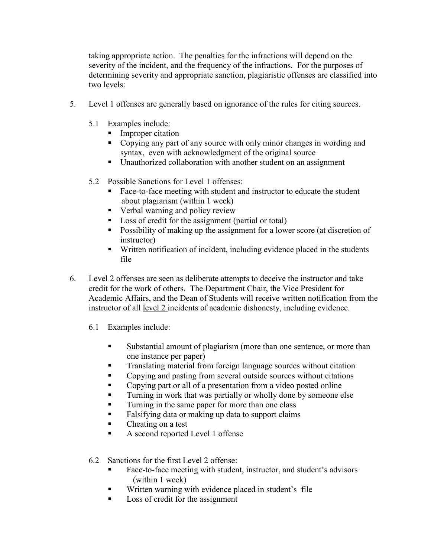taking appropriate action. The penalties for the infractions will depend on the severity of the incident, and the frequency of the infractions. For the purposes of determining severity and appropriate sanction, plagiaristic offenses are classified into two levels:

- 5. Level 1 offenses are generally based on ignorance of the rules for citing sources.
	- 5.1 Examples include:
		- **Improper citation**
		- Copying any part of any source with only minor changes in wording and syntax, even with acknowledgment of the original source
		- Unauthorized collaboration with another student on an assignment
	- 5.2 Possible Sanctions for Level 1 offenses:
		- Face-to-face meeting with student and instructor to educate the student about plagiarism (within 1 week)
		- Verbal warning and policy review
		- **Loss of credit for the assignment (partial or total)**
		- **Possibility of making up the assignment for a lower score (at discretion of** instructor)
		- Written notification of incident, including evidence placed in the students file
- 6. Level 2 offenses are seen as deliberate attempts to deceive the instructor and take credit for the work of others. The Department Chair, the Vice President for Academic Affairs, and the Dean of Students will receive written notification from the instructor of all level 2 incidents of academic dishonesty, including evidence.
	- 6.1 Examples include:
		- Substantial amount of plagiarism (more than one sentence, or more than one instance per paper)
		- **Translating material from foreign language sources without citation**
		- Copying and pasting from several outside sources without citations
		- Copying part or all of a presentation from a video posted online
		- **Turning in work that was partially or wholly done by someone else**
		- **Turning in the same paper for more than one class**
		- Falsifying data or making up data to support claims
		- Cheating on a test
		- A second reported Level 1 offense
	- 6.2 Sanctions for the first Level 2 offense:
		- Face-to-face meeting with student, instructor, and student's advisors (within 1 week)
		- Written warning with evidence placed in student's file
		- **Loss of credit for the assignment**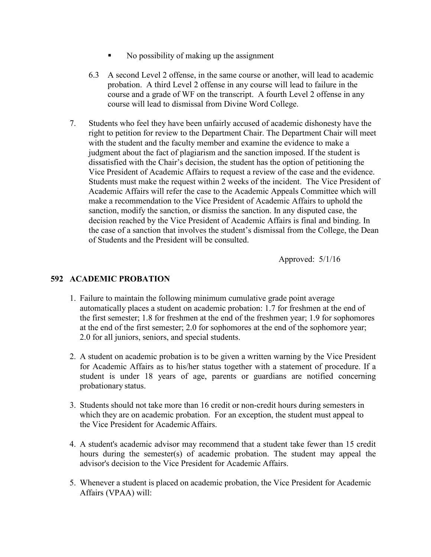- No possibility of making up the assignment
- 6.3 A second Level 2 offense, in the same course or another, will lead to academic probation. A third Level 2 offense in any course will lead to failure in the course and a grade of WF on the transcript. A fourth Level 2 offense in any course will lead to dismissal from Divine Word College.
- 7. Students who feel they have been unfairly accused of academic dishonesty have the right to petition for review to the Department Chair. The Department Chair will meet with the student and the faculty member and examine the evidence to make a judgment about the fact of plagiarism and the sanction imposed. If the student is dissatisfied with the Chair's decision, the student has the option of petitioning the Vice President of Academic Affairs to request a review of the case and the evidence. Students must make the request within 2 weeks of the incident. The Vice President of Academic Affairs will refer the case to the Academic Appeals Committee which will make a recommendation to the Vice President of Academic Affairs to uphold the sanction, modify the sanction, or dismiss the sanction. In any disputed case, the decision reached by the Vice President of Academic Affairs is final and binding. In the case of a sanction that involves the student's dismissal from the College, the Dean of Students and the President will be consulted.

Approved: 5/1/16

#### **592 ACADEMIC PROBATION**

- 1. Failure to maintain the following minimum cumulative grade point average automatically places a student on academic probation: 1.7 for freshmen at the end of the first semester; 1.8 for freshmen at the end of the freshmen year; 1.9 for sophomores at the end of the first semester; 2.0 for sophomores at the end of the sophomore year; 2.0 for all juniors, seniors, and special students.
- 2. A student on academic probation is to be given a written warning by the Vice President for Academic Affairs as to his/her status together with a statement of procedure. If a student is under 18 years of age, parents or guardians are notified concerning probationary status.
- 3. Students should not take more than 16 credit or non-credit hours during semesters in which they are on academic probation. For an exception, the student must appeal to the Vice President for AcademicAffairs.
- 4. A student's academic advisor may recommend that a student take fewer than 15 credit hours during the semester(s) of academic probation. The student may appeal the advisor's decision to the Vice President for Academic Affairs.
- 5. Whenever a student is placed on academic probation, the Vice President for Academic Affairs (VPAA) will: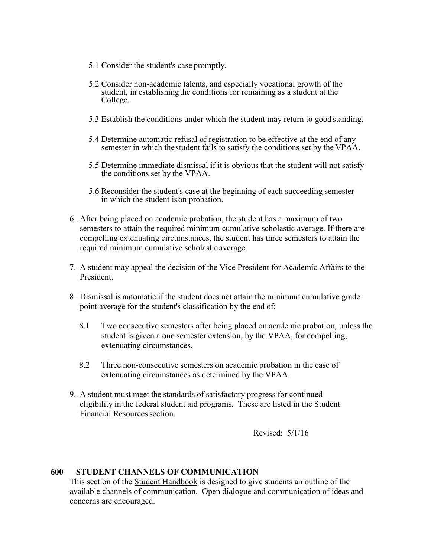- 5.1 Consider the student's case promptly.
- 5.2 Consider non-academic talents, and especially vocational growth of the student, in establishingthe conditions for remaining as a student at the College.
- 5.3 Establish the conditions under which the student may return to good standing.
- 5.4 Determine automatic refusal of registration to be effective at the end of any semester in which the student fails to satisfy the conditions set by the VPAA.
- 5.5 Determine immediate dismissal if it is obvious that the student will not satisfy the conditions set by the VPAA.
- 5.6 Reconsider the student's case at the beginning of each succeeding semester in which the student ison probation.
- 6. After being placed on academic probation, the student has a maximum of two semesters to attain the required minimum cumulative scholastic average. If there are compelling extenuating circumstances, the student has three semesters to attain the required minimum cumulative scholastic average.
- 7. A student may appeal the decision of the Vice President for Academic Affairs to the President.
- 8. Dismissal is automatic if the student does not attain the minimum cumulative grade point average for the student's classification by the end of:
	- 8.1 Two consecutive semesters after being placed on academic probation, unless the student is given a one semester extension, by the VPAA, for compelling, extenuating circumstances.
	- 8.2 Three non-consecutive semesters on academic probation in the case of extenuating circumstances as determined by the VPAA.
- 9. A student must meet the standards of satisfactory progress for continued eligibility in the federal student aid programs. These are listed in the Student Financial Resources section.

Revised: 5/1/16

#### **600 STUDENT CHANNELS OF COMMUNICATION**

This section of the Student Handbook is designed to give students an outline of the available channels of communication. Open dialogue and communication of ideas and concerns are encouraged.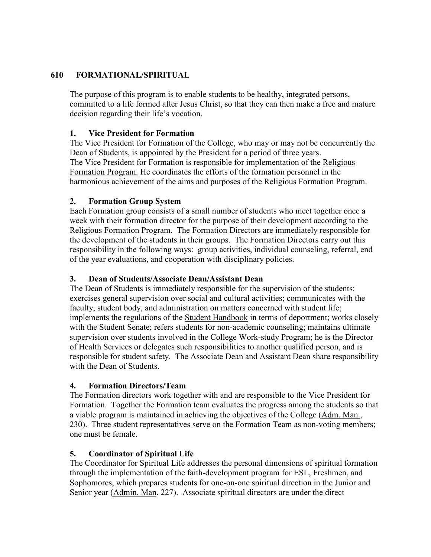#### **610 FORMATIONAL/SPIRITUAL**

The purpose of this program is to enable students to be healthy, integrated persons, committed to a life formed after Jesus Christ, so that they can then make a free and mature decision regarding their life's vocation.

#### **1. Vice President for Formation**

 The Vice President for Formation of the College, who may or may not be concurrently the Dean of Students, is appointed by the President for a period of three years. The Vice President for Formation is responsible for implementation of the Religious Formation Program. He coordinates the efforts of the formation personnel in the harmonious achievement of the aims and purposes of the Religious Formation Program.

#### **2. Formation Group System**

Each Formation group consists of a small number of students who meet together once a week with their formation director for the purpose of their development according to the Religious Formation Program. The Formation Directors are immediately responsible for the development of the students in their groups. The Formation Directors carry out this responsibility in the following ways: group activities, individual counseling, referral, end of the year evaluations, and cooperation with disciplinary policies.

#### **3. Dean of Students/Associate Dean/Assistant Dean**

The Dean of Students is immediately responsible for the supervision of the students: exercises general supervision over social and cultural activities; communicates with the faculty, student body, and administration on matters concerned with student life; implements the regulations of the Student Handbook in terms of deportment; works closely with the Student Senate; refers students for non-academic counseling; maintains ultimate supervision over students involved in the College Work-study Program; he is the Director of Health Services or delegates such responsibilities to another qualified person, and is responsible for student safety. The Associate Dean and Assistant Dean share responsibility with the Dean of Students.

#### **4. Formation Directors/Team**

The Formation directors work together with and are responsible to the Vice President for Formation. Together the Formation team evaluates the progress among the students so that a viable program is maintained in achieving the objectives of the College (Adm. Man., 230). Three student representatives serve on the Formation Team as non-voting members; one must be female.

#### **5. Coordinator of Spiritual Life**

The Coordinator for Spiritual Life addresses the personal dimensions of spiritual formation through the implementation of the faith-development program for ESL, Freshmen, and Sophomores, which prepares students for one-on-one spiritual direction in the Junior and Senior year (Admin. Man. 227). Associate spiritual directors are under the direct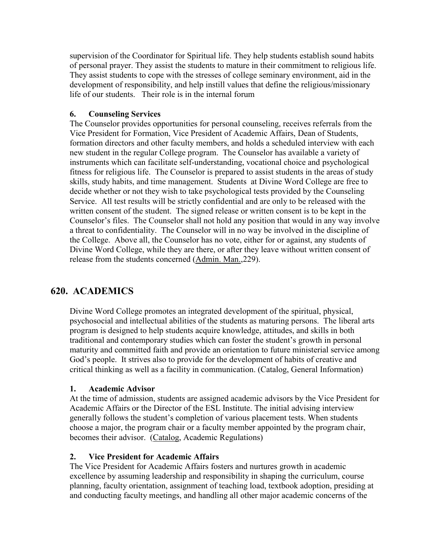supervision of the Coordinator for Spiritual life. They help students establish sound habits of personal prayer. They assist the students to mature in their commitment to religious life. They assist students to cope with the stresses of college seminary environment, aid in the development of responsibility, and help instill values that define the religious/missionary life of our students. Their role is in the internal forum

#### **6. Counseling Services**

The Counselor provides opportunities for personal counseling, receives referrals from the Vice President for Formation, Vice President of Academic Affairs, Dean of Students, formation directors and other faculty members, and holds a scheduled interview with each new student in the regular College program. The Counselor has available a variety of instruments which can facilitate self-understanding, vocational choice and psychological fitness for religious life. The Counselor is prepared to assist students in the areas of study skills, study habits, and time management. Students at Divine Word College are free to decide whether or not they wish to take psychological tests provided by the Counseling Service. All test results will be strictly confidential and are only to be released with the written consent of the student. The signed release or written consent is to be kept in the Counselor's files. The Counselor shall not hold any position that would in any way involve a threat to confidentiality. The Counselor will in no way be involved in the discipline of the College. Above all, the Counselor has no vote, either for or against, any students of Divine Word College, while they are there, or after they leave without written consent of release from the students concerned (Admin. Man.,229).

## **620. ACADEMICS**

Divine Word College promotes an integrated development of the spiritual, physical, psychosocial and intellectual abilities of the students as maturing persons. The liberal arts program is designed to help students acquire knowledge, attitudes, and skills in both traditional and contemporary studies which can foster the student's growth in personal maturity and committed faith and provide an orientation to future ministerial service among God's people. It strives also to provide for the development of habits of creative and critical thinking as well as a facility in communication. (Catalog, General Information)

#### **1. Academic Advisor**

 At the time of admission, students are assigned academic advisors by the Vice President for Academic Affairs or the Director of the ESL Institute. The initial advising interview generally follows the student's completion of various placement tests. When students choose a major, the program chair or a faculty member appointed by the program chair, becomes their advisor. (Catalog, Academic Regulations)

## **2. Vice President for Academic Affairs**

 The Vice President for Academic Affairs fosters and nurtures growth in academic excellence by assuming leadership and responsibility in shaping the curriculum, course planning, faculty orientation, assignment of teaching load, textbook adoption, presiding at and conducting faculty meetings, and handling all other major academic concerns of the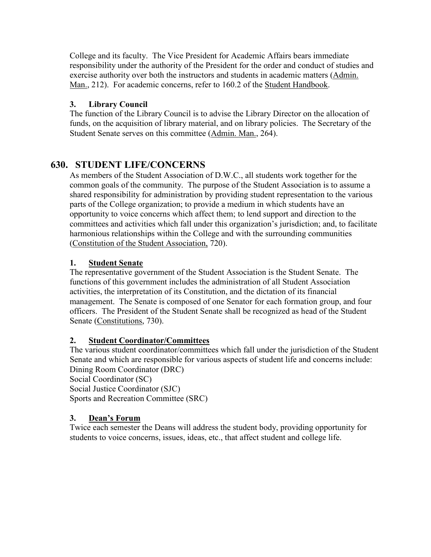College and its faculty. The Vice President for Academic Affairs bears immediate responsibility under the authority of the President for the order and conduct of studies and exercise authority over both the instructors and students in academic matters (Admin. Man., 212). For academic concerns, refer to 160.2 of the Student Handbook.

### **3. Library Council**

The function of the Library Council is to advise the Library Director on the allocation of funds, on the acquisition of library material, and on library policies. The Secretary of the Student Senate serves on this committee (Admin. Man., 264).

## **630. STUDENT LIFE/CONCERNS**

As members of the Student Association of D.W.C., all students work together for the common goals of the community. The purpose of the Student Association is to assume a shared responsibility for administration by providing student representation to the various parts of the College organization; to provide a medium in which students have an opportunity to voice concerns which affect them; to lend support and direction to the committees and activities which fall under this organization's jurisdiction; and, to facilitate harmonious relationships within the College and with the surrounding communities (Constitution of the Student Association, 720).

#### **1. Student Senate**

 The representative government of the Student Association is the Student Senate. The functions of this government includes the administration of all Student Association activities, the interpretation of its Constitution, and the dictation of its financial management. The Senate is composed of one Senator for each formation group, and four officers. The President of the Student Senate shall be recognized as head of the Student Senate (Constitutions, 730).

## **2. Student Coordinator/Committees**

 The various student coordinator/committees which fall under the jurisdiction of the Student Senate and which are responsible for various aspects of student life and concerns include: Dining Room Coordinator (DRC)

Social Coordinator (SC) Social Justice Coordinator (SJC) Sports and Recreation Committee (SRC)

## **3. Dean's Forum**

Twice each semester the Deans will address the student body, providing opportunity for students to voice concerns, issues, ideas, etc., that affect student and college life.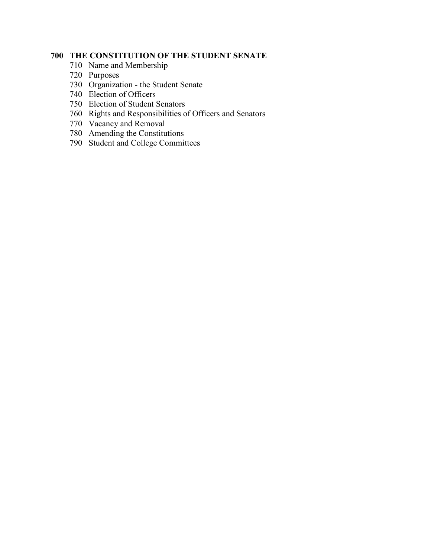## **THE CONSTITUTION OF THE STUDENT SENATE**

- Name and Membership
- Purposes
- Organization the Student Senate
- Election of Officers
- Election of Student Senators
- Rights and Responsibilities of Officers and Senators
- Vacancy and Removal
- Amending the Constitutions
- Student and College Committees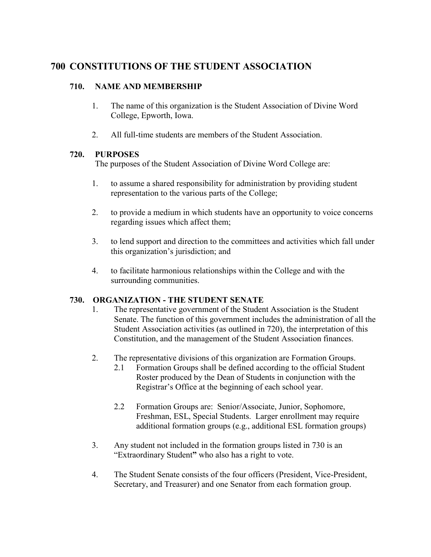## **700 CONSTITUTIONS OF THE STUDENT ASSOCIATION**

#### **710. NAME AND MEMBERSHIP**

- 1. The name of this organization is the Student Association of Divine Word College, Epworth, Iowa.
- 2. All full-time students are members of the Student Association.

#### **720. PURPOSES**

The purposes of the Student Association of Divine Word College are:

- 1. to assume a shared responsibility for administration by providing student representation to the various parts of the College;
- 2. to provide a medium in which students have an opportunity to voice concerns regarding issues which affect them;
- 3. to lend support and direction to the committees and activities which fall under this organization's jurisdiction; and
- 4. to facilitate harmonious relationships within the College and with the surrounding communities.

## **730. ORGANIZATION - THE STUDENT SENATE**

- 1. The representative government of the Student Association is the Student Senate. The function of this government includes the administration of all the Student Association activities (as outlined in 720), the interpretation of this Constitution, and the management of the Student Association finances.
- 2. The representative divisions of this organization are Formation Groups.
	- 2.1 Formation Groups shall be defined according to the official Student Roster produced by the Dean of Students in conjunction with the Registrar's Office at the beginning of each school year.
	- 2.2 Formation Groups are:Senior/Associate, Junior, Sophomore, Freshman, ESL, Special Students. Larger enrollment may require additional formation groups (e.g., additional ESL formation groups)
- 3. Any student not included in the formation groups listed in 730 is an "Extraordinary Student**"** who also has a right to vote.
- 4. The Student Senate consists of the four officers (President, Vice-President, Secretary, and Treasurer) and one Senator from each formation group.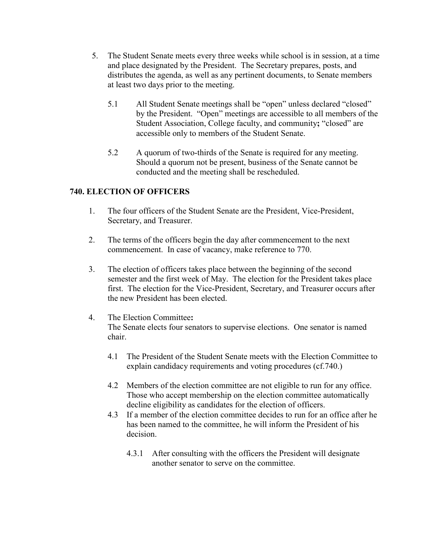- 5. The Student Senate meets every three weeks while school is in session, at a time and place designated by the President. The Secretary prepares, posts, and distributes the agenda, as well as any pertinent documents, to Senate members at least two days prior to the meeting.
	- 5.1 All Student Senate meetings shall be "open" unless declared "closed" by the President. "Open" meetings are accessible to all members of the Student Association, College faculty, and community**;** "closed" are accessible only to members of the Student Senate.
	- 5.2 A quorum of two-thirds of the Senate is required for any meeting. Should a quorum not be present, business of the Senate cannot be conducted and the meeting shall be rescheduled.

### **740. ELECTION OF OFFICERS**

- 1. The four officers of the Student Senate are the President, Vice-President, Secretary, and Treasurer.
- 2. The terms of the officers begin the day after commencement to the next commencement. In case of vacancy, make reference to 770.
- 3. The election of officers takes place between the beginning of the second semester and the first week of May. The election for the President takes place first. The election for the Vice-President, Secretary, and Treasurer occurs after the new President has been elected.
- 4. The Election Committee**:** The Senate elects four senators to supervise elections. One senator is named chair.
	- 4.1 The President of the Student Senate meets with the Election Committee to explain candidacy requirements and voting procedures (cf.740.)
	- 4.2 Members of the election committee are not eligible to run for any office. Those who accept membership on the election committee automatically decline eligibility as candidates for the election of officers.
	- 4.3 If a member of the election committee decides to run for an office after he has been named to the committee, he will inform the President of his decision.
		- 4.3.1 After consulting with the officers the President will designate another senator to serve on the committee.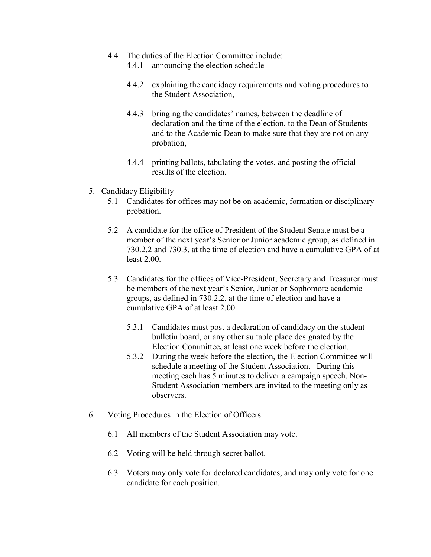- 4.4 The duties of the Election Committee include:
	- 4.4.1 announcing the election schedule
	- 4.4.2 explaining the candidacy requirements and voting procedures to the Student Association,
	- 4.4.3 bringing the candidates' names, between the deadline of declaration and the time of the election, to the Dean of Students and to the Academic Dean to make sure that they are not on any probation,
	- 4.4.4 printing ballots, tabulating the votes, and posting the official results of the election.
- 5. Candidacy Eligibility
	- 5.1 Candidates for offices may not be on academic, formation or disciplinary probation.
	- 5.2 A candidate for the office of President of the Student Senate must be a member of the next year's Senior or Junior academic group, as defined in 730.2.2 and 730.3, at the time of election and have a cumulative GPA of at least 2.00.
	- 5.3 Candidates for the offices of Vice-President, Secretary and Treasurer must be members of the next year's Senior, Junior or Sophomore academic groups, as defined in 730.2.2, at the time of election and have a cumulative GPA of at least 2.00.
		- 5.3.1 Candidates must post a declaration of candidacy on the student bulletin board, or any other suitable place designated by the Election Committee**,** at least one week before the election.
		- 5.3.2 During the week before the election, the Election Committee will schedule a meeting of the Student Association. During this meeting each has 5 minutes to deliver a campaign speech. Non-Student Association members are invited to the meeting only as observers.
- 6. Voting Procedures in the Election of Officers
	- 6.1 All members of the Student Association may vote.
	- 6.2 Voting will be held through secret ballot.
	- 6.3 Voters may only vote for declared candidates, and may only vote for one candidate for each position.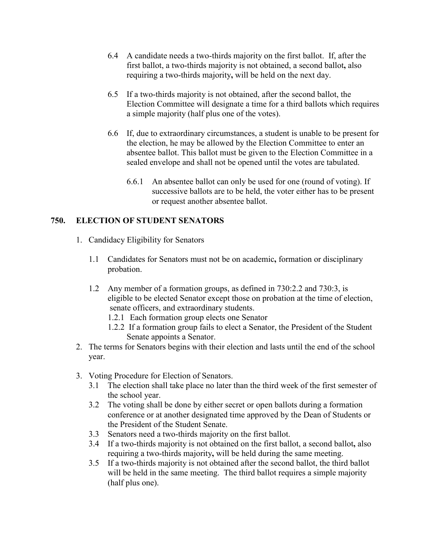- 6.4 A candidate needs a two-thirds majority on the first ballot.If, after the first ballot, a two-thirds majority is not obtained, a second ballot**,** also requiring a two-thirds majority**,** will be held on the next day.
- 6.5 If a two-thirds majority is not obtained, after the second ballot, the Election Committee will designate a time for a third ballots which requires a simple majority (half plus one of the votes).
- 6.6 If, due to extraordinary circumstances, a student is unable to be present for the election, he may be allowed by the Election Committee to enter an absentee ballot. This ballot must be given to the Election Committee in a sealed envelope and shall not be opened until the votes are tabulated.
	- 6.6.1 An absentee ballot can only be used for one (round of voting). If successive ballots are to be held, the voter either has to be present or request another absentee ballot.

#### **750. ELECTION OF STUDENT SENATORS**

- 1. Candidacy Eligibility for Senators
	- 1.1 Candidates for Senators must not be on academic**,** formation or disciplinary probation.
	- 1.2 Any member of a formation groups, as defined in 730:2.2 and 730:3, is eligible to be elected Senator except those on probation at the time of election, senate officers, and extraordinary students.
		- 1.2.1 Each formation group elects one Senator
		- 1.2.2 If a formation group fails to elect a Senator, the President of the Student Senate appoints a Senator.
- 2. The terms for Senators begins with their election and lasts until the end of the school year.
- 3. Voting Procedure for Election of Senators.
	- 3.1 The election shall take place no later than the third week of the first semester of the school year.
	- 3.2 The voting shall be done by either secret or open ballots during a formation conference or at another designated time approved by the Dean of Students or the President of the Student Senate.
	- 3.3 Senators need a two-thirds majority on the first ballot.
	- 3.4 If a two-thirds majority is not obtained on the first ballot, a second ballot**,** also requiring a two-thirds majority**,** will be held during the same meeting.
	- 3.5 If a two-thirds majority is not obtained after the second ballot, the third ballot will be held in the same meeting. The third ballot requires a simple majority (half plus one).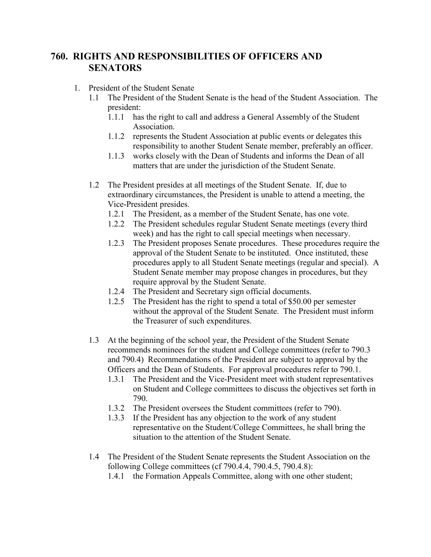## **760. RIGHTS AND RESPONSIBILITIES OF OFFICERS AND SENATORS**

- 1. President of the Student Senate
	- 1.1 The President of the Student Senate is the head of the Student Association. The president:
		- 1.1.1 has the right to call and address a General Assembly of the Student Association.
		- 1.1.2 represents the Student Association at public events or delegates this responsibility to another Student Senate member, preferably an officer.
		- 1.1.3 works closely with the Dean of Students and informs the Dean of all matters that are under the jurisdiction of the Student Senate.
	- 1.2 The President presides at all meetings of the Student Senate. If, due to extraordinary circumstances, the President is unable to attend a meeting, the Vice-President presides.
		- 1.2.1 The President, as a member of the Student Senate, has one vote.
		- 1.2.2 The President schedules regular Student Senate meetings (every third week) and has the right to call special meetings when necessary.
		- 1.2.3 The President proposes Senate procedures. These procedures require the approval of the Student Senate to be instituted. Once instituted, these procedures apply to all Student Senate meetings (regular and special). A Student Senate member may propose changes in procedures, but they require approval by the Student Senate.
		- 1.2.4 The President and Secretary sign official documents.
		- 1.2.5 The President has the right to spend a total of \$50.00 per semester without the approval of the Student Senate. The President must inform the Treasurer of such expenditures.
	- 1.3 At the beginning of the school year, the President of the Student Senate recommends nominees for the student and College committees (refer to 790.3 and 790.4) Recommendations of the President are subject to approval by the Officers and the Dean of Students. For approval procedures refer to 790.1.
		- 1.3.1 The President and the Vice-President meet with student representatives on Student and College committees to discuss the objectives set forth in 790.
		- 1.3.2 The President oversees the Student committees (refer to 790).
		- 1.3.3 If the President has any objection to the work of any student representative on the Student/College Committees, he shall bring the situation to the attention of the Student Senate.
	- 1.4 The President of the Student Senate represents the Student Association on the following College committees (cf 790.4.4, 790.4.5, 790.4.8):
		- 1.4.1 the Formation Appeals Committee, along with one other student;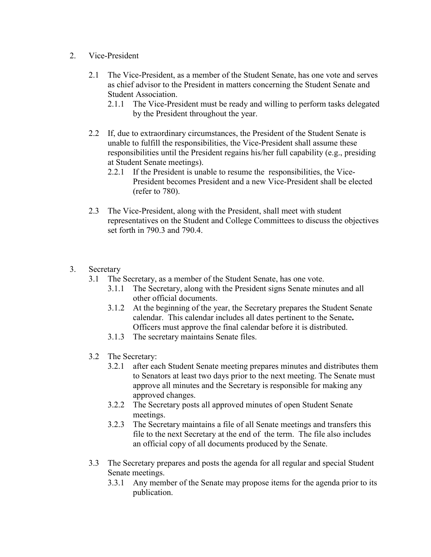- 2. Vice-President
	- 2.1 The Vice-President, as a member of the Student Senate, has one vote and serves as chief advisor to the President in matters concerning the Student Senate and Student Association.
		- 2.1.1 The Vice-President must be ready and willing to perform tasks delegated by the President throughout the year.
	- 2.2 If, due to extraordinary circumstances, the President of the Student Senate is unable to fulfill the responsibilities, the Vice-President shall assume these responsibilities until the President regains his/her full capability (e.g., presiding at Student Senate meetings).
		- 2.2.1 If the President is unable to resume the responsibilities, the Vice-President becomes President and a new Vice-President shall be elected (refer to 780).
	- 2.3 The Vice-President, along with the President, shall meet with student representatives on the Student and College Committees to discuss the objectives set forth in 790.3 and 790.4
- 3. Secretary
	- 3.1 The Secretary, as a member of the Student Senate, has one vote.
		- 3.1.1 The Secretary, along with the President signs Senate minutes and all other official documents.
		- 3.1.2 At the beginning of the year, the Secretary prepares the Student Senate calendar. This calendar includes all dates pertinent to the Senate**.** Officers must approve the final calendar before it is distributed.
		- 3.1.3 The secretary maintains Senate files.
	- 3.2 The Secretary:
		- 3.2.1 after each Student Senate meeting prepares minutes and distributes them to Senators at least two days prior to the next meeting. The Senate must approve all minutes and the Secretary is responsible for making any approved changes.
		- 3.2.2 The Secretary posts all approved minutes of open Student Senate meetings.
		- 3.2.3 The Secretary maintains a file of all Senate meetings and transfers this file to the next Secretary at the end of the term. The file also includes an official copy of all documents produced by the Senate.
	- 3.3 The Secretary prepares and posts the agenda for all regular and special Student Senate meetings.
		- 3.3.1 Any member of the Senate may propose items for the agenda prior to its publication.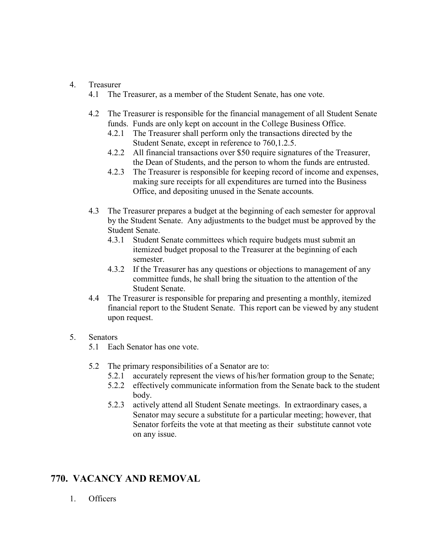#### 4. Treasurer

- 4.1 The Treasurer, as a member of the Student Senate, has one vote.
- 4.2 The Treasurer is responsible for the financial management of all Student Senate funds. Funds are only kept on account in the College Business Office.
	- 4.2.1 The Treasurer shall perform only the transactions directed by the Student Senate, except in reference to 760,1.2.5.
	- 4.2.2 All financial transactions over \$50 require signatures of the Treasurer, the Dean of Students, and the person to whom the funds are entrusted.
	- 4.2.3 The Treasurer is responsible for keeping record of income and expenses, making sure receipts for all expenditures are turned into the Business Office, and depositing unused in the Senate accounts.
- 4.3 The Treasurer prepares a budget at the beginning of each semester for approval by the Student Senate. Any adjustments to the budget must be approved by the Student Senate.
	- 4.3.1 Student Senate committees which require budgets must submit an itemized budget proposal to the Treasurer at the beginning of each semester.
	- 4.3.2 If the Treasurer has any questions or objections to management of any committee funds, he shall bring the situation to the attention of the Student Senate.
- 4.4 The Treasurer is responsible for preparing and presenting a monthly, itemized financial report to the Student Senate. This report can be viewed by any student upon request.

#### 5. Senators

- 5.1 Each Senator has one vote.
- 5.2 The primary responsibilities of a Senator are to:
	- 5.2.1 accurately represent the views of his/her formation group to the Senate;
	- 5.2.2 effectively communicate information from the Senate back to the student body.
	- 5.2.3 actively attend all Student Senate meetings. In extraordinary cases, a Senator may secure a substitute for a particular meeting; however, that Senator forfeits the vote at that meeting as their substitute cannot vote on any issue.

# **770. VACANCY AND REMOVAL**

1. Officers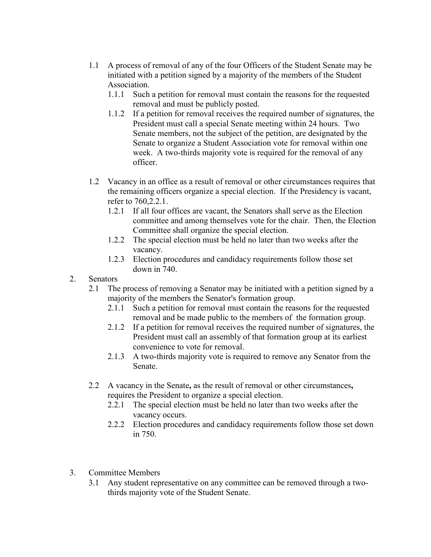- 1.1 A process of removal of any of the four Officers of the Student Senate may be initiated with a petition signed by a majority of the members of the Student Association.
	- 1.1.1 Such a petition for removal must contain the reasons for the requested removal and must be publicly posted.
	- 1.1.2 If a petition for removal receives the required number of signatures, the President must call a special Senate meeting within 24 hours. Two Senate members, not the subject of the petition, are designated by the Senate to organize a Student Association vote for removal within one week. A two-thirds majority vote is required for the removal of any officer.
- 1.2 Vacancy in an office as a result of removal or other circumstances requires that the remaining officers organize a special election. If the Presidency is vacant, refer to 760,2.2.1.
	- 1.2.1 If all four offices are vacant, the Senators shall serve as the Election committee and among themselves vote for the chair. Then, the Election Committee shall organize the special election.
	- 1.2.2 The special election must be held no later than two weeks after the vacancy.
	- 1.2.3 Election procedures and candidacy requirements follow those set down in 740.
- 2. Senators
	- 2.1 The process of removing a Senator may be initiated with a petition signed by a majority of the members the Senator's formation group.
		- 2.1.1 Such a petition for removal must contain the reasons for the requested removal and be made public to the members of the formation group.
		- 2.1.2 If a petition for removal receives the required number of signatures, the President must call an assembly of that formation group at its earliest convenience to vote for removal.
		- 2.1.3 A two-thirds majority vote is required to remove any Senator from the Senate.
	- 2.2 A vacancy in the Senate**,** as the result of removal or other circumstances**,** requires the President to organize a special election.
		- 2.2.1 The special election must be held no later than two weeks after the vacancy occurs.
		- 2.2.2 Election procedures and candidacy requirements follow those set down in 750.
- 3. Committee Members
	- 3.1 Any student representative on any committee can be removed through a twothirds majority vote of the Student Senate.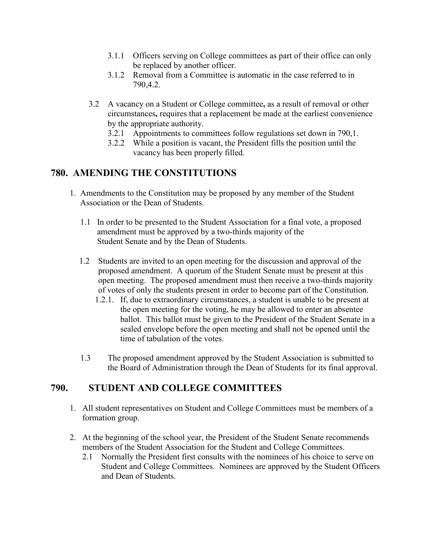- 3.1.1 Officers serving on College committees as part of their office can only be replaced by another officer.
- 3.1.2 Removal from a Committee is automatic in the case referred to in 790,4.2.
- 3.2 A vacancy on a Student or College committee**,** as a result of removal or other circumstances**,** requires that a replacement be made at the earliest convenience by the appropriate authority.
	- 3.2.1 Appointments to committees follow regulations set down in 790,1.
	- 3.2.2 While a position is vacant, the President fills the position until the vacancy has been properly filled.

## **780. AMENDING THE CONSTITUTIONS**

- 1. Amendments to the Constitution may be proposed by any member of the Student Association or the Dean of Students.
	- 1.1 In order to be presented to the Student Association for a final vote, a proposed amendment must be approved by a two-thirds majority of the Student Senate and by the Dean of Students.
	- 1.2 Students are invited to an open meeting for the discussion and approval of the proposed amendment. A quorum of the Student Senate must be present at this open meeting. The proposed amendment must then receive a two-thirds majority of votes of only the students present in order to become part of the Constitution.
		- 1.2.1. If, due to extraordinary circumstances, a student is unable to be present at the open meeting for the voting, he may be allowed to enter an absentee ballot. This ballot must be given to the President of the Student Senate in a sealed envelope before the open meeting and shall not be opened until the time of tabulation of the votes.
	- 1.3 The proposed amendment approved by the Student Association is submitted to the Board of Administration through the Dean of Students for its final approval.

## **790. STUDENT AND COLLEGE COMMITTEES**

- 1. All student representatives on Student and College Committees must be members of a formation group.
- 2. At the beginning of the school year, the President of the Student Senate recommends members of the Student Association for the Student and College Committees.
	- 2.1 Normally the President first consults with the nominees of his choice to serve on Student and College Committees. Nominees are approved by the Student Officers and Dean of Students.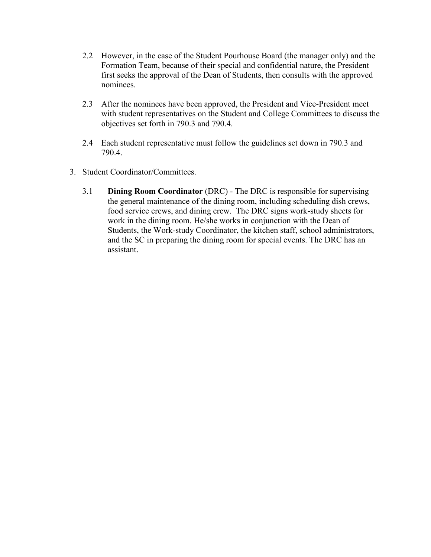- 2.2 However, in the case of the Student Pourhouse Board (the manager only) and the Formation Team, because of their special and confidential nature, the President first seeks the approval of the Dean of Students, then consults with the approved nominees.
- 2.3 After the nominees have been approved, the President and Vice-President meet with student representatives on the Student and College Committees to discuss the objectives set forth in 790.3 and 790.4.
- 2.4 Each student representative must follow the guidelines set down in 790.3 and 790.4.
- 3. Student Coordinator/Committees.
	- 3.1 **Dining Room Coordinator** (DRC) The DRC is responsible for supervising the general maintenance of the dining room, including scheduling dish crews, food service crews, and dining crew. The DRC signs work-study sheets for work in the dining room. He/she works in conjunction with the Dean of Students, the Work-study Coordinator, the kitchen staff, school administrators, and the SC in preparing the dining room for special events. The DRC has an assistant.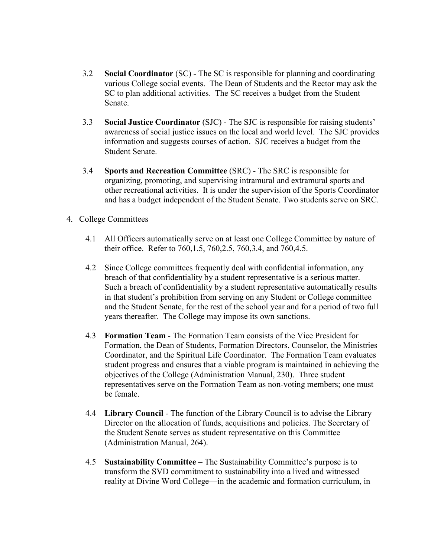- 3.2 **Social Coordinator** (SC) The SC is responsible for planning and coordinating various College social events. The Dean of Students and the Rector may ask the SC to plan additional activities. The SC receives a budget from the Student Senate.
- 3.3 **Social Justice Coordinator** (SJC) The SJC is responsible for raising students' awareness of social justice issues on the local and world level. The SJC provides information and suggests courses of action. SJC receives a budget from the Student Senate.
- 3.4 **Sports and Recreation Committee** (SRC) The SRC is responsible for organizing, promoting, and supervising intramural and extramural sports and other recreational activities. It is under the supervision of the Sports Coordinator and has a budget independent of the Student Senate. Two students serve on SRC.
- 4. College Committees
	- 4.1 All Officers automatically serve on at least one College Committee by nature of their office. Refer to 760,1.5, 760,2.5, 760,3.4, and 760,4.5.
	- 4.2 Since College committees frequently deal with confidential information, any breach of that confidentiality by a student representative is a serious matter. Such a breach of confidentiality by a student representative automatically results in that student's prohibition from serving on any Student or College committee and the Student Senate, for the rest of the school year and for a period of two full years thereafter. The College may impose its own sanctions.
	- 4.3 **Formation Team** The Formation Team consists of the Vice President for Formation, the Dean of Students, Formation Directors, Counselor, the Ministries Coordinator, and the Spiritual Life Coordinator. The Formation Team evaluates student progress and ensures that a viable program is maintained in achieving the objectives of the College (Administration Manual, 230). Three student representatives serve on the Formation Team as non-voting members; one must be female.
	- 4.4 **Library Council** The function of the Library Council is to advise the Library Director on the allocation of funds, acquisitions and policies. The Secretary of the Student Senate serves as student representative on this Committee (Administration Manual, 264).
	- 4.5 **Sustainability Committee** The Sustainability Committee's purpose is to transform the SVD commitment to sustainability into a lived and witnessed reality at Divine Word College—in the academic and formation curriculum, in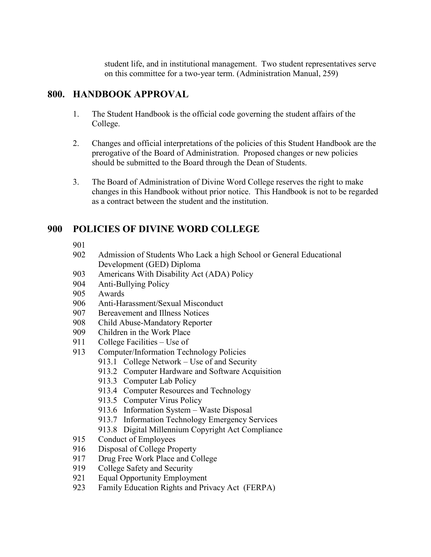student life, and in institutional management. Two student representatives serve on this committee for a two-year term. (Administration Manual, 259)

# **800. HANDBOOK APPROVAL**

- 1. The Student Handbook is the official code governing the student affairs of the College.
- 2. Changes and official interpretations of the policies of this Student Handbook are the prerogative of the Board of Administration. Proposed changes or new policies should be submitted to the Board through the Dean of Students.
- 3. The Board of Administration of Divine Word College reserves the right to make changes in this Handbook without prior notice. This Handbook is not to be regarded as a contract between the student and the institution.

# **900 POLICIES OF DIVINE WORD COLLEGE**

901

- 902 Admission of Students Who Lack a high School or General Educational Development (GED) Diploma
- 903 Americans With Disability Act (ADA) Policy
- 904 Anti-Bullying Policy
- 905 Awards
- 906 Anti-Harassment/Sexual Misconduct
- 907 Bereavement and Illness Notices
- 908 Child Abuse-Mandatory Reporter
- 909 Children in the Work Place
- 911 College Facilities Use of
- 913 Computer/Information Technology Policies
	- 913.1 College Network Use of and Security
	- 913.2 Computer Hardware and Software Acquisition
	- 913.3 Computer Lab Policy
	- 913.4 Computer Resources and Technology
	- 913.5 Computer Virus Policy
	- 913.6 Information System Waste Disposal
	- 913.7 Information Technology Emergency Services
	- 913.8 Digital Millennium Copyright Act Compliance
- 915 Conduct of Employees
- 916 Disposal of College Property
- 917 Drug Free Work Place and College
- 919 College Safety and Security
- 921 Equal Opportunity Employment
- 923 Family Education Rights and Privacy Act (FERPA)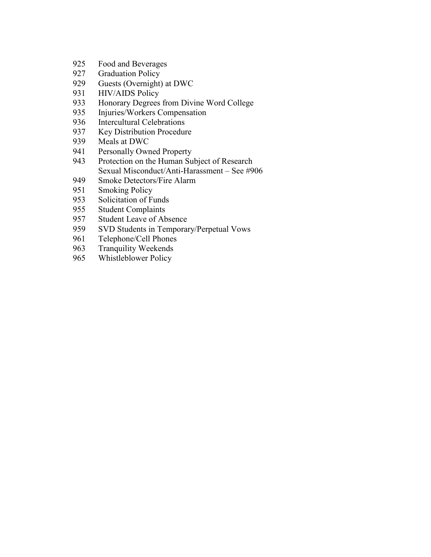- Food and Beverages
- Graduation Policy
- 929 Guests (Overnight) at DWC<br>931 HIV/AIDS Policy
- HIV/AIDS Policy
- Honorary Degrees from Divine Word College
- Injuries/Workers Compensation
- Intercultural Celebrations
- Key Distribution Procedure
- Meals at DWC
- Personally Owned Property
- Protection on the Human Subject of Research Sexual Misconduct/Anti-Harassment – See #906
- 949 Smoke Detectors/Fire Alarm<br>951 Smoking Policy
- **Smoking Policy**
- Solicitation of Funds
- Student Complaints
- Student Leave of Absence
- 959 SVD Students in Temporary/Perpetual Vows<br>961 Telephone/Cell Phones
- Telephone/Cell Phones
- Tranquility Weekends
- Whistleblower Policy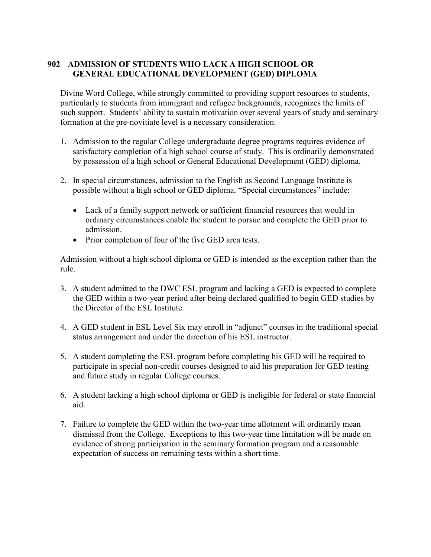## **902 ADMISSION OF STUDENTS WHO LACK A HIGH SCHOOL OR GENERAL EDUCATIONAL DEVELOPMENT (GED) DIPLOMA**

Divine Word College, while strongly committed to providing support resources to students, particularly to students from immigrant and refugee backgrounds, recognizes the limits of such support. Students' ability to sustain motivation over several years of study and seminary formation at the pre-novitiate level is a necessary consideration.

- 1. Admission to the regular College undergraduate degree programs requires evidence of satisfactory completion of a high school course of study. This is ordinarily demonstrated by possession of a high school or General Educational Development (GED) diploma.
- 2. In special circumstances, admission to the English as Second Language Institute is possible without a high school or GED diploma. "Special circumstances" include:
	- Lack of a family support network or sufficient financial resources that would in ordinary circumstances enable the student to pursue and complete the GED prior to admission.
	- Prior completion of four of the five GED area tests.

Admission without a high school diploma or GED is intended as the exception rather than the rule.

- 3. A student admitted to the DWC ESL program and lacking a GED is expected to complete the GED within a two-year period after being declared qualified to begin GED studies by the Director of the ESL Institute.
- 4. A GED student in ESL Level Six may enroll in "adjunct" courses in the traditional special status arrangement and under the direction of his ESL instructor.
- 5. A student completing the ESL program before completing his GED will be required to participate in special non-credit courses designed to aid his preparation for GED testing and future study in regular College courses.
- 6. A student lacking a high school diploma or GED is ineligible for federal or state financial aid.
- 7. Failure to complete the GED within the two-year time allotment will ordinarily mean dismissal from the College. Exceptions to this two-year time limitation will be made on evidence of strong participation in the seminary formation program and a reasonable expectation of success on remaining tests within a short time.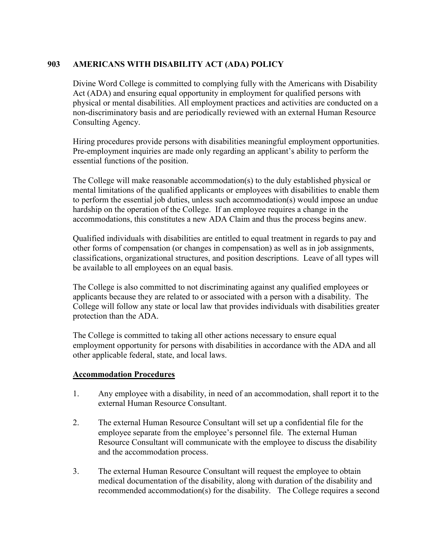## **903 AMERICANS WITH DISABILITY ACT (ADA) POLICY**

Divine Word College is committed to complying fully with the Americans with Disability Act (ADA) and ensuring equal opportunity in employment for qualified persons with physical or mental disabilities. All employment practices and activities are conducted on a non-discriminatory basis and are periodically reviewed with an external Human Resource Consulting Agency.

Hiring procedures provide persons with disabilities meaningful employment opportunities. Pre-employment inquiries are made only regarding an applicant's ability to perform the essential functions of the position.

The College will make reasonable accommodation(s) to the duly established physical or mental limitations of the qualified applicants or employees with disabilities to enable them to perform the essential job duties, unless such accommodation(s) would impose an undue hardship on the operation of the College. If an employee requires a change in the accommodations, this constitutes a new ADA Claim and thus the process begins anew.

Qualified individuals with disabilities are entitled to equal treatment in regards to pay and other forms of compensation (or changes in compensation) as well as in job assignments, classifications, organizational structures, and position descriptions. Leave of all types will be available to all employees on an equal basis.

The College is also committed to not discriminating against any qualified employees or applicants because they are related to or associated with a person with a disability. The College will follow any state or local law that provides individuals with disabilities greater protection than the ADA.

The College is committed to taking all other actions necessary to ensure equal employment opportunity for persons with disabilities in accordance with the ADA and all other applicable federal, state, and local laws.

## **Accommodation Procedures**

- 1. Any employee with a disability, in need of an accommodation, shall report it to the external Human Resource Consultant.
- 2. The external Human Resource Consultant will set up a confidential file for the employee separate from the employee's personnel file. The external Human Resource Consultant will communicate with the employee to discuss the disability and the accommodation process.
- 3. The external Human Resource Consultant will request the employee to obtain medical documentation of the disability, along with duration of the disability and recommended accommodation(s) for the disability. The College requires a second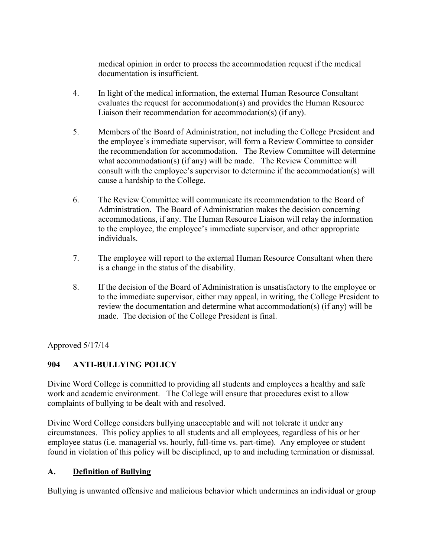medical opinion in order to process the accommodation request if the medical documentation is insufficient.

- 4. In light of the medical information, the external Human Resource Consultant evaluates the request for accommodation(s) and provides the Human Resource Liaison their recommendation for accommodation(s) (if any).
- 5. Members of the Board of Administration, not including the College President and the employee's immediate supervisor, will form a Review Committee to consider the recommendation for accommodation. The Review Committee will determine what accommodation(s) (if any) will be made. The Review Committee will consult with the employee's supervisor to determine if the accommodation(s) will cause a hardship to the College.
- 6. The Review Committee will communicate its recommendation to the Board of Administration. The Board of Administration makes the decision concerning accommodations, if any. The Human Resource Liaison will relay the information to the employee, the employee's immediate supervisor, and other appropriate individuals.
- 7. The employee will report to the external Human Resource Consultant when there is a change in the status of the disability.
- 8. If the decision of the Board of Administration is unsatisfactory to the employee or to the immediate supervisor, either may appeal, in writing, the College President to review the documentation and determine what accommodation(s) (if any) will be made. The decision of the College President is final.

Approved 5/17/14

## **904 ANTI-BULLYING POLICY**

Divine Word College is committed to providing all students and employees a healthy and safe work and academic environment. The College will ensure that procedures exist to allow complaints of bullying to be dealt with and resolved.

Divine Word College considers bullying unacceptable and will not tolerate it under any circumstances. This policy applies to all students and all employees, regardless of his or her employee status (i.e. managerial vs. hourly, full-time vs. part-time). Any employee or student found in violation of this policy will be disciplined, up to and including termination or dismissal.

## **A. Definition of Bullying**

Bullying is unwanted offensive and malicious behavior which undermines an individual or group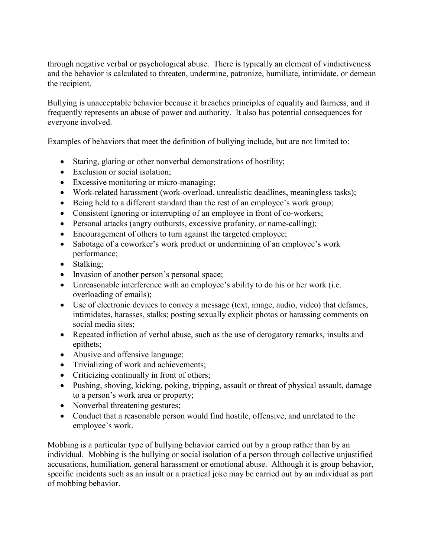through negative verbal or psychological abuse. There is typically an element of vindictiveness and the behavior is calculated to threaten, undermine, patronize, humiliate, intimidate, or demean the recipient.

Bullying is unacceptable behavior because it breaches principles of equality and fairness, and it frequently represents an abuse of power and authority. It also has potential consequences for everyone involved.

Examples of behaviors that meet the definition of bullying include, but are not limited to:

- Staring, glaring or other nonverbal demonstrations of hostility;
- Exclusion or social isolation;
- Excessive monitoring or micro-managing;
- Work-related harassment (work-overload, unrealistic deadlines, meaningless tasks);
- Being held to a different standard than the rest of an employee's work group;
- Consistent ignoring or interrupting of an employee in front of co-workers;
- Personal attacks (angry outbursts, excessive profanity, or name-calling);
- Encouragement of others to turn against the targeted employee;
- Sabotage of a coworker's work product or undermining of an employee's work performance;
- Stalking;
- Invasion of another person's personal space;
- Unreasonable interference with an employee's ability to do his or her work (i.e. overloading of emails);
- Use of electronic devices to convey a message (text, image, audio, video) that defames, intimidates, harasses, stalks; posting sexually explicit photos or harassing comments on social media sites;
- Repeated infliction of verbal abuse, such as the use of derogatory remarks, insults and epithets;
- Abusive and offensive language;
- Trivializing of work and achievements;
- Criticizing continually in front of others;
- Pushing, shoving, kicking, poking, tripping, assault or threat of physical assault, damage to a person's work area or property;
- Nonverbal threatening gestures;
- Conduct that a reasonable person would find hostile, offensive, and unrelated to the employee's work.

Mobbing is a particular type of bullying behavior carried out by a group rather than by an individual. Mobbing is the bullying or social isolation of a person through collective unjustified accusations, humiliation, general harassment or emotional abuse. Although it is group behavior, specific incidents such as an insult or a practical joke may be carried out by an individual as part of mobbing behavior.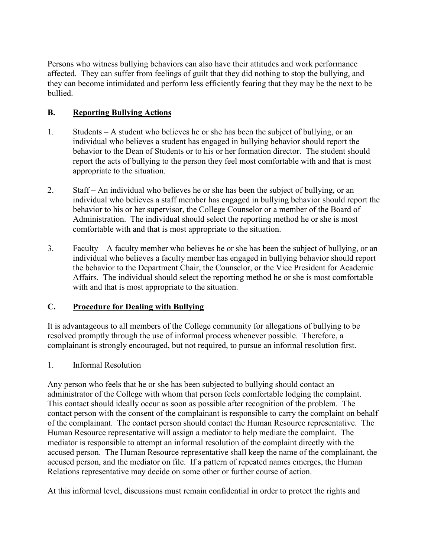Persons who witness bullying behaviors can also have their attitudes and work performance affected. They can suffer from feelings of guilt that they did nothing to stop the bullying, and they can become intimidated and perform less efficiently fearing that they may be the next to be bullied.

## **B. Reporting Bullying Actions**

- 1. Students A student who believes he or she has been the subject of bullying, or an individual who believes a student has engaged in bullying behavior should report the behavior to the Dean of Students or to his or her formation director. The student should report the acts of bullying to the person they feel most comfortable with and that is most appropriate to the situation.
- 2. Staff An individual who believes he or she has been the subject of bullying, or an individual who believes a staff member has engaged in bullying behavior should report the behavior to his or her supervisor, the College Counselor or a member of the Board of Administration. The individual should select the reporting method he or she is most comfortable with and that is most appropriate to the situation.
- 3. Faculty A faculty member who believes he or she has been the subject of bullying, or an individual who believes a faculty member has engaged in bullying behavior should report the behavior to the Department Chair, the Counselor, or the Vice President for Academic Affairs. The individual should select the reporting method he or she is most comfortable with and that is most appropriate to the situation.

## **C. Procedure for Dealing with Bullying**

It is advantageous to all members of the College community for allegations of bullying to be resolved promptly through the use of informal process whenever possible. Therefore, a complainant is strongly encouraged, but not required, to pursue an informal resolution first.

## 1. Informal Resolution

Any person who feels that he or she has been subjected to bullying should contact an administrator of the College with whom that person feels comfortable lodging the complaint. This contact should ideally occur as soon as possible after recognition of the problem. The contact person with the consent of the complainant is responsible to carry the complaint on behalf of the complainant. The contact person should contact the Human Resource representative. The Human Resource representative will assign a mediator to help mediate the complaint. The mediator is responsible to attempt an informal resolution of the complaint directly with the accused person. The Human Resource representative shall keep the name of the complainant, the accused person, and the mediator on file. If a pattern of repeated names emerges, the Human Relations representative may decide on some other or further course of action.

At this informal level, discussions must remain confidential in order to protect the rights and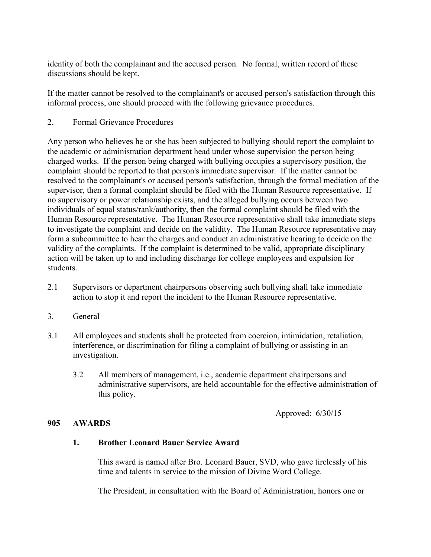identity of both the complainant and the accused person. No formal, written record of these discussions should be kept.

If the matter cannot be resolved to the complainant's or accused person's satisfaction through this informal process, one should proceed with the following grievance procedures.

2. Formal Grievance Procedures

Any person who believes he or she has been subjected to bullying should report the complaint to the academic or administration department head under whose supervision the person being charged works. If the person being charged with bullying occupies a supervisory position, the complaint should be reported to that person's immediate supervisor. If the matter cannot be resolved to the complainant's or accused person's satisfaction, through the formal mediation of the supervisor, then a formal complaint should be filed with the Human Resource representative. If no supervisory or power relationship exists, and the alleged bullying occurs between two individuals of equal status/rank/authority, then the formal complaint should be filed with the Human Resource representative. The Human Resource representative shall take immediate steps to investigate the complaint and decide on the validity. The Human Resource representative may form a subcommittee to hear the charges and conduct an administrative hearing to decide on the validity of the complaints. If the complaint is determined to be valid, appropriate disciplinary action will be taken up to and including discharge for college employees and expulsion for students.

- 2.1 Supervisors or department chairpersons observing such bullying shall take immediate action to stop it and report the incident to the Human Resource representative.
- 3. General
- 3.1 All employees and students shall be protected from coercion, intimidation, retaliation, interference, or discrimination for filing a complaint of bullying or assisting in an investigation.
	- 3.2 All members of management, i.e., academic department chairpersons and administrative supervisors, are held accountable for the effective administration of this policy.

Approved: 6/30/15

## **905 AWARDS**

## **1. Brother Leonard Bauer Service Award**

This award is named after Bro. Leonard Bauer, SVD, who gave tirelessly of his time and talents in service to the mission of Divine Word College.

The President, in consultation with the Board of Administration, honors one or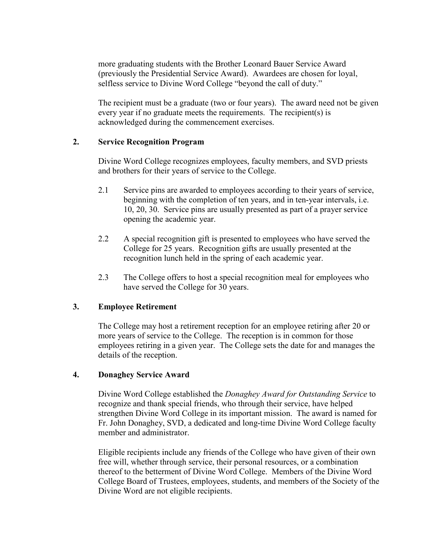more graduating students with the Brother Leonard Bauer Service Award (previously the Presidential Service Award). Awardees are chosen for loyal, selfless service to Divine Word College "beyond the call of duty."

The recipient must be a graduate (two or four years). The award need not be given every year if no graduate meets the requirements. The recipient(s) is acknowledged during the commencement exercises.

#### **2. Service Recognition Program**

Divine Word College recognizes employees, faculty members, and SVD priests and brothers for their years of service to the College.

- 2.1 Service pins are awarded to employees according to their years of service, beginning with the completion of ten years, and in ten-year intervals, i.e. 10, 20, 30. Service pins are usually presented as part of a prayer service opening the academic year.
- 2.2 A special recognition gift is presented to employees who have served the College for 25 years. Recognition gifts are usually presented at the recognition lunch held in the spring of each academic year.
- 2.3 The College offers to host a special recognition meal for employees who have served the College for 30 years.

## **3. Employee Retirement**

The College may host a retirement reception for an employee retiring after 20 or more years of service to the College. The reception is in common for those employees retiring in a given year. The College sets the date for and manages the details of the reception.

#### **4. Donaghey Service Award**

Divine Word College established the *Donaghey Award for Outstanding Service* to recognize and thank special friends, who through their service, have helped strengthen Divine Word College in its important mission. The award is named for Fr. John Donaghey, SVD, a dedicated and long-time Divine Word College faculty member and administrator.

Eligible recipients include any friends of the College who have given of their own free will, whether through service, their personal resources, or a combination thereof to the betterment of Divine Word College. Members of the Divine Word College Board of Trustees, employees, students, and members of the Society of the Divine Word are not eligible recipients.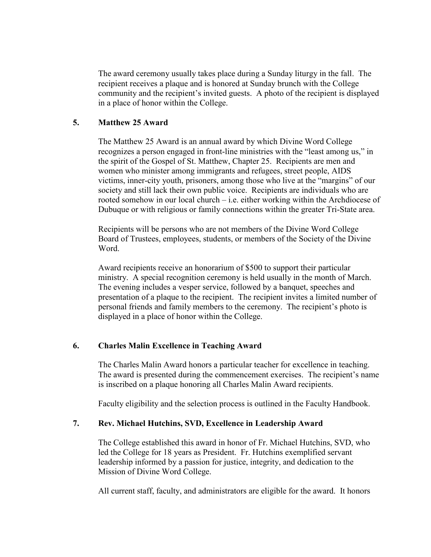The award ceremony usually takes place during a Sunday liturgy in the fall. The recipient receives a plaque and is honored at Sunday brunch with the College community and the recipient's invited guests. A photo of the recipient is displayed in a place of honor within the College.

## **5. Matthew 25 Award**

The Matthew 25 Award is an annual award by which Divine Word College recognizes a person engaged in front-line ministries with the "least among us," in the spirit of the Gospel of St. Matthew, Chapter 25. Recipients are men and women who minister among immigrants and refugees, street people, AIDS victims, inner-city youth, prisoners, among those who live at the "margins" of our society and still lack their own public voice. Recipients are individuals who are rooted somehow in our local church – i.e. either working within the Archdiocese of Dubuque or with religious or family connections within the greater Tri-State area.

Recipients will be persons who are not members of the Divine Word College Board of Trustees, employees, students, or members of the Society of the Divine Word.

Award recipients receive an honorarium of \$500 to support their particular ministry. A special recognition ceremony is held usually in the month of March. The evening includes a vesper service, followed by a banquet, speeches and presentation of a plaque to the recipient. The recipient invites a limited number of personal friends and family members to the ceremony. The recipient's photo is displayed in a place of honor within the College.

#### **6. Charles Malin Excellence in Teaching Award**

The Charles Malin Award honors a particular teacher for excellence in teaching. The award is presented during the commencement exercises. The recipient's name is inscribed on a plaque honoring all Charles Malin Award recipients.

Faculty eligibility and the selection process is outlined in the Faculty Handbook.

#### **7. Rev. Michael Hutchins, SVD, Excellence in Leadership Award**

The College established this award in honor of Fr. Michael Hutchins, SVD, who led the College for 18 years as President. Fr. Hutchins exemplified servant leadership informed by a passion for justice, integrity, and dedication to the Mission of Divine Word College.

All current staff, faculty, and administrators are eligible for the award. It honors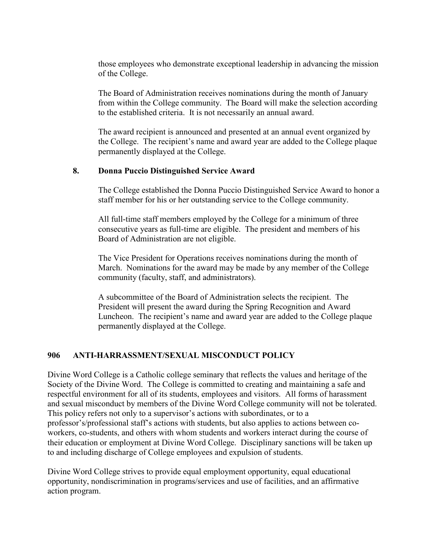those employees who demonstrate exceptional leadership in advancing the mission of the College.

The Board of Administration receives nominations during the month of January from within the College community. The Board will make the selection according to the established criteria. It is not necessarily an annual award.

The award recipient is announced and presented at an annual event organized by the College. The recipient's name and award year are added to the College plaque permanently displayed at the College.

#### **8. Donna Puccio Distinguished Service Award**

The College established the Donna Puccio Distinguished Service Award to honor a staff member for his or her outstanding service to the College community.

All full-time staff members employed by the College for a minimum of three consecutive years as full-time are eligible. The president and members of his Board of Administration are not eligible.

The Vice President for Operations receives nominations during the month of March. Nominations for the award may be made by any member of the College community (faculty, staff, and administrators).

A subcommittee of the Board of Administration selects the recipient. The President will present the award during the Spring Recognition and Award Luncheon. The recipient's name and award year are added to the College plaque permanently displayed at the College.

#### **906 ANTI-HARRASSMENT/SEXUAL MISCONDUCT POLICY**

Divine Word College is a Catholic college seminary that reflects the values and heritage of the Society of the Divine Word. The College is committed to creating and maintaining a safe and respectful environment for all of its students, employees and visitors. All forms of harassment and sexual misconduct by members of the Divine Word College community will not be tolerated. This policy refers not only to a supervisor's actions with subordinates, or to a professor's/professional staff's actions with students, but also applies to actions between coworkers, co-students, and others with whom students and workers interact during the course of their education or employment at Divine Word College. Disciplinary sanctions will be taken up to and including discharge of College employees and expulsion of students.

Divine Word College strives to provide equal employment opportunity, equal educational opportunity, nondiscrimination in programs/services and use of facilities, and an affirmative action program.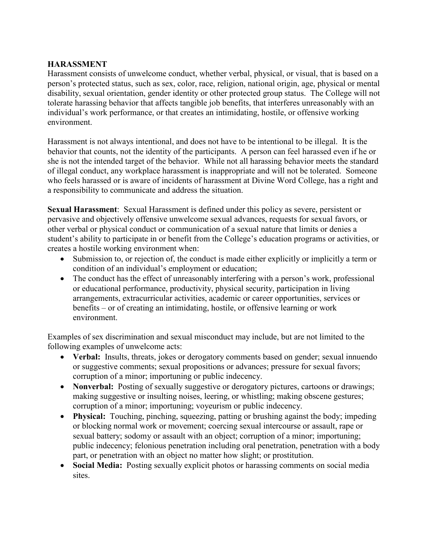## **HARASSMENT**

Harassment consists of unwelcome conduct, whether verbal, physical, or visual, that is based on a person's protected status, such as sex, color, race, religion, national origin, age, physical or mental disability, sexual orientation, gender identity or other protected group status. The College will not tolerate harassing behavior that affects tangible job benefits, that interferes unreasonably with an individual's work performance, or that creates an intimidating, hostile, or offensive working environment.

Harassment is not always intentional, and does not have to be intentional to be illegal. It is the behavior that counts, not the identity of the participants. A person can feel harassed even if he or she is not the intended target of the behavior. While not all harassing behavior meets the standard of illegal conduct, any workplace harassment is inappropriate and will not be tolerated. Someone who feels harassed or is aware of incidents of harassment at Divine Word College, has a right and a responsibility to communicate and address the situation.

**Sexual Harassment**: Sexual Harassment is defined under this policy as severe, persistent or pervasive and objectively offensive unwelcome sexual advances, requests for sexual favors, or other verbal or physical conduct or communication of a sexual nature that limits or denies a student's ability to participate in or benefit from the College's education programs or activities, or creates a hostile working environment when:

- Submission to, or rejection of, the conduct is made either explicitly or implicitly a term or condition of an individual's employment or education;
- The conduct has the effect of unreasonably interfering with a person's work, professional or educational performance, productivity, physical security, participation in living arrangements, extracurricular activities, academic or career opportunities, services or benefits – or of creating an intimidating, hostile, or offensive learning or work environment.

Examples of sex discrimination and sexual misconduct may include, but are not limited to the following examples of unwelcome acts:

- **Verbal:** Insults, threats, jokes or derogatory comments based on gender; sexual innuendo or suggestive comments; sexual propositions or advances; pressure for sexual favors; corruption of a minor; importuning or public indecency.
- **Nonverbal:** Posting of sexually suggestive or derogatory pictures, cartoons or drawings; making suggestive or insulting noises, leering, or whistling; making obscene gestures; corruption of a minor; importuning; voyeurism or public indecency.
- **Physical:** Touching, pinching, squeezing, patting or brushing against the body; impeding or blocking normal work or movement; coercing sexual intercourse or assault, rape or sexual battery; sodomy or assault with an object; corruption of a minor; importuning; public indecency; felonious penetration including oral penetration, penetration with a body part, or penetration with an object no matter how slight; or prostitution.
- **Social Media:** Posting sexually explicit photos or harassing comments on social media sites.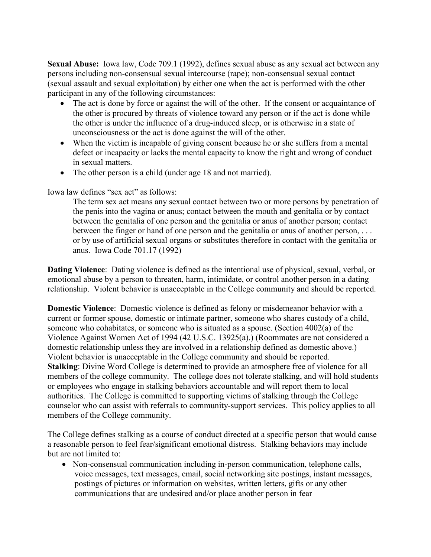**Sexual Abuse:** Iowa law, Code 709.1 (1992), defines sexual abuse as any sexual act between any persons including non-consensual sexual intercourse (rape); non-consensual sexual contact (sexual assault and sexual exploitation) by either one when the act is performed with the other participant in any of the following circumstances:

- The act is done by force or against the will of the other. If the consent or acquaintance of the other is procured by threats of violence toward any person or if the act is done while the other is under the influence of a drug-induced sleep, or is otherwise in a state of unconsciousness or the act is done against the will of the other.
- When the victim is incapable of giving consent because he or she suffers from a mental defect or incapacity or lacks the mental capacity to know the right and wrong of conduct in sexual matters.
- The other person is a child (under age 18 and not married).

Iowa law defines "sex act" as follows:

The term sex act means any sexual contact between two or more persons by penetration of the penis into the vagina or anus; contact between the mouth and genitalia or by contact between the genitalia of one person and the genitalia or anus of another person; contact between the finger or hand of one person and the genitalia or anus of another person, . . . or by use of artificial sexual organs or substitutes therefore in contact with the genitalia or anus. Iowa Code 701.17 (1992)

**Dating Violence**: Dating violence is defined as the intentional use of physical, sexual, verbal, or emotional abuse by a person to threaten, harm, intimidate, or control another person in a dating relationship. Violent behavior is unacceptable in the College community and should be reported.

**Domestic Violence**: Domestic violence is defined as felony or misdemeanor behavior with a current or former spouse, domestic or intimate partner, someone who shares custody of a child, someone who cohabitates, or someone who is situated as a spouse. (Section 4002(a) of the Violence Against Women Act of 1994 (42 U.S.C. 13925(a).) (Roommates are not considered a domestic relationship unless they are involved in a relationship defined as domestic above.) Violent behavior is unacceptable in the College community and should be reported. **Stalking**: Divine Word College is determined to provide an atmosphere free of violence for all members of the college community. The college does not tolerate stalking, and will hold students or employees who engage in stalking behaviors accountable and will report them to local authorities. The College is committed to supporting victims of stalking through the College counselor who can assist with referrals to community-support services. This policy applies to all members of the College community.

The College defines stalking as a course of conduct directed at a specific person that would cause a reasonable person to feel fear/significant emotional distress. Stalking behaviors may include but are not limited to:

• Non-consensual communication including in-person communication, telephone calls, voice messages, text messages, email, social networking site postings, instant messages, postings of pictures or information on websites, written letters, gifts or any other communications that are undesired and/or place another person in fear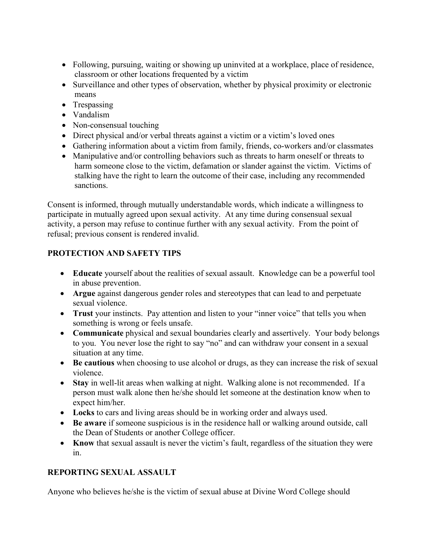- Following, pursuing, waiting or showing up uninvited at a workplace, place of residence, classroom or other locations frequented by a victim
- Surveillance and other types of observation, whether by physical proximity or electronic means
- Trespassing
- Vandalism
- Non-consensual touching
- Direct physical and/or verbal threats against a victim or a victim's loved ones
- Gathering information about a victim from family, friends, co-workers and/or classmates
- Manipulative and/or controlling behaviors such as threats to harm oneself or threats to harm someone close to the victim, defamation or slander against the victim. Victims of stalking have the right to learn the outcome of their case, including any recommended sanctions.

Consent is informed, through mutually understandable words, which indicate a willingness to participate in mutually agreed upon sexual activity. At any time during consensual sexual activity, a person may refuse to continue further with any sexual activity. From the point of refusal; previous consent is rendered invalid.

## **PROTECTION AND SAFETY TIPS**

- **Educate** yourself about the realities of sexual assault. Knowledge can be a powerful tool in abuse prevention.
- **Argue** against dangerous gender roles and stereotypes that can lead to and perpetuate sexual violence.
- **Trust** your instincts. Pay attention and listen to your "inner voice" that tells you when something is wrong or feels unsafe.
- **Communicate** physical and sexual boundaries clearly and assertively. Your body belongs to you. You never lose the right to say "no" and can withdraw your consent in a sexual situation at any time.
- **Be cautious** when choosing to use alcohol or drugs, as they can increase the risk of sexual violence.
- **Stay** in well-lit areas when walking at night. Walking alone is not recommended. If a person must walk alone then he/she should let someone at the destination know when to expect him/her.
- **Locks** to cars and living areas should be in working order and always used.
- **Be aware** if someone suspicious is in the residence hall or walking around outside, call the Dean of Students or another College officer.
- **Know** that sexual assault is never the victim's fault, regardless of the situation they were in.

## **REPORTING SEXUAL ASSAULT**

Anyone who believes he/she is the victim of sexual abuse at Divine Word College should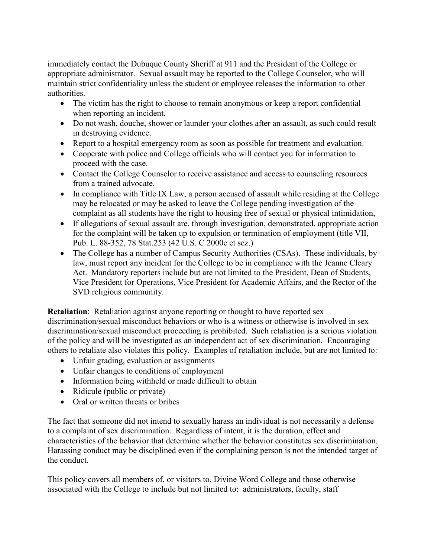immediately contact the Dubuque County Sheriff at 911 and the President of the College or appropriate administrator. Sexual assault may be reported to the College Counselor, who will maintain strict confidentiality unless the student or employee releases the information to other authorities.

- The victim has the right to choose to remain anonymous or keep a report confidential when reporting an incident.
- Do not wash, douche, shower or launder your clothes after an assault, as such could result in destroying evidence.
- Report to a hospital emergency room as soon as possible for treatment and evaluation.
- Cooperate with police and College officials who will contact you for information to proceed with the case.
- Contact the College Counselor to receive assistance and access to counseling resources from a trained advocate.
- In compliance with Title IX Law, a person accused of assault while residing at the College may be relocated or may be asked to leave the College pending investigation of the complaint as all students have the right to housing free of sexual or physical intimidation,
- If allegations of sexual assault are, through investigation, demonstrated, appropriate action for the complaint will be taken up to expulsion or termination of employment (title VII, Pub. L. 88-352, 78 Stat.253 (42 U.S. C 2000e et sez.)
- The College has a number of Campus Security Authorities (CSAs). These individuals, by law, must report any incident for the College to be in compliance with the Jeanne Cleary Act. Mandatory reporters include but are not limited to the President, Dean of Students, Vice President for Operations, Vice President for Academic Affairs, and the Rector of the SVD religious community.

**Retaliation**: Retaliation against anyone reporting or thought to have reported sex discrimination/sexual misconduct behaviors or who is a witness or otherwise is involved in sex discrimination/sexual misconduct proceeding is prohibited. Such retaliation is a serious violation of the policy and will be investigated as an independent act of sex discrimination. Encouraging others to retaliate also violates this policy. Examples of retaliation include, but are not limited to:

- Unfair grading, evaluation or assignments
- Unfair changes to conditions of employment
- Information being withheld or made difficult to obtain
- Ridicule (public or private)
- Oral or written threats or bribes

The fact that someone did not intend to sexually harass an individual is not necessarily a defense to a complaint of sex discrimination. Regardless of intent, it is the duration, effect and characteristics of the behavior that determine whether the behavior constitutes sex discrimination. Harassing conduct may be disciplined even if the complaining person is not the intended target of the conduct.

This policy covers all members of, or visitors to, Divine Word College and those otherwise associated with the College to include but not limited to: administrators, faculty, staff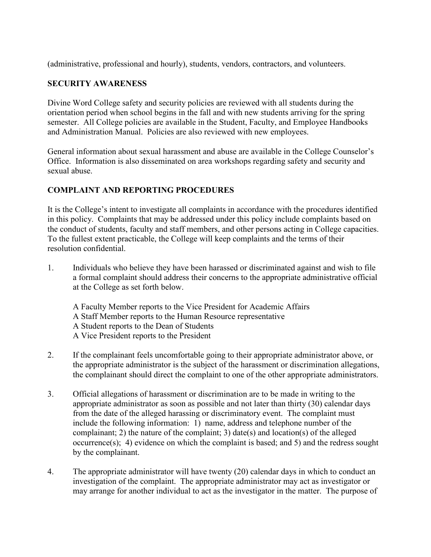(administrative, professional and hourly), students, vendors, contractors, and volunteers.

## **SECURITY AWARENESS**

Divine Word College safety and security policies are reviewed with all students during the orientation period when school begins in the fall and with new students arriving for the spring semester. All College policies are available in the Student, Faculty, and Employee Handbooks and Administration Manual. Policies are also reviewed with new employees.

General information about sexual harassment and abuse are available in the College Counselor's Office. Information is also disseminated on area workshops regarding safety and security and sexual abuse.

## **COMPLAINT AND REPORTING PROCEDURES**

It is the College's intent to investigate all complaints in accordance with the procedures identified in this policy. Complaints that may be addressed under this policy include complaints based on the conduct of students, faculty and staff members, and other persons acting in College capacities. To the fullest extent practicable, the College will keep complaints and the terms of their resolution confidential.

1. Individuals who believe they have been harassed or discriminated against and wish to file a formal complaint should address their concerns to the appropriate administrative official at the College as set forth below.

A Faculty Member reports to the Vice President for Academic Affairs A Staff Member reports to the Human Resource representative A Student reports to the Dean of Students A Vice President reports to the President

- 2. If the complainant feels uncomfortable going to their appropriate administrator above, or the appropriate administrator is the subject of the harassment or discrimination allegations, the complainant should direct the complaint to one of the other appropriate administrators.
- 3. Official allegations of harassment or discrimination are to be made in writing to the appropriate administrator as soon as possible and not later than thirty (30) calendar days from the date of the alleged harassing or discriminatory event. The complaint must include the following information: 1) name, address and telephone number of the complainant; 2) the nature of the complaint; 3) date(s) and location(s) of the alleged occurrence(s); 4) evidence on which the complaint is based; and 5) and the redress sought by the complainant.
- 4. The appropriate administrator will have twenty (20) calendar days in which to conduct an investigation of the complaint. The appropriate administrator may act as investigator or may arrange for another individual to act as the investigator in the matter. The purpose of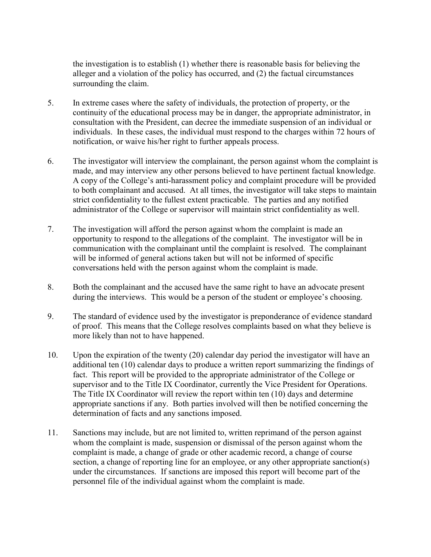the investigation is to establish (1) whether there is reasonable basis for believing the alleger and a violation of the policy has occurred, and (2) the factual circumstances surrounding the claim.

- 5. In extreme cases where the safety of individuals, the protection of property, or the continuity of the educational process may be in danger, the appropriate administrator, in consultation with the President, can decree the immediate suspension of an individual or individuals. In these cases, the individual must respond to the charges within 72 hours of notification, or waive his/her right to further appeals process.
- 6. The investigator will interview the complainant, the person against whom the complaint is made, and may interview any other persons believed to have pertinent factual knowledge. A copy of the College's anti-harassment policy and complaint procedure will be provided to both complainant and accused. At all times, the investigator will take steps to maintain strict confidentiality to the fullest extent practicable. The parties and any notified administrator of the College or supervisor will maintain strict confidentiality as well.
- 7. The investigation will afford the person against whom the complaint is made an opportunity to respond to the allegations of the complaint. The investigator will be in communication with the complainant until the complaint is resolved. The complainant will be informed of general actions taken but will not be informed of specific conversations held with the person against whom the complaint is made.
- 8. Both the complainant and the accused have the same right to have an advocate present during the interviews. This would be a person of the student or employee's choosing.
- 9. The standard of evidence used by the investigator is preponderance of evidence standard of proof. This means that the College resolves complaints based on what they believe is more likely than not to have happened.
- 10. Upon the expiration of the twenty (20) calendar day period the investigator will have an additional ten (10) calendar days to produce a written report summarizing the findings of fact. This report will be provided to the appropriate administrator of the College or supervisor and to the Title IX Coordinator, currently the Vice President for Operations. The Title IX Coordinator will review the report within ten (10) days and determine appropriate sanctions if any. Both parties involved will then be notified concerning the determination of facts and any sanctions imposed.
- 11. Sanctions may include, but are not limited to, written reprimand of the person against whom the complaint is made, suspension or dismissal of the person against whom the complaint is made, a change of grade or other academic record, a change of course section, a change of reporting line for an employee, or any other appropriate sanction(s) under the circumstances. If sanctions are imposed this report will become part of the personnel file of the individual against whom the complaint is made.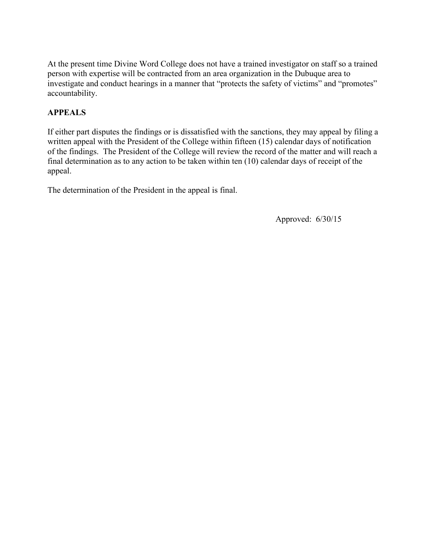At the present time Divine Word College does not have a trained investigator on staff so a trained person with expertise will be contracted from an area organization in the Dubuque area to investigate and conduct hearings in a manner that "protects the safety of victims" and "promotes" accountability.

## **APPEALS**

If either part disputes the findings or is dissatisfied with the sanctions, they may appeal by filing a written appeal with the President of the College within fifteen (15) calendar days of notification of the findings. The President of the College will review the record of the matter and will reach a final determination as to any action to be taken within ten (10) calendar days of receipt of the appeal.

The determination of the President in the appeal is final.

Approved: 6/30/15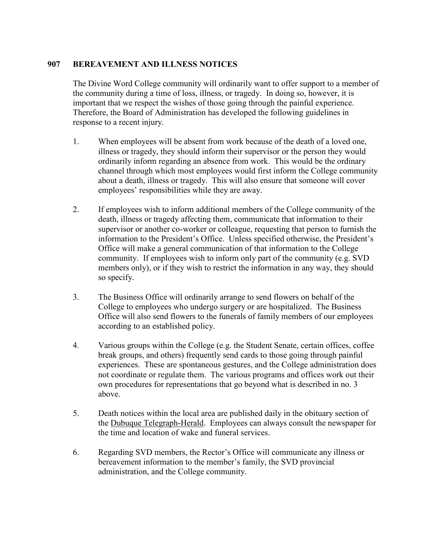## **907 BEREAVEMENT AND ILLNESS NOTICES**

The Divine Word College community will ordinarily want to offer support to a member of the community during a time of loss, illness, or tragedy. In doing so, however, it is important that we respect the wishes of those going through the painful experience. Therefore, the Board of Administration has developed the following guidelines in response to a recent injury.

- 1. When employees will be absent from work because of the death of a loved one, illness or tragedy, they should inform their supervisor or the person they would ordinarily inform regarding an absence from work. This would be the ordinary channel through which most employees would first inform the College community about a death, illness or tragedy. This will also ensure that someone will cover employees' responsibilities while they are away.
- 2. If employees wish to inform additional members of the College community of the death, illness or tragedy affecting them, communicate that information to their supervisor or another co-worker or colleague, requesting that person to furnish the information to the President's Office. Unless specified otherwise, the President's Office will make a general communication of that information to the College community. If employees wish to inform only part of the community (e.g. SVD members only), or if they wish to restrict the information in any way, they should so specify.
- 3. The Business Office will ordinarily arrange to send flowers on behalf of the College to employees who undergo surgery or are hospitalized. The Business Office will also send flowers to the funerals of family members of our employees according to an established policy.
- 4. Various groups within the College (e.g. the Student Senate, certain offices, coffee break groups, and others) frequently send cards to those going through painful experiences. These are spontaneous gestures, and the College administration does not coordinate or regulate them. The various programs and offices work out their own procedures for representations that go beyond what is described in no. 3 above.
- 5. Death notices within the local area are published daily in the obituary section of the Dubuque Telegraph-Herald. Employees can always consult the newspaper for the time and location of wake and funeral services.
- 6. Regarding SVD members, the Rector's Office will communicate any illness or bereavement information to the member's family, the SVD provincial administration, and the College community.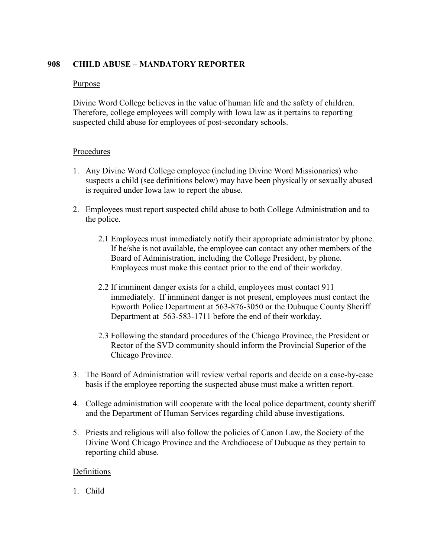## **908 CHILD ABUSE – MANDATORY REPORTER**

## Purpose

Divine Word College believes in the value of human life and the safety of children. Therefore, college employees will comply with Iowa law as it pertains to reporting suspected child abuse for employees of post-secondary schools.

#### Procedures

- 1. Any Divine Word College employee (including Divine Word Missionaries) who suspects a child (see definitions below) may have been physically or sexually abused is required under Iowa law to report the abuse.
- 2. Employees must report suspected child abuse to both College Administration and to the police.
	- 2.1 Employees must immediately notify their appropriate administrator by phone. If he/she is not available, the employee can contact any other members of the Board of Administration, including the College President, by phone. Employees must make this contact prior to the end of their workday.
	- 2.2 If imminent danger exists for a child, employees must contact 911 immediately. If imminent danger is not present, employees must contact the Epworth Police Department at 563-876-3050 or the Dubuque County Sheriff Department at 563-583-1711 before the end of their workday.
	- 2.3 Following the standard procedures of the Chicago Province, the President or Rector of the SVD community should inform the Provincial Superior of the Chicago Province.
- 3. The Board of Administration will review verbal reports and decide on a case-by-case basis if the employee reporting the suspected abuse must make a written report.
- 4. College administration will cooperate with the local police department, county sheriff and the Department of Human Services regarding child abuse investigations.
- 5. Priests and religious will also follow the policies of Canon Law, the Society of the Divine Word Chicago Province and the Archdiocese of Dubuque as they pertain to reporting child abuse.

## Definitions

1. Child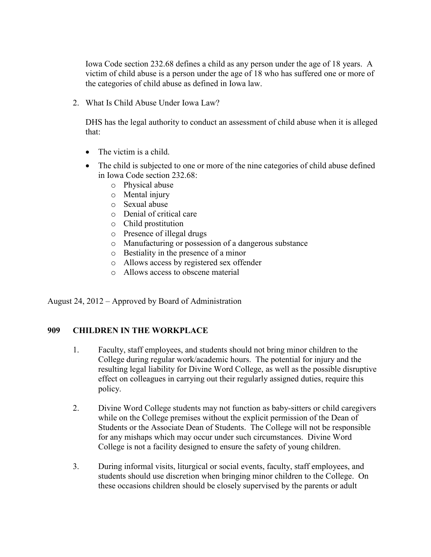Iowa Code section 232.68 defines a child as any person under the age of 18 years. A victim of child abuse is a person under the age of 18 who has suffered one or more of the categories of child abuse as defined in Iowa law.

2. What Is Child Abuse Under Iowa Law?

DHS has the legal authority to conduct an assessment of child abuse when it is alleged that:

- The victim is a child.
- The child is subjected to one or more of the nine categories of child abuse defined in Iowa Code section 232.68:
	- o Physical abuse
	- o Mental injury
	- o Sexual abuse
	- o Denial of critical care
	- o Child prostitution
	- o Presence of illegal drugs
	- o Manufacturing or possession of a dangerous substance
	- o Bestiality in the presence of a minor
	- o Allows access by registered sex offender
	- o Allows access to obscene material

August 24, 2012 – Approved by Board of Administration

#### **909 CHILDREN IN THE WORKPLACE**

- 1. Faculty, staff employees, and students should not bring minor children to the College during regular work/academic hours. The potential for injury and the resulting legal liability for Divine Word College, as well as the possible disruptive effect on colleagues in carrying out their regularly assigned duties, require this policy.
- 2. Divine Word College students may not function as baby-sitters or child caregivers while on the College premises without the explicit permission of the Dean of Students or the Associate Dean of Students. The College will not be responsible for any mishaps which may occur under such circumstances. Divine Word College is not a facility designed to ensure the safety of young children.
- 3. During informal visits, liturgical or social events, faculty, staff employees, and students should use discretion when bringing minor children to the College. On these occasions children should be closely supervised by the parents or adult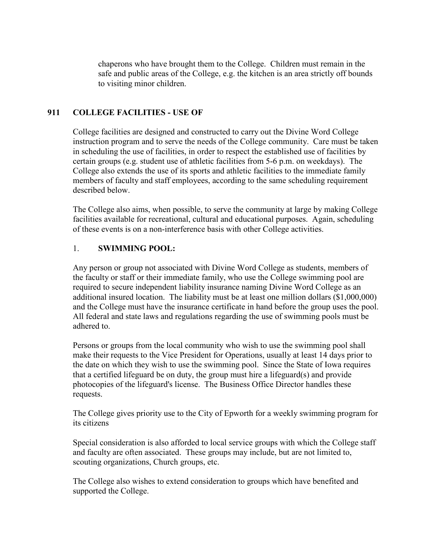chaperons who have brought them to the College. Children must remain in the safe and public areas of the College, e.g. the kitchen is an area strictly off bounds to visiting minor children.

## **911 COLLEGE FACILITIES - USE OF**

College facilities are designed and constructed to carry out the Divine Word College instruction program and to serve the needs of the College community. Care must be taken in scheduling the use of facilities, in order to respect the established use of facilities by certain groups (e.g. student use of athletic facilities from 5-6 p.m. on weekdays). The College also extends the use of its sports and athletic facilities to the immediate family members of faculty and staff employees, according to the same scheduling requirement described below.

The College also aims, when possible, to serve the community at large by making College facilities available for recreational, cultural and educational purposes. Again, scheduling of these events is on a non-interference basis with other College activities.

#### 1. **SWIMMING POOL:**

Any person or group not associated with Divine Word College as students, members of the faculty or staff or their immediate family, who use the College swimming pool are required to secure independent liability insurance naming Divine Word College as an additional insured location. The liability must be at least one million dollars (\$1,000,000) and the College must have the insurance certificate in hand before the group uses the pool. All federal and state laws and regulations regarding the use of swimming pools must be adhered to.

Persons or groups from the local community who wish to use the swimming pool shall make their requests to the Vice President for Operations, usually at least 14 days prior to the date on which they wish to use the swimming pool. Since the State of Iowa requires that a certified lifeguard be on duty, the group must hire a lifeguard(s) and provide photocopies of the lifeguard's license. The Business Office Director handles these requests.

The College gives priority use to the City of Epworth for a weekly swimming program for its citizens

Special consideration is also afforded to local service groups with which the College staff and faculty are often associated. These groups may include, but are not limited to, scouting organizations, Church groups, etc.

The College also wishes to extend consideration to groups which have benefited and supported the College.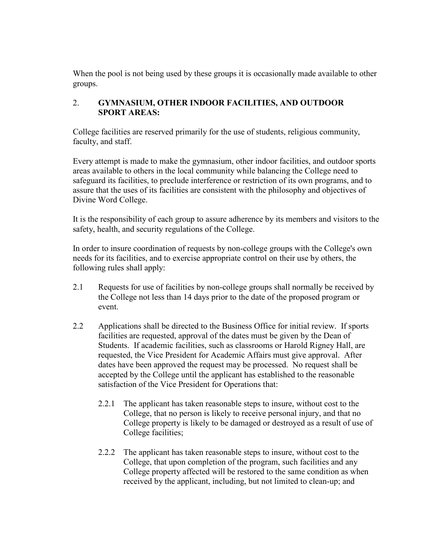When the pool is not being used by these groups it is occasionally made available to other groups.

## 2. **GYMNASIUM, OTHER INDOOR FACILITIES, AND OUTDOOR SPORT AREAS:**

College facilities are reserved primarily for the use of students, religious community, faculty, and staff.

Every attempt is made to make the gymnasium, other indoor facilities, and outdoor sports areas available to others in the local community while balancing the College need to safeguard its facilities, to preclude interference or restriction of its own programs, and to assure that the uses of its facilities are consistent with the philosophy and objectives of Divine Word College.

It is the responsibility of each group to assure adherence by its members and visitors to the safety, health, and security regulations of the College.

In order to insure coordination of requests by non-college groups with the College's own needs for its facilities, and to exercise appropriate control on their use by others, the following rules shall apply:

- 2.1 Requests for use of facilities by non-college groups shall normally be received by the College not less than 14 days prior to the date of the proposed program or event.
- 2.2 Applications shall be directed to the Business Office for initial review. If sports facilities are requested, approval of the dates must be given by the Dean of Students. If academic facilities, such as classrooms or Harold Rigney Hall, are requested, the Vice President for Academic Affairs must give approval. After dates have been approved the request may be processed. No request shall be accepted by the College until the applicant has established to the reasonable satisfaction of the Vice President for Operations that:
	- 2.2.1 The applicant has taken reasonable steps to insure, without cost to the College, that no person is likely to receive personal injury, and that no College property is likely to be damaged or destroyed as a result of use of College facilities;
	- 2.2.2 The applicant has taken reasonable steps to insure, without cost to the College, that upon completion of the program, such facilities and any College property affected will be restored to the same condition as when received by the applicant, including, but not limited to clean-up; and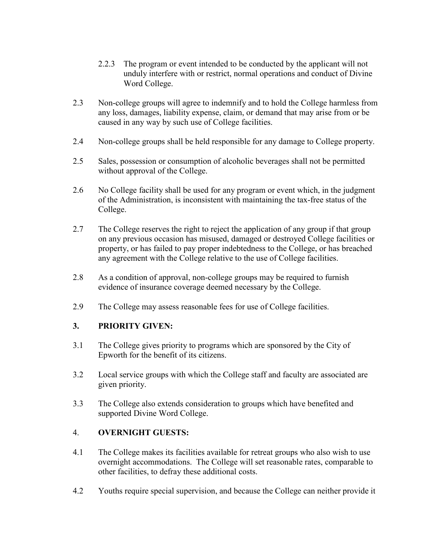- 2.2.3 The program or event intended to be conducted by the applicant will not unduly interfere with or restrict, normal operations and conduct of Divine Word College.
- 2.3 Non-college groups will agree to indemnify and to hold the College harmless from any loss, damages, liability expense, claim, or demand that may arise from or be caused in any way by such use of College facilities.
- 2.4 Non-college groups shall be held responsible for any damage to College property.
- 2.5 Sales, possession or consumption of alcoholic beverages shall not be permitted without approval of the College.
- 2.6 No College facility shall be used for any program or event which, in the judgment of the Administration, is inconsistent with maintaining the tax-free status of the College.
- 2.7 The College reserves the right to reject the application of any group if that group on any previous occasion has misused, damaged or destroyed College facilities or property, or has failed to pay proper indebtedness to the College, or has breached any agreement with the College relative to the use of College facilities.
- 2.8 As a condition of approval, non-college groups may be required to furnish evidence of insurance coverage deemed necessary by the College.
- 2.9 The College may assess reasonable fees for use of College facilities.

## **3. PRIORITY GIVEN:**

- 3.1 The College gives priority to programs which are sponsored by the City of Epworth for the benefit of its citizens.
- 3.2 Local service groups with which the College staff and faculty are associated are given priority.
- 3.3 The College also extends consideration to groups which have benefited and supported Divine Word College.

## 4. **OVERNIGHT GUESTS:**

- 4.1 The College makes its facilities available for retreat groups who also wish to use overnight accommodations. The College will set reasonable rates, comparable to other facilities, to defray these additional costs.
- 4.2 Youths require special supervision, and because the College can neither provide it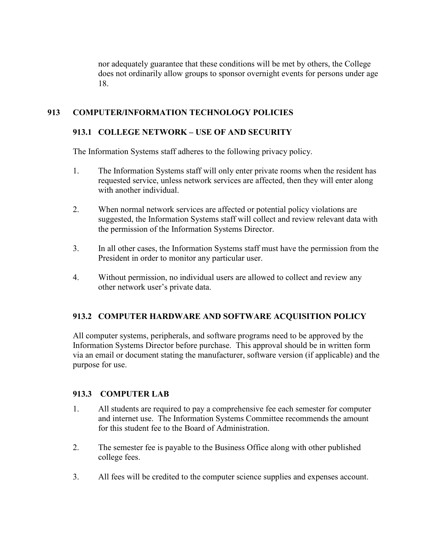nor adequately guarantee that these conditions will be met by others, the College does not ordinarily allow groups to sponsor overnight events for persons under age 18.

## **913 COMPUTER/INFORMATION TECHNOLOGY POLICIES**

## **913.1 COLLEGE NETWORK – USE OF AND SECURITY**

The Information Systems staff adheres to the following privacy policy.

- 1. The Information Systems staff will only enter private rooms when the resident has requested service, unless network services are affected, then they will enter along with another individual
- 2. When normal network services are affected or potential policy violations are suggested, the Information Systems staff will collect and review relevant data with the permission of the Information Systems Director.
- 3. In all other cases, the Information Systems staff must have the permission from the President in order to monitor any particular user.
- 4. Without permission, no individual users are allowed to collect and review any other network user's private data.

## **913.2 COMPUTER HARDWARE AND SOFTWARE ACQUISITION POLICY**

All computer systems, peripherals, and software programs need to be approved by the Information Systems Director before purchase. This approval should be in written form via an email or document stating the manufacturer, software version (if applicable) and the purpose for use.

#### **913.3 COMPUTER LAB**

- 1. All students are required to pay a comprehensive fee each semester for computer and internet use. The Information Systems Committee recommends the amount for this student fee to the Board of Administration.
- 2. The semester fee is payable to the Business Office along with other published college fees.
- 3. All fees will be credited to the computer science supplies and expenses account.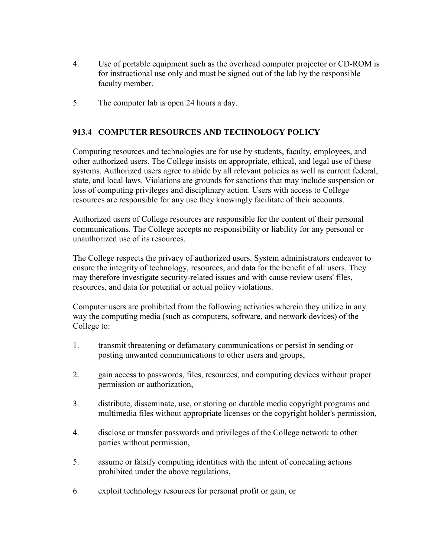- 4. Use of portable equipment such as the overhead computer projector or CD-ROM is for instructional use only and must be signed out of the lab by the responsible faculty member.
- 5. The computer lab is open 24 hours a day.

## **913.4 COMPUTER RESOURCES AND TECHNOLOGY POLICY**

Computing resources and technologies are for use by students, faculty, employees, and other authorized users. The College insists on appropriate, ethical, and legal use of these systems. Authorized users agree to abide by all relevant policies as well as current federal, state, and local laws. Violations are grounds for sanctions that may include suspension or loss of computing privileges and disciplinary action. Users with access to College resources are responsible for any use they knowingly facilitate of their accounts.

Authorized users of College resources are responsible for the content of their personal communications. The College accepts no responsibility or liability for any personal or unauthorized use of its resources.

The College respects the privacy of authorized users. System administrators endeavor to ensure the integrity of technology, resources, and data for the benefit of all users. They may therefore investigate security-related issues and with cause review users' files, resources, and data for potential or actual policy violations.

Computer users are prohibited from the following activities wherein they utilize in any way the computing media (such as computers, software, and network devices) of the College to:

- 1. transmit threatening or defamatory communications or persist in sending or posting unwanted communications to other users and groups,
- 2. gain access to passwords, files, resources, and computing devices without proper permission or authorization,
- 3. distribute, disseminate, use, or storing on durable media copyright programs and multimedia files without appropriate licenses or the copyright holder's permission,
- 4. disclose or transfer passwords and privileges of the College network to other parties without permission,
- 5. assume or falsify computing identities with the intent of concealing actions prohibited under the above regulations,
- 6. exploit technology resources for personal profit or gain, or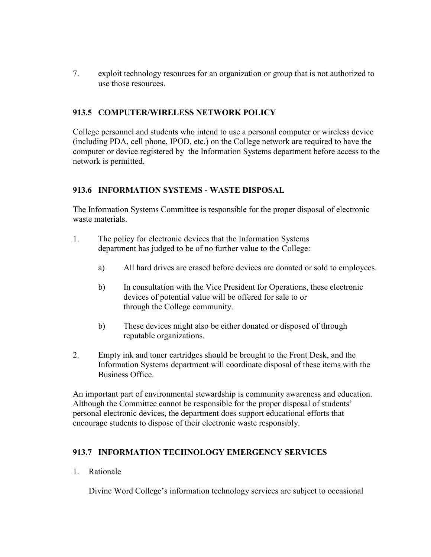7. exploit technology resources for an organization or group that is not authorized to use those resources.

## **913.5 COMPUTER/WIRELESS NETWORK POLICY**

College personnel and students who intend to use a personal computer or wireless device (including PDA, cell phone, IPOD, etc.) on the College network are required to have the computer or device registered by the Information Systems department before access to the network is permitted.

#### **913.6 INFORMATION SYSTEMS - WASTE DISPOSAL**

The Information Systems Committee is responsible for the proper disposal of electronic waste materials.

- 1. The policy for electronic devices that the Information Systems department has judged to be of no further value to the College:
	- a) All hard drives are erased before devices are donated or sold to employees.
	- b) In consultation with the Vice President for Operations, these electronic devices of potential value will be offered for sale to or through the College community.
	- b) These devices might also be either donated or disposed of through reputable organizations.
- 2. Empty ink and toner cartridges should be brought to the Front Desk, and the Information Systems department will coordinate disposal of these items with the Business Office.

An important part of environmental stewardship is community awareness and education. Although the Committee cannot be responsible for the proper disposal of students' personal electronic devices, the department does support educational efforts that encourage students to dispose of their electronic waste responsibly.

## **913.7 INFORMATION TECHNOLOGY EMERGENCY SERVICES**

1. Rationale

Divine Word College's information technology services are subject to occasional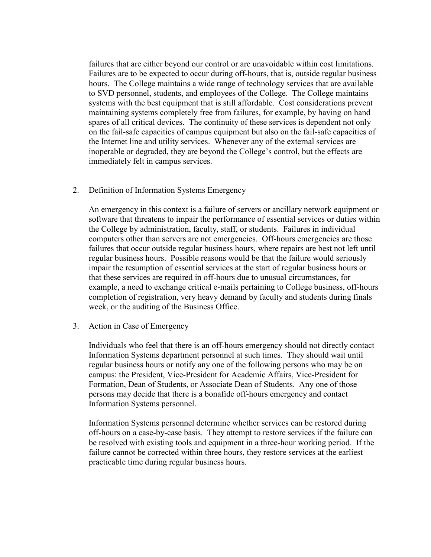failures that are either beyond our control or are unavoidable within cost limitations. Failures are to be expected to occur during off-hours, that is, outside regular business hours. The College maintains a wide range of technology services that are available to SVD personnel, students, and employees of the College. The College maintains systems with the best equipment that is still affordable. Cost considerations prevent maintaining systems completely free from failures, for example, by having on hand spares of all critical devices. The continuity of these services is dependent not only on the fail-safe capacities of campus equipment but also on the fail-safe capacities of the Internet line and utility services. Whenever any of the external services are inoperable or degraded, they are beyond the College's control, but the effects are immediately felt in campus services.

2. Definition of Information Systems Emergency

An emergency in this context is a failure of servers or ancillary network equipment or software that threatens to impair the performance of essential services or duties within the College by administration, faculty, staff, or students. Failures in individual computers other than servers are not emergencies. Off-hours emergencies are those failures that occur outside regular business hours, where repairs are best not left until regular business hours. Possible reasons would be that the failure would seriously impair the resumption of essential services at the start of regular business hours or that these services are required in off-hours due to unusual circumstances, for example, a need to exchange critical e-mails pertaining to College business, off-hours completion of registration, very heavy demand by faculty and students during finals week, or the auditing of the Business Office.

3. Action in Case of Emergency

Individuals who feel that there is an off-hours emergency should not directly contact Information Systems department personnel at such times. They should wait until regular business hours or notify any one of the following persons who may be on campus: the President, Vice-President for Academic Affairs, Vice-President for Formation, Dean of Students, or Associate Dean of Students. Any one of those persons may decide that there is a bonafide off-hours emergency and contact Information Systems personnel.

Information Systems personnel determine whether services can be restored during off-hours on a case-by-case basis. They attempt to restore services if the failure can be resolved with existing tools and equipment in a three-hour working period. If the failure cannot be corrected within three hours, they restore services at the earliest practicable time during regular business hours.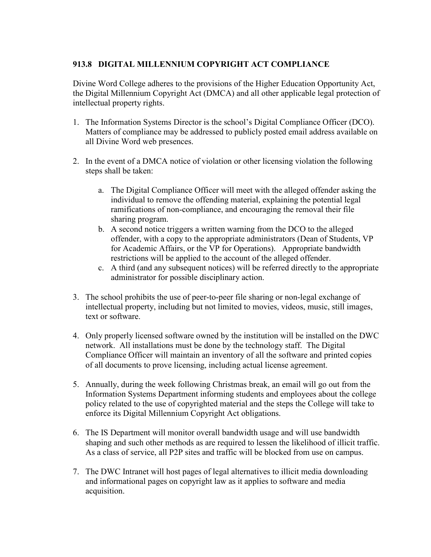## **913.8 DIGITAL MILLENNIUM COPYRIGHT ACT COMPLIANCE**

Divine Word College adheres to the provisions of the Higher Education Opportunity Act, the Digital Millennium Copyright Act (DMCA) and all other applicable legal protection of intellectual property rights.

- 1. The Information Systems Director is the school's Digital Compliance Officer (DCO). Matters of compliance may be addressed to publicly posted email address available on all Divine Word web presences.
- 2. In the event of a DMCA notice of violation or other licensing violation the following steps shall be taken:
	- a. The Digital Compliance Officer will meet with the alleged offender asking the individual to remove the offending material, explaining the potential legal ramifications of non-compliance, and encouraging the removal their file sharing program.
	- b. A second notice triggers a written warning from the DCO to the alleged offender, with a copy to the appropriate administrators (Dean of Students, VP for Academic Affairs, or the VP for Operations). Appropriate bandwidth restrictions will be applied to the account of the alleged offender.
	- c. A third (and any subsequent notices) will be referred directly to the appropriate administrator for possible disciplinary action.
- 3. The school prohibits the use of peer-to-peer file sharing or non-legal exchange of intellectual property, including but not limited to movies, videos, music, still images, text or software.
- 4. Only properly licensed software owned by the institution will be installed on the DWC network. All installations must be done by the technology staff. The Digital Compliance Officer will maintain an inventory of all the software and printed copies of all documents to prove licensing, including actual license agreement.
- 5. Annually, during the week following Christmas break, an email will go out from the Information Systems Department informing students and employees about the college policy related to the use of copyrighted material and the steps the College will take to enforce its Digital Millennium Copyright Act obligations.
- 6. The IS Department will monitor overall bandwidth usage and will use bandwidth shaping and such other methods as are required to lessen the likelihood of illicit traffic. As a class of service, all P2P sites and traffic will be blocked from use on campus.
- 7. The DWC Intranet will host pages of legal alternatives to illicit media downloading and informational pages on copyright law as it applies to software and media acquisition.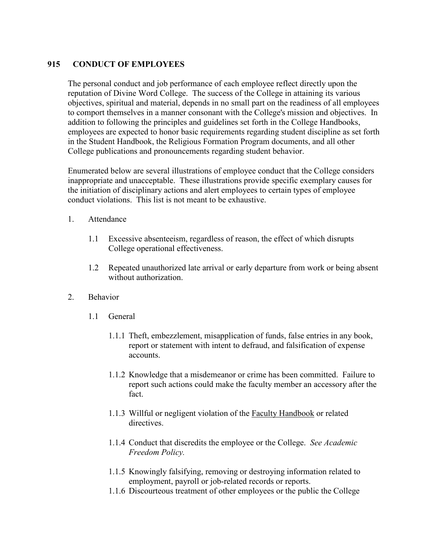## **915 CONDUCT OF EMPLOYEES**

The personal conduct and job performance of each employee reflect directly upon the reputation of Divine Word College. The success of the College in attaining its various objectives, spiritual and material, depends in no small part on the readiness of all employees to comport themselves in a manner consonant with the College's mission and objectives. In addition to following the principles and guidelines set forth in the College Handbooks, employees are expected to honor basic requirements regarding student discipline as set forth in the Student Handbook, the Religious Formation Program documents, and all other College publications and pronouncements regarding student behavior.

Enumerated below are several illustrations of employee conduct that the College considers inappropriate and unacceptable. These illustrations provide specific exemplary causes for the initiation of disciplinary actions and alert employees to certain types of employee conduct violations. This list is not meant to be exhaustive.

- 1. Attendance
	- 1.1 Excessive absenteeism, regardless of reason, the effect of which disrupts College operational effectiveness.
	- 1.2 Repeated unauthorized late arrival or early departure from work or being absent without authorization.
- 2. Behavior
	- 1.1 General
		- 1.1.1 Theft, embezzlement, misapplication of funds, false entries in any book, report or statement with intent to defraud, and falsification of expense accounts.
		- 1.1.2 Knowledge that a misdemeanor or crime has been committed. Failure to report such actions could make the faculty member an accessory after the fact.
		- 1.1.3 Willful or negligent violation of the Faculty Handbook or related directives.
		- 1.1.4 Conduct that discredits the employee or the College. *See Academic Freedom Policy.*
		- 1.1.5 Knowingly falsifying, removing or destroying information related to employment, payroll or job-related records or reports.
		- 1.1.6 Discourteous treatment of other employees or the public the College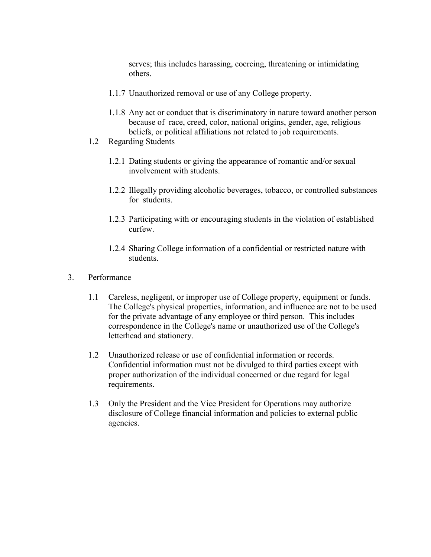serves; this includes harassing, coercing, threatening or intimidating others.

- 1.1.7 Unauthorized removal or use of any College property.
- 1.1.8 Any act or conduct that is discriminatory in nature toward another person because of race, creed, color, national origins, gender, age, religious beliefs, or political affiliations not related to job requirements.
- 1.2 Regarding Students
	- 1.2.1 Dating students or giving the appearance of romantic and/or sexual involvement with students.
	- 1.2.2 Illegally providing alcoholic beverages, tobacco, or controlled substances for students.
	- 1.2.3 Participating with or encouraging students in the violation of established curfew.
	- 1.2.4 Sharing College information of a confidential or restricted nature with students.
- 3. Performance
	- 1.1 Careless, negligent, or improper use of College property, equipment or funds. The College's physical properties, information, and influence are not to be used for the private advantage of any employee or third person. This includes correspondence in the College's name or unauthorized use of the College's letterhead and stationery.
	- 1.2 Unauthorized release or use of confidential information or records. Confidential information must not be divulged to third parties except with proper authorization of the individual concerned or due regard for legal requirements.
	- 1.3 Only the President and the Vice President for Operations may authorize disclosure of College financial information and policies to external public agencies.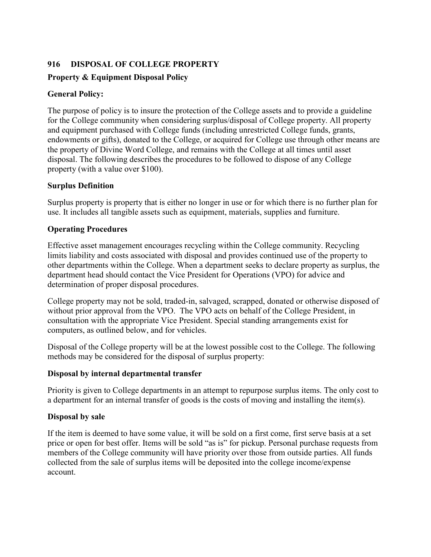## **916 DISPOSAL OF COLLEGE PROPERTY**

## **Property & Equipment Disposal Policy**

## **General Policy:**

The purpose of policy is to insure the protection of the College assets and to provide a guideline for the College community when considering surplus/disposal of College property. All property and equipment purchased with College funds (including unrestricted College funds, grants, endowments or gifts), donated to the College, or acquired for College use through other means are the property of Divine Word College, and remains with the College at all times until asset disposal. The following describes the procedures to be followed to dispose of any College property (with a value over \$100).

#### **Surplus Definition**

Surplus property is property that is either no longer in use or for which there is no further plan for use. It includes all tangible assets such as equipment, materials, supplies and furniture.

#### **Operating Procedures**

Effective asset management encourages recycling within the College community. Recycling limits liability and costs associated with disposal and provides continued use of the property to other departments within the College. When a department seeks to declare property as surplus, the department head should contact the Vice President for Operations (VPO) for advice and determination of proper disposal procedures.

College property may not be sold, traded-in, salvaged, scrapped, donated or otherwise disposed of without prior approval from the VPO. The VPO acts on behalf of the College President, in consultation with the appropriate Vice President. Special standing arrangements exist for computers, as outlined below, and for vehicles.

Disposal of the College property will be at the lowest possible cost to the College. The following methods may be considered for the disposal of surplus property:

## **Disposal by internal departmental transfer**

Priority is given to College departments in an attempt to repurpose surplus items. The only cost to a department for an internal transfer of goods is the costs of moving and installing the item(s).

## **Disposal by sale**

If the item is deemed to have some value, it will be sold on a first come, first serve basis at a set price or open for best offer. Items will be sold "as is" for pickup. Personal purchase requests from members of the College community will have priority over those from outside parties. All funds collected from the sale of surplus items will be deposited into the college income/expense account.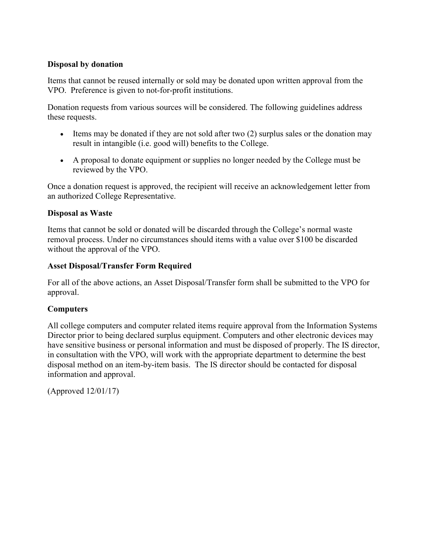## **Disposal by donation**

Items that cannot be reused internally or sold may be donated upon written approval from the VPO. Preference is given to not-for-profit institutions.

Donation requests from various sources will be considered. The following guidelines address these requests.

- Items may be donated if they are not sold after two (2) surplus sales or the donation may result in intangible (i.e. good will) benefits to the College.
- A proposal to donate equipment or supplies no longer needed by the College must be reviewed by the VPO.

Once a donation request is approved, the recipient will receive an acknowledgement letter from an authorized College Representative.

#### **Disposal as Waste**

Items that cannot be sold or donated will be discarded through the College's normal waste removal process. Under no circumstances should items with a value over \$100 be discarded without the approval of the VPO.

#### **Asset Disposal/Transfer Form Required**

For all of the above actions, an Asset Disposal/Transfer form shall be submitted to the VPO for approval.

## **Computers**

All college computers and computer related items require approval from the Information Systems Director prior to being declared surplus equipment. Computers and other electronic devices may have sensitive business or personal information and must be disposed of properly. The IS director, in consultation with the VPO, will work with the appropriate department to determine the best disposal method on an item-by-item basis. The IS director should be contacted for disposal information and approval.

(Approved 12/01/17)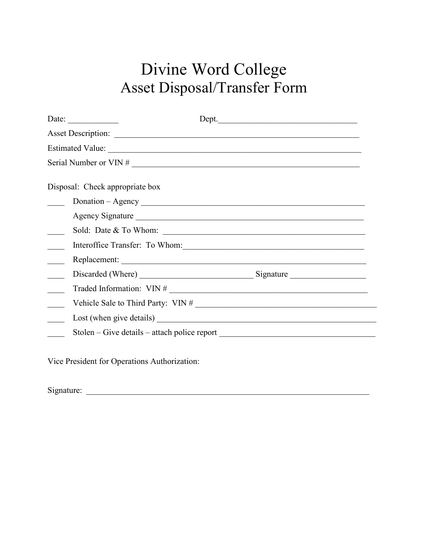# Divine Word College Asset Disposal/Transfer Form

| Date: $\frac{1}{\sqrt{1-\frac{1}{2}} \cdot \frac{1}{2}}$                         | Dept.<br><u> 1989 - Johann Harry Harry Harry Harry Harry Harry Harry Harry Harry Harry Harry Harry Harry Harry Harry Harry</u> |
|----------------------------------------------------------------------------------|--------------------------------------------------------------------------------------------------------------------------------|
|                                                                                  |                                                                                                                                |
|                                                                                  |                                                                                                                                |
|                                                                                  |                                                                                                                                |
| Disposal: Check appropriate box                                                  |                                                                                                                                |
|                                                                                  |                                                                                                                                |
|                                                                                  | Agency Signature                                                                                                               |
|                                                                                  |                                                                                                                                |
| Interoffice Transfer: To Whom:                                                   |                                                                                                                                |
|                                                                                  |                                                                                                                                |
|                                                                                  |                                                                                                                                |
|                                                                                  | Traded Information: VIN #                                                                                                      |
|                                                                                  |                                                                                                                                |
|                                                                                  |                                                                                                                                |
| Stolen – Give details – attach police report ___________________________________ |                                                                                                                                |

Vice President for Operations Authorization:

 $Signature:$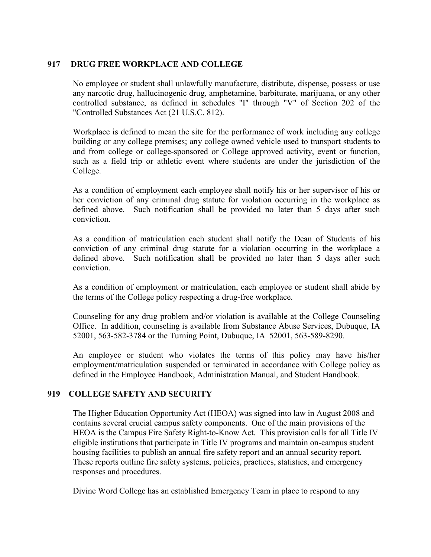#### **917 DRUG FREE WORKPLACE AND COLLEGE**

No employee or student shall unlawfully manufacture, distribute, dispense, possess or use any narcotic drug, hallucinogenic drug, amphetamine, barbiturate, marijuana, or any other controlled substance, as defined in schedules "I" through "V" of Section 202 of the "Controlled Substances Act (21 U.S.C. 812).

Workplace is defined to mean the site for the performance of work including any college building or any college premises; any college owned vehicle used to transport students to and from college or college-sponsored or College approved activity, event or function, such as a field trip or athletic event where students are under the jurisdiction of the College.

As a condition of employment each employee shall notify his or her supervisor of his or her conviction of any criminal drug statute for violation occurring in the workplace as defined above. Such notification shall be provided no later than 5 days after such conviction.

As a condition of matriculation each student shall notify the Dean of Students of his conviction of any criminal drug statute for a violation occurring in the workplace a defined above. Such notification shall be provided no later than 5 days after such conviction.

As a condition of employment or matriculation, each employee or student shall abide by the terms of the College policy respecting a drug-free workplace.

Counseling for any drug problem and/or violation is available at the College Counseling Office. In addition, counseling is available from Substance Abuse Services, Dubuque, IA 52001, 563-582-3784 or the Turning Point, Dubuque, IA 52001, 563-589-8290.

An employee or student who violates the terms of this policy may have his/her employment/matriculation suspended or terminated in accordance with College policy as defined in the Employee Handbook, Administration Manual, and Student Handbook.

#### **919 COLLEGE SAFETY AND SECURITY**

The Higher Education Opportunity Act (HEOA) was signed into law in August 2008 and contains several crucial campus safety components. One of the main provisions of the HEOA is the Campus Fire Safety Right-to-Know Act. This provision calls for all Title IV eligible institutions that participate in Title IV programs and maintain on-campus student housing facilities to publish an annual fire safety report and an annual security report. These reports outline fire safety systems, policies, practices, statistics, and emergency responses and procedures.

Divine Word College has an established Emergency Team in place to respond to any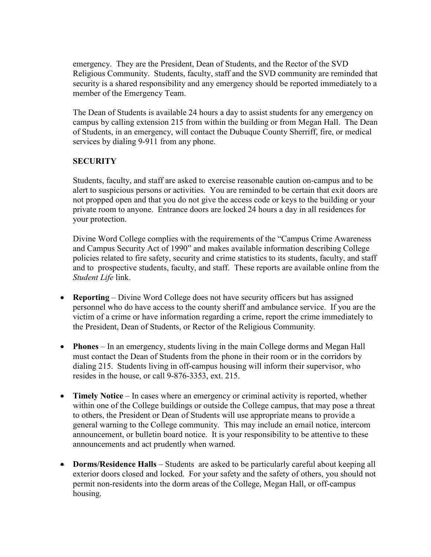emergency. They are the President, Dean of Students, and the Rector of the SVD Religious Community. Students, faculty, staff and the SVD community are reminded that security is a shared responsibility and any emergency should be reported immediately to a member of the Emergency Team.

The Dean of Students is available 24 hours a day to assist students for any emergency on campus by calling extension 215 from within the building or from Megan Hall. The Dean of Students, in an emergency, will contact the Dubuque County Sherriff, fire, or medical services by dialing 9-911 from any phone.

## **SECURITY**

Students, faculty, and staff are asked to exercise reasonable caution on-campus and to be alert to suspicious persons or activities. You are reminded to be certain that exit doors are not propped open and that you do not give the access code or keys to the building or your private room to anyone. Entrance doors are locked 24 hours a day in all residences for your protection.

Divine Word College complies with the requirements of the "Campus Crime Awareness and Campus Security Act of 1990" and makes available information describing College policies related to fire safety, security and crime statistics to its students, faculty, and staff and to prospective students, faculty, and staff. These reports are available online from the *Student Life* link.

- **Reporting** Divine Word College does not have security officers but has assigned personnel who do have access to the county sheriff and ambulance service. If you are the victim of a crime or have information regarding a crime, report the crime immediately to the President, Dean of Students, or Rector of the Religious Community.
- **Phones** In an emergency, students living in the main College dorms and Megan Hall must contact the Dean of Students from the phone in their room or in the corridors by dialing 215. Students living in off-campus housing will inform their supervisor, who resides in the house, or call 9-876-3353, ext. 215.
- **Timely Notice** In cases where an emergency or criminal activity is reported, whether within one of the College buildings or outside the College campus, that may pose a threat to others, the President or Dean of Students will use appropriate means to provide a general warning to the College community. This may include an email notice, intercom announcement, or bulletin board notice. It is your responsibility to be attentive to these announcements and act prudently when warned.
- **Dorms/Residence Halls** Students are asked to be particularly careful about keeping all exterior doors closed and locked. For your safety and the safety of others, you should not permit non-residents into the dorm areas of the College, Megan Hall, or off-campus housing.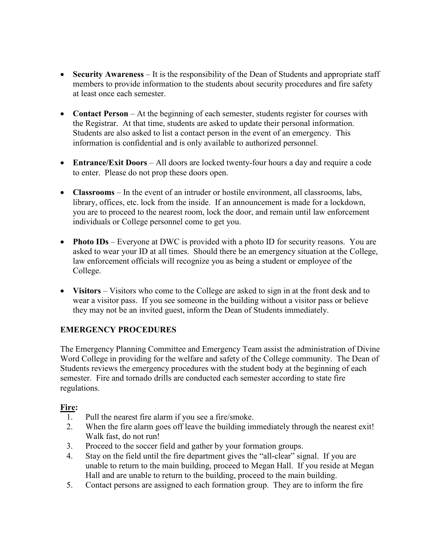- **Security Awareness** It is the responsibility of the Dean of Students and appropriate staff members to provide information to the students about security procedures and fire safety at least once each semester.
- **Contact Person** At the beginning of each semester, students register for courses with the Registrar. At that time, students are asked to update their personal information. Students are also asked to list a contact person in the event of an emergency. This information is confidential and is only available to authorized personnel.
- **Entrance/Exit Doors** All doors are locked twenty-four hours a day and require a code to enter. Please do not prop these doors open.
- **Classrooms** In the event of an intruder or hostile environment, all classrooms, labs, library, offices, etc. lock from the inside. If an announcement is made for a lockdown, you are to proceed to the nearest room, lock the door, and remain until law enforcement individuals or College personnel come to get you.
- **Photo IDs** Everyone at DWC is provided with a photo ID for security reasons. You are asked to wear your ID at all times. Should there be an emergency situation at the College, law enforcement officials will recognize you as being a student or employee of the College.
- **Visitors** Visitors who come to the College are asked to sign in at the front desk and to wear a visitor pass. If you see someone in the building without a visitor pass or believe they may not be an invited guest, inform the Dean of Students immediately.

# **EMERGENCY PROCEDURES**

The Emergency Planning Committee and Emergency Team assist the administration of Divine Word College in providing for the welfare and safety of the College community. The Dean of Students reviews the emergency procedures with the student body at the beginning of each semester. Fire and tornado drills are conducted each semester according to state fire regulations.

#### **Fire:**

- 1. Pull the nearest fire alarm if you see a fire/smoke.
- 2. When the fire alarm goes off leave the building immediately through the nearest exit! Walk fast, do not run!
- 3. Proceed to the soccer field and gather by your formation groups.
- 4. Stay on the field until the fire department gives the "all-clear" signal. If you are unable to return to the main building, proceed to Megan Hall. If you reside at Megan Hall and are unable to return to the building, proceed to the main building.
- 5. Contact persons are assigned to each formation group. They are to inform the fire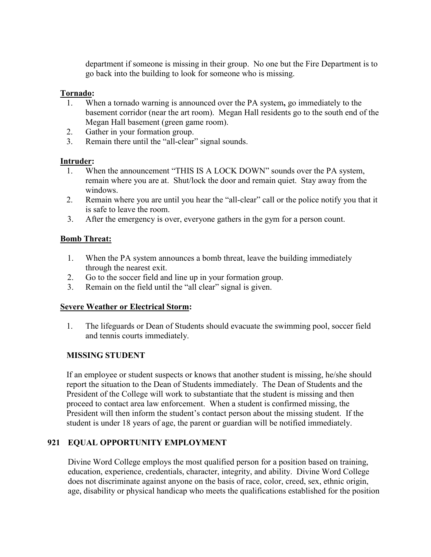department if someone is missing in their group. No one but the Fire Department is to go back into the building to look for someone who is missing.

#### **Tornado:**

- 1. When a tornado warning is announced over the PA system**,** go immediately to the basement corridor (near the art room). Megan Hall residents go to the south end of the Megan Hall basement (green game room).
- 2. Gather in your formation group.
- 3. Remain there until the "all-clear" signal sounds.

#### **Intruder:**

- 1. When the announcement "THIS IS A LOCK DOWN" sounds over the PA system, remain where you are at. Shut/lock the door and remain quiet. Stay away from the windows.
- 2. Remain where you are until you hear the "all-clear" call or the police notify you that it is safe to leave the room.
- 3. After the emergency is over, everyone gathers in the gym for a person count.

## **Bomb Threat:**

- 1. When the PA system announces a bomb threat, leave the building immediately through the nearest exit.
- 2. Go to the soccer field and line up in your formation group.
- 3. Remain on the field until the "all clear" signal is given.

#### **Severe Weather or Electrical Storm:**

1. The lifeguards or Dean of Students should evacuate the swimming pool, soccer field and tennis courts immediately.

# **MISSING STUDENT**

If an employee or student suspects or knows that another student is missing, he/she should report the situation to the Dean of Students immediately. The Dean of Students and the President of the College will work to substantiate that the student is missing and then proceed to contact area law enforcement. When a student is confirmed missing, the President will then inform the student's contact person about the missing student. If the student is under 18 years of age, the parent or guardian will be notified immediately.

#### **921 EQUAL OPPORTUNITY EMPLOYMENT**

Divine Word College employs the most qualified person for a position based on training, education, experience, credentials, character, integrity, and ability. Divine Word College does not discriminate against anyone on the basis of race, color, creed, sex, ethnic origin, age, disability or physical handicap who meets the qualifications established for the position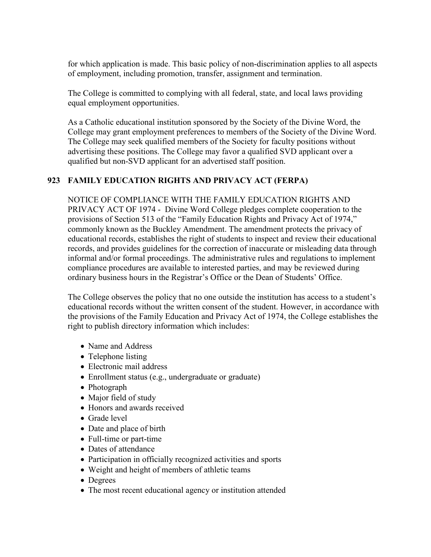for which application is made. This basic policy of non-discrimination applies to all aspects of employment, including promotion, transfer, assignment and termination.

The College is committed to complying with all federal, state, and local laws providing equal employment opportunities.

As a Catholic educational institution sponsored by the Society of the Divine Word, the College may grant employment preferences to members of the Society of the Divine Word. The College may seek qualified members of the Society for faculty positions without advertising these positions. The College may favor a qualified SVD applicant over a qualified but non-SVD applicant for an advertised staff position.

#### **923 FAMILY EDUCATION RIGHTS AND PRIVACY ACT (FERPA)**

NOTICE OF COMPLIANCE WITH THE FAMILY EDUCATION RIGHTS AND PRIVACY ACT OF 1974 - Divine Word College pledges complete cooperation to the provisions of Section 513 of the "Family Education Rights and Privacy Act of 1974," commonly known as the Buckley Amendment. The amendment protects the privacy of educational records, establishes the right of students to inspect and review their educational records, and provides guidelines for the correction of inaccurate or misleading data through informal and/or formal proceedings. The administrative rules and regulations to implement compliance procedures are available to interested parties, and may be reviewed during ordinary business hours in the Registrar's Office or the Dean of Students' Office.

The College observes the policy that no one outside the institution has access to a student's educational records without the written consent of the student. However, in accordance with the provisions of the Family Education and Privacy Act of 1974, the College establishes the right to publish directory information which includes:

- Name and Address
- Telephone listing
- Electronic mail address
- Enrollment status (e.g., undergraduate or graduate)
- Photograph
- Major field of study
- Honors and awards received
- Grade level
- Date and place of birth
- Full-time or part-time
- Dates of attendance
- Participation in officially recognized activities and sports
- Weight and height of members of athletic teams
- Degrees
- The most recent educational agency or institution attended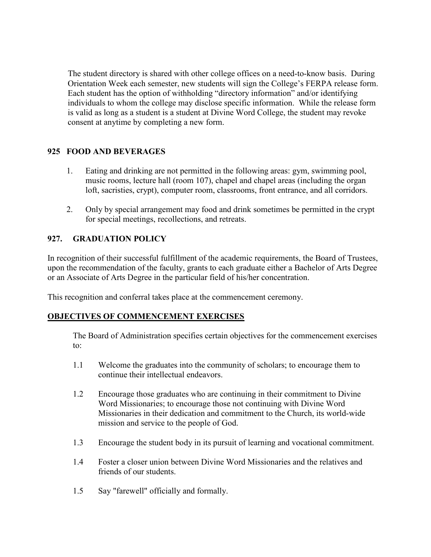The student directory is shared with other college offices on a need-to-know basis. During Orientation Week each semester, new students will sign the College's FERPA release form. Each student has the option of withholding "directory information" and/or identifying individuals to whom the college may disclose specific information. While the release form is valid as long as a student is a student at Divine Word College, the student may revoke consent at anytime by completing a new form.

## **925 FOOD AND BEVERAGES**

- 1. Eating and drinking are not permitted in the following areas: gym, swimming pool, music rooms, lecture hall (room 107), chapel and chapel areas (including the organ loft, sacristies, crypt), computer room, classrooms, front entrance, and all corridors.
- 2. Only by special arrangement may food and drink sometimes be permitted in the crypt for special meetings, recollections, and retreats.

#### **927. GRADUATION POLICY**

In recognition of their successful fulfillment of the academic requirements, the Board of Trustees, upon the recommendation of the faculty, grants to each graduate either a Bachelor of Arts Degree or an Associate of Arts Degree in the particular field of his/her concentration.

This recognition and conferral takes place at the commencement ceremony.

#### **OBJECTIVES OF COMMENCEMENT EXERCISES**

The Board of Administration specifies certain objectives for the commencement exercises to:

- 1.1 Welcome the graduates into the community of scholars; to encourage them to continue their intellectual endeavors.
- 1.2 Encourage those graduates who are continuing in their commitment to Divine Word Missionaries; to encourage those not continuing with Divine Word Missionaries in their dedication and commitment to the Church, its world-wide mission and service to the people of God.
- 1.3 Encourage the student body in its pursuit of learning and vocational commitment.
- 1.4 Foster a closer union between Divine Word Missionaries and the relatives and friends of our students.
- 1.5 Say "farewell" officially and formally.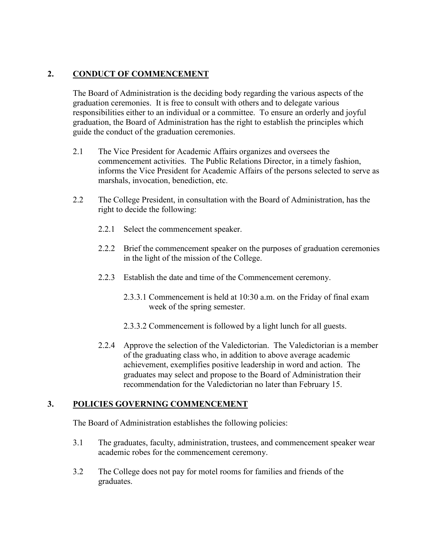# **2. CONDUCT OF COMMENCEMENT**

The Board of Administration is the deciding body regarding the various aspects of the graduation ceremonies. It is free to consult with others and to delegate various responsibilities either to an individual or a committee. To ensure an orderly and joyful graduation, the Board of Administration has the right to establish the principles which guide the conduct of the graduation ceremonies.

- 2.1 The Vice President for Academic Affairs organizes and oversees the commencement activities. The Public Relations Director, in a timely fashion, informs the Vice President for Academic Affairs of the persons selected to serve as marshals, invocation, benediction, etc.
- 2.2 The College President, in consultation with the Board of Administration, has the right to decide the following:
	- 2.2.1 Select the commencement speaker.
	- 2.2.2 Brief the commencement speaker on the purposes of graduation ceremonies in the light of the mission of the College.
	- 2.2.3 Establish the date and time of the Commencement ceremony.
		- 2.3.3.1 Commencement is held at 10:30 a.m. on the Friday of final exam week of the spring semester.
		- 2.3.3.2 Commencement is followed by a light lunch for all guests.
	- 2.2.4 Approve the selection of the Valedictorian. The Valedictorian is a member of the graduating class who, in addition to above average academic achievement, exemplifies positive leadership in word and action. The graduates may select and propose to the Board of Administration their recommendation for the Valedictorian no later than February 15.

#### **3. POLICIES GOVERNING COMMENCEMENT**

The Board of Administration establishes the following policies:

- 3.1 The graduates, faculty, administration, trustees, and commencement speaker wear academic robes for the commencement ceremony.
- 3.2 The College does not pay for motel rooms for families and friends of the graduates.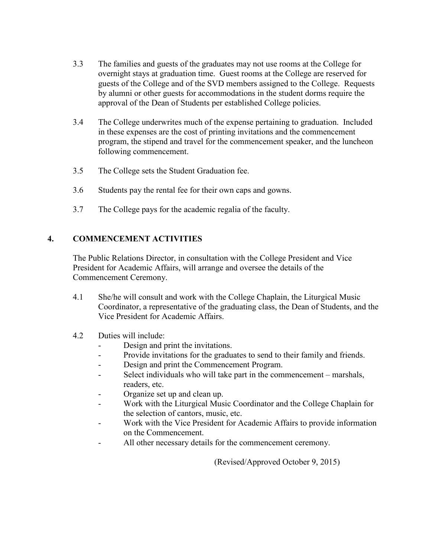- 3.3 The families and guests of the graduates may not use rooms at the College for overnight stays at graduation time. Guest rooms at the College are reserved for guests of the College and of the SVD members assigned to the College. Requests by alumni or other guests for accommodations in the student dorms require the approval of the Dean of Students per established College policies.
- 3.4 The College underwrites much of the expense pertaining to graduation. Included in these expenses are the cost of printing invitations and the commencement program, the stipend and travel for the commencement speaker, and the luncheon following commencement.
- 3.5 The College sets the Student Graduation fee.
- 3.6 Students pay the rental fee for their own caps and gowns.
- 3.7 The College pays for the academic regalia of the faculty.

#### **4. COMMENCEMENT ACTIVITIES**

The Public Relations Director, in consultation with the College President and Vice President for Academic Affairs, will arrange and oversee the details of the Commencement Ceremony.

- 4.1 She/he will consult and work with the College Chaplain, the Liturgical Music Coordinator, a representative of the graduating class, the Dean of Students, and the Vice President for Academic Affairs.
- 4.2 Duties will include:
	- Design and print the invitations.
	- Provide invitations for the graduates to send to their family and friends.
	- Design and print the Commencement Program.
	- Select individuals who will take part in the commencement marshals, readers, etc.
	- Organize set up and clean up.
	- Work with the Liturgical Music Coordinator and the College Chaplain for the selection of cantors, music, etc.
	- Work with the Vice President for Academic Affairs to provide information on the Commencement.
	- All other necessary details for the commencement ceremony.

(Revised/Approved October 9, 2015)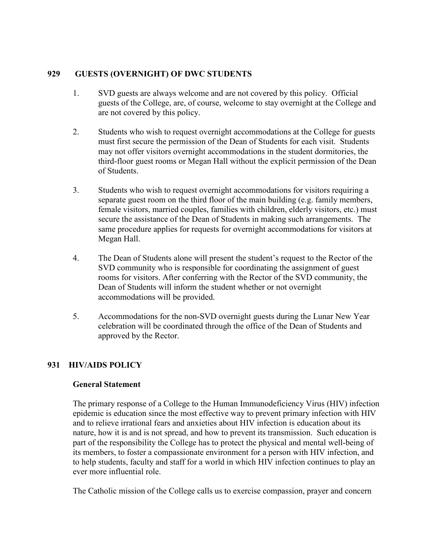## **929 GUESTS (OVERNIGHT) OF DWC STUDENTS**

- 1. SVD guests are always welcome and are not covered by this policy. Official guests of the College, are, of course, welcome to stay overnight at the College and are not covered by this policy.
- 2. Students who wish to request overnight accommodations at the College for guests must first secure the permission of the Dean of Students for each visit. Students may not offer visitors overnight accommodations in the student dormitories, the third-floor guest rooms or Megan Hall without the explicit permission of the Dean of Students.
- 3. Students who wish to request overnight accommodations for visitors requiring a separate guest room on the third floor of the main building (e.g. family members, female visitors, married couples, families with children, elderly visitors, etc.) must secure the assistance of the Dean of Students in making such arrangements. The same procedure applies for requests for overnight accommodations for visitors at Megan Hall.
- 4. The Dean of Students alone will present the student's request to the Rector of the SVD community who is responsible for coordinating the assignment of guest rooms for visitors. After conferring with the Rector of the SVD community, the Dean of Students will inform the student whether or not overnight accommodations will be provided.
- 5. Accommodations for the non-SVD overnight guests during the Lunar New Year celebration will be coordinated through the office of the Dean of Students and approved by the Rector.

# **931 HIV/AIDS POLICY**

#### **General Statement**

The primary response of a College to the Human Immunodeficiency Virus (HIV) infection epidemic is education since the most effective way to prevent primary infection with HIV and to relieve irrational fears and anxieties about HIV infection is education about its nature, how it is and is not spread, and how to prevent its transmission. Such education is part of the responsibility the College has to protect the physical and mental well-being of its members, to foster a compassionate environment for a person with HIV infection, and to help students, faculty and staff for a world in which HIV infection continues to play an ever more influential role.

The Catholic mission of the College calls us to exercise compassion, prayer and concern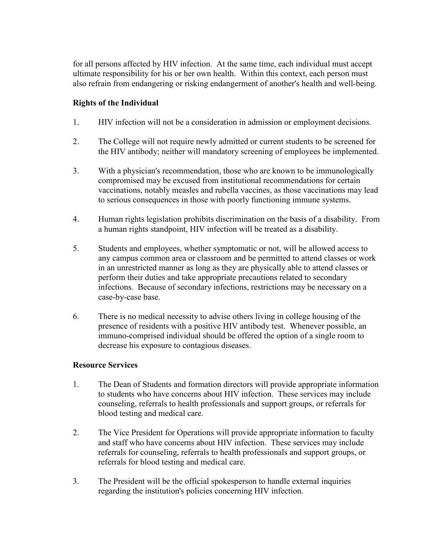for all persons affected by HIV infection. At the same time, each individual must accept ultimate responsibility for his or her own health. Within this context, each person must also refrain from endangering or risking endangerment of another's health and well-being.

#### **Rights of the Individual**

- 1. HIV infection will not be a consideration in admission or employment decisions.
- 2. The College will not require newly admitted or current students to be screened for the HIV antibody; neither will mandatory screening of employees be implemented.
- 3. With a physician's recommendation, those who are known to be immunologically compromised may be excused from institutional recommendations for certain vaccinations, notably measles and rubella vaccines, as those vaccinations may lead to serious consequences in those with poorly functioning immune systems.
- 4. Human rights legislation prohibits discrimination on the basis of a disability. From a human rights standpoint, HIV infection will be treated as a disability.
- 5. Students and employees, whether symptomatic or not, will be allowed access to any campus common area or classroom and be permitted to attend classes or work in an unrestricted manner as long as they are physically able to attend classes or perform their duties and take appropriate precautions related to secondary infections. Because of secondary infections, restrictions may be necessary on a case-by-case base.
- 6. There is no medical necessity to advise others living in college housing of the presence of residents with a positive HIV antibody test. Whenever possible, an immuno-comprised individual should be offered the option of a single room to decrease his exposure to contagious diseases.

#### **Resource Services**

- 1. The Dean of Students and formation directors will provide appropriate information to students who have concerns about HIV infection. These services may include counseling, referrals to health professionals and support groups, or referrals for blood testing and medical care.
- 2. The Vice President for Operations will provide appropriate information to faculty and staff who have concerns about HIV infection. These services may include referrals for counseling, referrals to health professionals and support groups, or referrals for blood testing and medical care.
- 3. The President will be the official spokesperson to handle external inquiries regarding the institution's policies concerning HIV infection.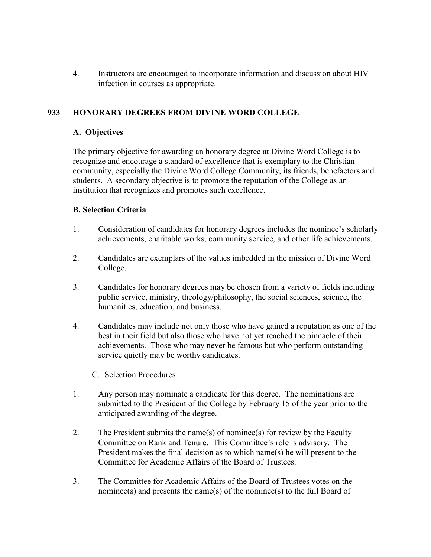4. Instructors are encouraged to incorporate information and discussion about HIV infection in courses as appropriate.

## **933 HONORARY DEGREES FROM DIVINE WORD COLLEGE**

#### **A. Objectives**

The primary objective for awarding an honorary degree at Divine Word College is to recognize and encourage a standard of excellence that is exemplary to the Christian community, especially the Divine Word College Community, its friends, benefactors and students. A secondary objective is to promote the reputation of the College as an institution that recognizes and promotes such excellence.

#### **B. Selection Criteria**

- 1. Consideration of candidates for honorary degrees includes the nominee's scholarly achievements, charitable works, community service, and other life achievements.
- 2. Candidates are exemplars of the values imbedded in the mission of Divine Word College.
- 3. Candidates for honorary degrees may be chosen from a variety of fields including public service, ministry, theology/philosophy, the social sciences, science, the humanities, education, and business.
- 4. Candidates may include not only those who have gained a reputation as one of the best in their field but also those who have not yet reached the pinnacle of their achievements. Those who may never be famous but who perform outstanding service quietly may be worthy candidates.
	- C. Selection Procedures
- 1. Any person may nominate a candidate for this degree. The nominations are submitted to the President of the College by February 15 of the year prior to the anticipated awarding of the degree.
- 2. The President submits the name(s) of nominee(s) for review by the Faculty Committee on Rank and Tenure. This Committee's role is advisory. The President makes the final decision as to which name(s) he will present to the Committee for Academic Affairs of the Board of Trustees.
- 3. The Committee for Academic Affairs of the Board of Trustees votes on the nominee(s) and presents the name(s) of the nominee(s) to the full Board of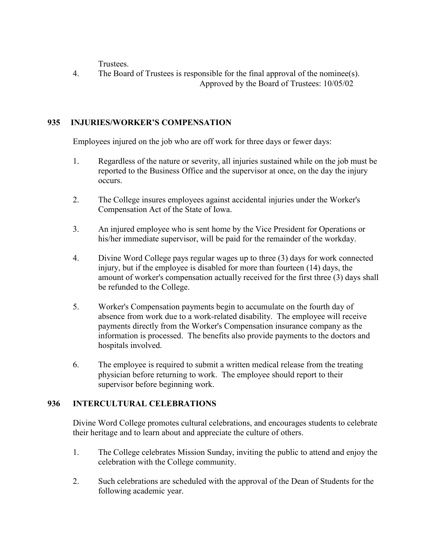Trustees.

4. The Board of Trustees is responsible for the final approval of the nominee(s). Approved by the Board of Trustees: 10/05/02

## **935 INJURIES/WORKER'S COMPENSATION**

Employees injured on the job who are off work for three days or fewer days:

- 1. Regardless of the nature or severity, all injuries sustained while on the job must be reported to the Business Office and the supervisor at once, on the day the injury occurs.
- 2. The College insures employees against accidental injuries under the Worker's Compensation Act of the State of Iowa.
- 3. An injured employee who is sent home by the Vice President for Operations or his/her immediate supervisor, will be paid for the remainder of the workday.
- 4. Divine Word College pays regular wages up to three (3) days for work connected injury, but if the employee is disabled for more than fourteen (14) days, the amount of worker's compensation actually received for the first three (3) days shall be refunded to the College.
- 5. Worker's Compensation payments begin to accumulate on the fourth day of absence from work due to a work-related disability. The employee will receive payments directly from the Worker's Compensation insurance company as the information is processed. The benefits also provide payments to the doctors and hospitals involved.
- 6. The employee is required to submit a written medical release from the treating physician before returning to work. The employee should report to their supervisor before beginning work.

# **936 INTERCULTURAL CELEBRATIONS**

Divine Word College promotes cultural celebrations, and encourages students to celebrate their heritage and to learn about and appreciate the culture of others.

- 1. The College celebrates Mission Sunday, inviting the public to attend and enjoy the celebration with the College community.
- 2. Such celebrations are scheduled with the approval of the Dean of Students for the following academic year.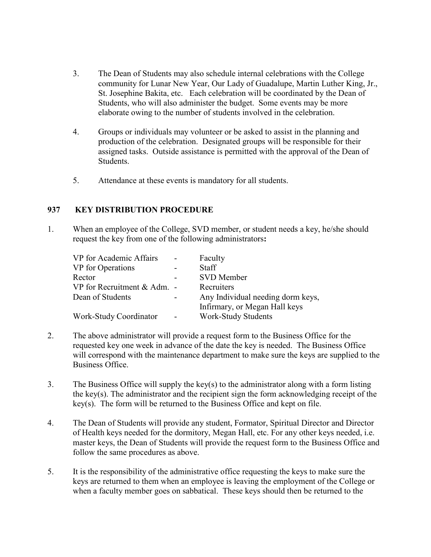- 3. The Dean of Students may also schedule internal celebrations with the College community for Lunar New Year, Our Lady of Guadalupe, Martin Luther King, Jr., St. Josephine Bakita, etc. Each celebration will be coordinated by the Dean of Students, who will also administer the budget. Some events may be more elaborate owing to the number of students involved in the celebration.
- 4. Groups or individuals may volunteer or be asked to assist in the planning and production of the celebration. Designated groups will be responsible for their assigned tasks. Outside assistance is permitted with the approval of the Dean of Students.
- 5. Attendance at these events is mandatory for all students.

#### **937 KEY DISTRIBUTION PROCEDURE**

1. When an employee of the College, SVD member, or student needs a key, he/she should request the key from one of the following administrators**:**

| VP for Academic Affairs     | Faculty                           |
|-----------------------------|-----------------------------------|
| VP for Operations           | <b>Staff</b>                      |
| Rector                      | <b>SVD</b> Member                 |
| VP for Recruitment & Adm. - | Recruiters                        |
| Dean of Students            | Any Individual needing dorm keys, |
|                             | Infirmary, or Megan Hall keys     |
| Work-Study Coordinator      | <b>Work-Study Students</b>        |

- 2. The above administrator will provide a request form to the Business Office for the requested key one week in advance of the date the key is needed. The Business Office will correspond with the maintenance department to make sure the keys are supplied to the Business Office.
- 3. The Business Office will supply the key(s) to the administrator along with a form listing the key(s). The administrator and the recipient sign the form acknowledging receipt of the key(s). The form will be returned to the Business Office and kept on file.
- 4. The Dean of Students will provide any student, Formator, Spiritual Director and Director of Health keys needed for the dormitory, Megan Hall, etc. For any other keys needed, i.e. master keys, the Dean of Students will provide the request form to the Business Office and follow the same procedures as above.
- 5. It is the responsibility of the administrative office requesting the keys to make sure the keys are returned to them when an employee is leaving the employment of the College or when a faculty member goes on sabbatical. These keys should then be returned to the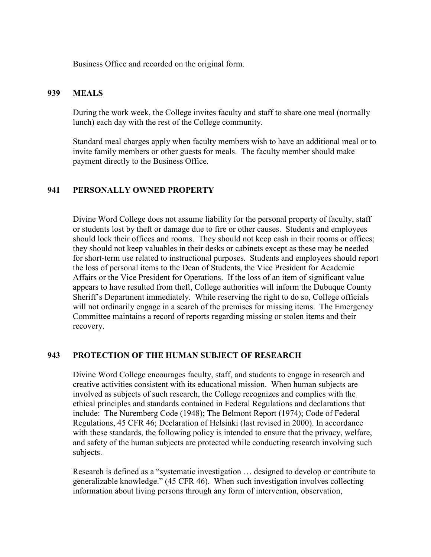Business Office and recorded on the original form.

#### **939 MEALS**

During the work week, the College invites faculty and staff to share one meal (normally lunch) each day with the rest of the College community.

Standard meal charges apply when faculty members wish to have an additional meal or to invite family members or other guests for meals. The faculty member should make payment directly to the Business Office.

#### **941 PERSONALLY OWNED PROPERTY**

Divine Word College does not assume liability for the personal property of faculty, staff or students lost by theft or damage due to fire or other causes. Students and employees should lock their offices and rooms. They should not keep cash in their rooms or offices; they should not keep valuables in their desks or cabinets except as these may be needed for short-term use related to instructional purposes. Students and employees should report the loss of personal items to the Dean of Students, the Vice President for Academic Affairs or the Vice President for Operations. If the loss of an item of significant value appears to have resulted from theft, College authorities will inform the Dubuque County Sheriff's Department immediately. While reserving the right to do so, College officials will not ordinarily engage in a search of the premises for missing items. The Emergency Committee maintains a record of reports regarding missing or stolen items and their recovery.

#### **943 PROTECTION OF THE HUMAN SUBJECT OF RESEARCH**

Divine Word College encourages faculty, staff, and students to engage in research and creative activities consistent with its educational mission. When human subjects are involved as subjects of such research, the College recognizes and complies with the ethical principles and standards contained in Federal Regulations and declarations that include: The Nuremberg Code (1948); The Belmont Report (1974); Code of Federal Regulations, 45 CFR 46; Declaration of Helsinki (last revised in 2000). In accordance with these standards, the following policy is intended to ensure that the privacy, welfare, and safety of the human subjects are protected while conducting research involving such subjects.

Research is defined as a "systematic investigation … designed to develop or contribute to generalizable knowledge." (45 CFR 46). When such investigation involves collecting information about living persons through any form of intervention, observation,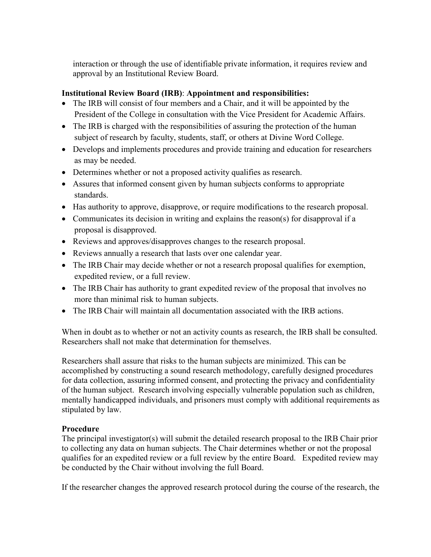interaction or through the use of identifiable private information, it requires review and approval by an Institutional Review Board.

# **Institutional Review Board (IRB)**: **Appointment and responsibilities:**

- The IRB will consist of four members and a Chair, and it will be appointed by the President of the College in consultation with the Vice President for Academic Affairs.
- The IRB is charged with the responsibilities of assuring the protection of the human subject of research by faculty, students, staff, or others at Divine Word College.
- Develops and implements procedures and provide training and education for researchers as may be needed.
- Determines whether or not a proposed activity qualifies as research.
- Assures that informed consent given by human subjects conforms to appropriate standards.
- Has authority to approve, disapprove, or require modifications to the research proposal.
- Communicates its decision in writing and explains the reason(s) for disapproval if a proposal is disapproved.
- Reviews and approves/disapproves changes to the research proposal.
- Reviews annually a research that lasts over one calendar year.
- The IRB Chair may decide whether or not a research proposal qualifies for exemption, expedited review, or a full review.
- The IRB Chair has authority to grant expedited review of the proposal that involves no more than minimal risk to human subjects.
- The IRB Chair will maintain all documentation associated with the IRB actions.

When in doubt as to whether or not an activity counts as research, the IRB shall be consulted. Researchers shall not make that determination for themselves.

Researchers shall assure that risks to the human subjects are minimized. This can be accomplished by constructing a sound research methodology, carefully designed procedures for data collection, assuring informed consent, and protecting the privacy and confidentiality of the human subject. Research involving especially vulnerable population such as children, mentally handicapped individuals, and prisoners must comply with additional requirements as stipulated by law.

# **Procedure**

The principal investigator(s) will submit the detailed research proposal to the IRB Chair prior to collecting any data on human subjects. The Chair determines whether or not the proposal qualifies for an expedited review or a full review by the entire Board. Expedited review may be conducted by the Chair without involving the full Board.

If the researcher changes the approved research protocol during the course of the research, the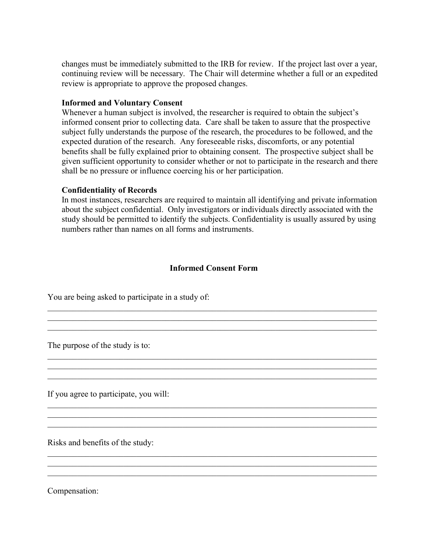changes must be immediately submitted to the IRB for review. If the project last over a year, continuing review will be necessary. The Chair will determine whether a full or an expedited review is appropriate to approve the proposed changes.

#### **Informed and Voluntary Consent**

Whenever a human subject is involved, the researcher is required to obtain the subject's informed consent prior to collecting data. Care shall be taken to assure that the prospective subject fully understands the purpose of the research, the procedures to be followed, and the expected duration of the research. Any foreseeable risks, discomforts, or any potential benefits shall be fully explained prior to obtaining consent. The prospective subject shall be given sufficient opportunity to consider whether or not to participate in the research and there shall be no pressure or influence coercing his or her participation.

#### **Confidentiality of Records**

In most instances, researchers are required to maintain all identifying and private information about the subject confidential. Only investigators or individuals directly associated with the study should be permitted to identify the subjects. Confidentiality is usually assured by using numbers rather than names on all forms and instruments.

#### **Informed Consent Form**

\_\_\_\_\_\_\_\_\_\_\_\_\_\_\_\_\_\_\_\_\_\_\_\_\_\_\_\_\_\_\_\_\_\_\_\_\_\_\_\_\_\_\_\_\_\_\_\_\_\_\_\_\_\_\_\_\_\_\_\_\_\_\_\_\_\_\_\_\_\_\_\_\_\_\_\_\_\_

\_\_\_\_\_\_\_\_\_\_\_\_\_\_\_\_\_\_\_\_\_\_\_\_\_\_\_\_\_\_\_\_\_\_\_\_\_\_\_\_\_\_\_\_\_\_\_\_\_\_\_\_\_\_\_\_\_\_\_\_\_\_\_\_\_\_\_\_\_\_\_\_\_\_\_\_\_\_

\_\_\_\_\_\_\_\_\_\_\_\_\_\_\_\_\_\_\_\_\_\_\_\_\_\_\_\_\_\_\_\_\_\_\_\_\_\_\_\_\_\_\_\_\_\_\_\_\_\_\_\_\_\_\_\_\_\_\_\_\_\_\_\_\_\_\_\_\_\_\_\_\_\_\_\_\_\_

\_\_\_\_\_\_\_\_\_\_\_\_\_\_\_\_\_\_\_\_\_\_\_\_\_\_\_\_\_\_\_\_\_\_\_\_\_\_\_\_\_\_\_\_\_\_\_\_\_\_\_\_\_\_\_\_\_\_\_\_\_\_\_\_\_\_\_\_\_\_\_\_\_\_\_\_\_\_

\_\_\_\_\_\_\_\_\_\_\_\_\_\_\_\_\_\_\_\_\_\_\_\_\_\_\_\_\_\_\_\_\_\_\_\_\_\_\_\_\_\_\_\_\_\_\_\_\_\_\_\_\_\_\_\_\_\_\_\_\_\_\_\_\_\_\_\_\_\_\_\_\_\_\_\_\_\_  $\mathcal{L}_\text{max} = \mathcal{L}_\text{max} = \mathcal{L}_\text{max} = \mathcal{L}_\text{max} = \mathcal{L}_\text{max} = \mathcal{L}_\text{max} = \mathcal{L}_\text{max} = \mathcal{L}_\text{max} = \mathcal{L}_\text{max} = \mathcal{L}_\text{max} = \mathcal{L}_\text{max} = \mathcal{L}_\text{max} = \mathcal{L}_\text{max} = \mathcal{L}_\text{max} = \mathcal{L}_\text{max} = \mathcal{L}_\text{max} = \mathcal{L}_\text{max} = \mathcal{L}_\text{max} = \mathcal{$ \_\_\_\_\_\_\_\_\_\_\_\_\_\_\_\_\_\_\_\_\_\_\_\_\_\_\_\_\_\_\_\_\_\_\_\_\_\_\_\_\_\_\_\_\_\_\_\_\_\_\_\_\_\_\_\_\_\_\_\_\_\_\_\_\_\_\_\_\_\_\_\_\_\_\_\_\_\_

\_\_\_\_\_\_\_\_\_\_\_\_\_\_\_\_\_\_\_\_\_\_\_\_\_\_\_\_\_\_\_\_\_\_\_\_\_\_\_\_\_\_\_\_\_\_\_\_\_\_\_\_\_\_\_\_\_\_\_\_\_\_\_\_\_\_\_\_\_\_\_\_\_\_\_\_\_\_

\_\_\_\_\_\_\_\_\_\_\_\_\_\_\_\_\_\_\_\_\_\_\_\_\_\_\_\_\_\_\_\_\_\_\_\_\_\_\_\_\_\_\_\_\_\_\_\_\_\_\_\_\_\_\_\_\_\_\_\_\_\_\_\_\_\_\_\_\_\_\_\_\_\_\_\_\_\_

 $\mathcal{L}_\mathcal{L} = \{ \mathcal{L}_\mathcal{L} = \{ \mathcal{L}_\mathcal{L} = \{ \mathcal{L}_\mathcal{L} = \{ \mathcal{L}_\mathcal{L} = \{ \mathcal{L}_\mathcal{L} = \{ \mathcal{L}_\mathcal{L} = \{ \mathcal{L}_\mathcal{L} = \{ \mathcal{L}_\mathcal{L} = \{ \mathcal{L}_\mathcal{L} = \{ \mathcal{L}_\mathcal{L} = \{ \mathcal{L}_\mathcal{L} = \{ \mathcal{L}_\mathcal{L} = \{ \mathcal{L}_\mathcal{L} = \{ \mathcal{L}_\mathcal{$ 

 $\mathcal{L}_\mathcal{L} = \{ \mathcal{L}_\mathcal{L} = \{ \mathcal{L}_\mathcal{L} = \{ \mathcal{L}_\mathcal{L} = \{ \mathcal{L}_\mathcal{L} = \{ \mathcal{L}_\mathcal{L} = \{ \mathcal{L}_\mathcal{L} = \{ \mathcal{L}_\mathcal{L} = \{ \mathcal{L}_\mathcal{L} = \{ \mathcal{L}_\mathcal{L} = \{ \mathcal{L}_\mathcal{L} = \{ \mathcal{L}_\mathcal{L} = \{ \mathcal{L}_\mathcal{L} = \{ \mathcal{L}_\mathcal{L} = \{ \mathcal{L}_\mathcal{$ 

 $\mathcal{L}_\mathcal{L} = \{ \mathcal{L}_\mathcal{L} = \{ \mathcal{L}_\mathcal{L} = \{ \mathcal{L}_\mathcal{L} = \{ \mathcal{L}_\mathcal{L} = \{ \mathcal{L}_\mathcal{L} = \{ \mathcal{L}_\mathcal{L} = \{ \mathcal{L}_\mathcal{L} = \{ \mathcal{L}_\mathcal{L} = \{ \mathcal{L}_\mathcal{L} = \{ \mathcal{L}_\mathcal{L} = \{ \mathcal{L}_\mathcal{L} = \{ \mathcal{L}_\mathcal{L} = \{ \mathcal{L}_\mathcal{L} = \{ \mathcal{L}_\mathcal{$ 

You are being asked to participate in a study of:

The purpose of the study is to:

If you agree to participate, you will:

Risks and benefits of the study:

Compensation: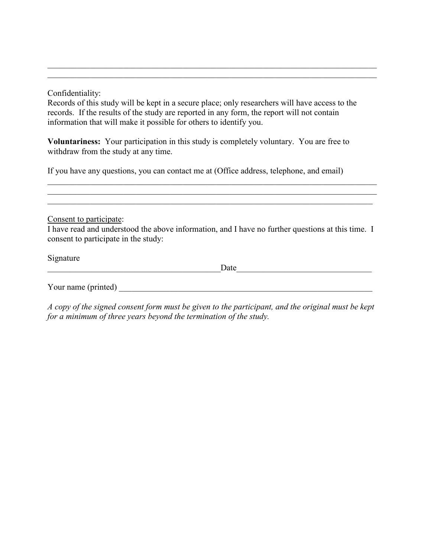Confidentiality:

Records of this study will be kept in a secure place; only researchers will have access to the records. If the results of the study are reported in any form, the report will not contain information that will make it possible for others to identify you.

\_\_\_\_\_\_\_\_\_\_\_\_\_\_\_\_\_\_\_\_\_\_\_\_\_\_\_\_\_\_\_\_\_\_\_\_\_\_\_\_\_\_\_\_\_\_\_\_\_\_\_\_\_\_\_\_\_\_\_\_\_\_\_\_\_\_\_\_\_\_\_\_\_\_\_\_\_\_ \_\_\_\_\_\_\_\_\_\_\_\_\_\_\_\_\_\_\_\_\_\_\_\_\_\_\_\_\_\_\_\_\_\_\_\_\_\_\_\_\_\_\_\_\_\_\_\_\_\_\_\_\_\_\_\_\_\_\_\_\_\_\_\_\_\_\_\_\_\_\_\_\_\_\_\_\_\_

**Voluntariness:** Your participation in this study is completely voluntary. You are free to withdraw from the study at any time.

If you have any questions, you can contact me at (Office address, telephone, and email)

Consent to participate:

I have read and understood the above information, and I have no further questions at this time. I consent to participate in the study:

\_\_\_\_\_\_\_\_\_\_\_\_\_\_\_\_\_\_\_\_\_\_\_\_\_\_\_\_\_\_\_\_\_\_\_\_\_\_\_\_\_\_\_\_\_\_\_\_\_\_\_\_\_\_\_\_\_\_\_\_\_\_\_\_\_\_\_\_\_\_\_\_\_\_\_\_\_\_  $\mathcal{L}_\mathcal{L} = \{ \mathcal{L}_\mathcal{L} = \{ \mathcal{L}_\mathcal{L} = \{ \mathcal{L}_\mathcal{L} = \{ \mathcal{L}_\mathcal{L} = \{ \mathcal{L}_\mathcal{L} = \{ \mathcal{L}_\mathcal{L} = \{ \mathcal{L}_\mathcal{L} = \{ \mathcal{L}_\mathcal{L} = \{ \mathcal{L}_\mathcal{L} = \{ \mathcal{L}_\mathcal{L} = \{ \mathcal{L}_\mathcal{L} = \{ \mathcal{L}_\mathcal{L} = \{ \mathcal{L}_\mathcal{L} = \{ \mathcal{L}_\mathcal{$ \_\_\_\_\_\_\_\_\_\_\_\_\_\_\_\_\_\_\_\_\_\_\_\_\_\_\_\_\_\_\_\_\_\_\_\_\_\_\_\_\_\_\_\_\_\_\_\_\_\_\_\_\_\_\_\_\_\_\_\_\_\_\_\_\_\_\_\_\_\_\_\_\_\_\_\_\_

Signature

\_\_\_\_\_\_\_\_\_\_\_\_\_\_\_\_\_\_\_\_\_\_\_\_\_\_\_\_\_\_\_\_\_\_\_\_\_\_\_\_\_Date\_\_\_\_\_\_\_\_\_\_\_\_\_\_\_\_\_\_\_\_\_\_\_\_\_\_\_\_\_\_\_\_

Your name (printed)

*A copy of the signed consent form must be given to the participant, and the original must be kept for a minimum of three years beyond the termination of the study.*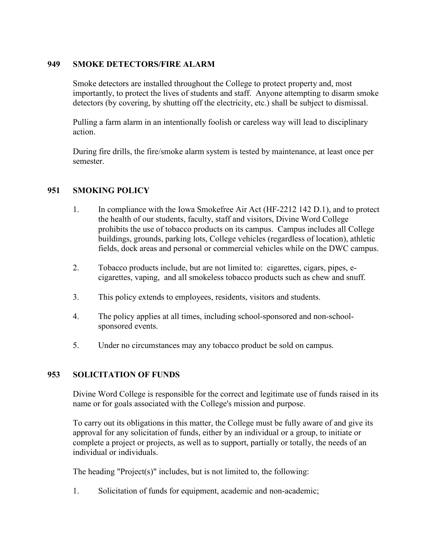#### **949 SMOKE DETECTORS/FIRE ALARM**

Smoke detectors are installed throughout the College to protect property and, most importantly, to protect the lives of students and staff. Anyone attempting to disarm smoke detectors (by covering, by shutting off the electricity, etc.) shall be subject to dismissal.

Pulling a farm alarm in an intentionally foolish or careless way will lead to disciplinary action.

During fire drills, the fire/smoke alarm system is tested by maintenance, at least once per semester.

#### **951 SMOKING POLICY**

- 1. In compliance with the Iowa Smokefree Air Act (HF-2212 142 D.1), and to protect the health of our students, faculty, staff and visitors, Divine Word College prohibits the use of tobacco products on its campus. Campus includes all College buildings, grounds, parking lots, College vehicles (regardless of location), athletic fields, dock areas and personal or commercial vehicles while on the DWC campus.
- 2. Tobacco products include, but are not limited to: cigarettes, cigars, pipes, ecigarettes, vaping, and all smokeless tobacco products such as chew and snuff.
- 3. This policy extends to employees, residents, visitors and students.
- 4. The policy applies at all times, including school-sponsored and non-schoolsponsored events.
- 5. Under no circumstances may any tobacco product be sold on campus.

#### **953 SOLICITATION OF FUNDS**

Divine Word College is responsible for the correct and legitimate use of funds raised in its name or for goals associated with the College's mission and purpose.

To carry out its obligations in this matter, the College must be fully aware of and give its approval for any solicitation of funds, either by an individual or a group, to initiate or complete a project or projects, as well as to support, partially or totally, the needs of an individual or individuals.

The heading "Project(s)" includes, but is not limited to, the following:

1. Solicitation of funds for equipment, academic and non-academic;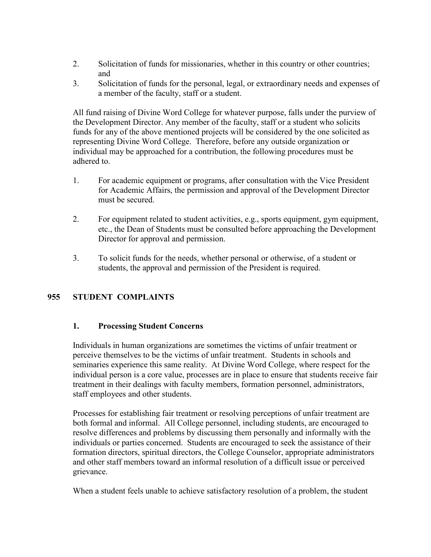- 2. Solicitation of funds for missionaries, whether in this country or other countries; and
- 3. Solicitation of funds for the personal, legal, or extraordinary needs and expenses of a member of the faculty, staff or a student.

All fund raising of Divine Word College for whatever purpose, falls under the purview of the Development Director. Any member of the faculty, staff or a student who solicits funds for any of the above mentioned projects will be considered by the one solicited as representing Divine Word College. Therefore, before any outside organization or individual may be approached for a contribution, the following procedures must be adhered to.

- 1. For academic equipment or programs, after consultation with the Vice President for Academic Affairs, the permission and approval of the Development Director must be secured.
- 2. For equipment related to student activities, e.g., sports equipment, gym equipment, etc., the Dean of Students must be consulted before approaching the Development Director for approval and permission.
- 3. To solicit funds for the needs, whether personal or otherwise, of a student or students, the approval and permission of the President is required.

# **955 STUDENT COMPLAINTS**

#### **1. Processing Student Concerns**

Individuals in human organizations are sometimes the victims of unfair treatment or perceive themselves to be the victims of unfair treatment. Students in schools and seminaries experience this same reality. At Divine Word College, where respect for the individual person is a core value, processes are in place to ensure that students receive fair treatment in their dealings with faculty members, formation personnel, administrators, staff employees and other students.

Processes for establishing fair treatment or resolving perceptions of unfair treatment are both formal and informal. All College personnel, including students, are encouraged to resolve differences and problems by discussing them personally and informally with the individuals or parties concerned. Students are encouraged to seek the assistance of their formation directors, spiritual directors, the College Counselor, appropriate administrators and other staff members toward an informal resolution of a difficult issue or perceived grievance.

When a student feels unable to achieve satisfactory resolution of a problem, the student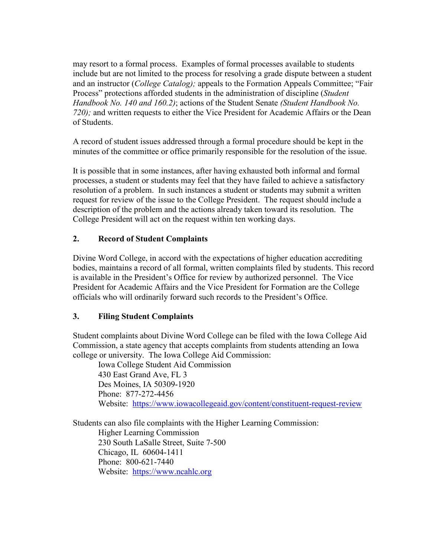may resort to a formal process. Examples of formal processes available to students include but are not limited to the process for resolving a grade dispute between a student and an instructor (*College Catalog);* appeals to the Formation Appeals Committee; "Fair Process" protections afforded students in the administration of discipline (*Student Handbook No. 140 and 160.2)*; actions of the Student Senate *(Student Handbook No. 720);* and written requests to either the Vice President for Academic Affairs or the Dean of Students.

A record of student issues addressed through a formal procedure should be kept in the minutes of the committee or office primarily responsible for the resolution of the issue.

It is possible that in some instances, after having exhausted both informal and formal processes, a student or students may feel that they have failed to achieve a satisfactory resolution of a problem. In such instances a student or students may submit a written request for review of the issue to the College President. The request should include a description of the problem and the actions already taken toward its resolution. The College President will act on the request within ten working days.

#### **2. Record of Student Complaints**

Divine Word College, in accord with the expectations of higher education accrediting bodies, maintains a record of all formal, written complaints filed by students. This record is available in the President's Office for review by authorized personnel. The Vice President for Academic Affairs and the Vice President for Formation are the College officials who will ordinarily forward such records to the President's Office.

#### **3. Filing Student Complaints**

Student complaints about Divine Word College can be filed with the Iowa College Aid Commission, a state agency that accepts complaints from students attending an Iowa college or university. The Iowa College Aid Commission:

Iowa College Student Aid Commission 430 East Grand Ave, FL 3 Des Moines, IA 50309-1920 Phone: 877-272-4456 Website: <https://www.iowacollegeaid.gov/content/constituent-request-review>

Students can also file complaints with the Higher Learning Commission: Higher Learning Commission 230 South LaSalle Street, Suite 7-500 Chicago, IL 60604-1411 Phone: 800-621-7440 Website: [https://www.ncahlc.org](https://www.ncahlc.org/)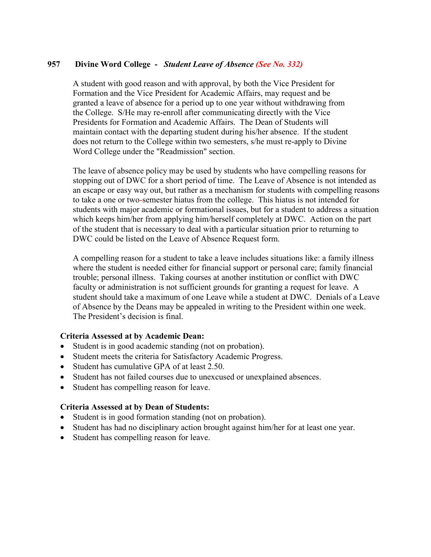#### **957 Divine Word College -** *Student Leave of Absence (See No. 332)*

A student with good reason and with approval, by both the Vice President for Formation and the Vice President for Academic Affairs, may request and be granted a leave of absence for a period up to one year without withdrawing from the College. S/He may re-enroll after communicating directly with the Vice Presidents for Formation and Academic Affairs. The Dean of Students will maintain contact with the departing student during his/her absence. If the student does not return to the College within two semesters, s/he must re-apply to Divine Word College under the "Readmission" section.

The leave of absence policy may be used by students who have compelling reasons for stopping out of DWC for a short period of time. The Leave of Absence is not intended as an escape or easy way out, but rather as a mechanism for students with compelling reasons to take a one or two-semester hiatus from the college. This hiatus is not intended for students with major academic or formational issues, but for a student to address a situation which keeps him/her from applying him/herself completely at DWC. Action on the part of the student that is necessary to deal with a particular situation prior to returning to DWC could be listed on the Leave of Absence Request form.

A compelling reason for a student to take a leave includes situations like: a family illness where the student is needed either for financial support or personal care; family financial trouble; personal illness. Taking courses at another institution or conflict with DWC faculty or administration is not sufficient grounds for granting a request for leave. A student should take a maximum of one Leave while a student at DWC. Denials of a Leave of Absence by the Deans may be appealed in writing to the President within one week. The President's decision is final.

#### **Criteria Assessed at by Academic Dean:**

- Student is in good academic standing (not on probation).
- Student meets the criteria for Satisfactory Academic Progress.
- Student has cumulative GPA of at least 2.50.
- Student has not failed courses due to unexcused or unexplained absences.
- Student has compelling reason for leave.

#### **Criteria Assessed at by Dean of Students:**

- Student is in good formation standing (not on probation).
- Student has had no disciplinary action brought against him/her for at least one year.
- Student has compelling reason for leave.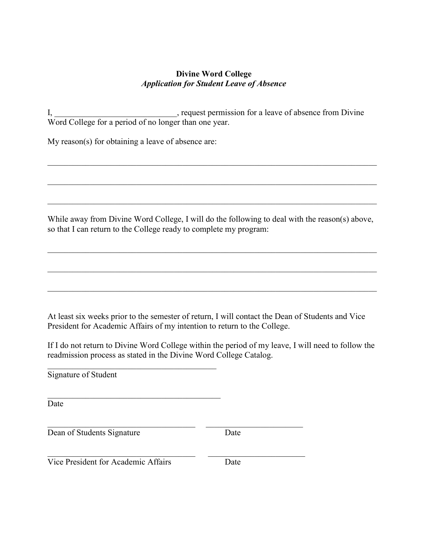### **Divine Word College** *Application for Student Leave of Absence*

I, the equest permission for a leave of absence from Divine Word College for a period of no longer than one year.

My reason(s) for obtaining a leave of absence are:

While away from Divine Word College, I will do the following to deal with the reason(s) above, so that I can return to the College ready to complete my program:

\_\_\_\_\_\_\_\_\_\_\_\_\_\_\_\_\_\_\_\_\_\_\_\_\_\_\_\_\_\_\_\_\_\_\_\_\_\_\_\_\_\_\_\_\_\_\_\_\_\_\_\_\_\_\_\_\_\_\_\_\_\_\_\_\_\_\_\_\_\_\_\_\_\_\_\_\_\_

\_\_\_\_\_\_\_\_\_\_\_\_\_\_\_\_\_\_\_\_\_\_\_\_\_\_\_\_\_\_\_\_\_\_\_\_\_\_\_\_\_\_\_\_\_\_\_\_\_\_\_\_\_\_\_\_\_\_\_\_\_\_\_\_\_\_\_\_\_\_\_\_\_\_\_\_\_\_

 $\mathcal{L}_\mathcal{L} = \{ \mathcal{L}_\mathcal{L} = \{ \mathcal{L}_\mathcal{L} = \{ \mathcal{L}_\mathcal{L} = \{ \mathcal{L}_\mathcal{L} = \{ \mathcal{L}_\mathcal{L} = \{ \mathcal{L}_\mathcal{L} = \{ \mathcal{L}_\mathcal{L} = \{ \mathcal{L}_\mathcal{L} = \{ \mathcal{L}_\mathcal{L} = \{ \mathcal{L}_\mathcal{L} = \{ \mathcal{L}_\mathcal{L} = \{ \mathcal{L}_\mathcal{L} = \{ \mathcal{L}_\mathcal{L} = \{ \mathcal{L}_\mathcal{$ 

\_\_\_\_\_\_\_\_\_\_\_\_\_\_\_\_\_\_\_\_\_\_\_\_\_\_\_\_\_\_\_\_\_\_\_\_\_\_\_\_\_\_\_\_\_\_\_\_\_\_\_\_\_\_\_\_\_\_\_\_\_\_\_\_\_\_\_\_\_\_\_\_\_\_\_\_\_\_

\_\_\_\_\_\_\_\_\_\_\_\_\_\_\_\_\_\_\_\_\_\_\_\_\_\_\_\_\_\_\_\_\_\_\_\_\_\_\_\_\_\_\_\_\_\_\_\_\_\_\_\_\_\_\_\_\_\_\_\_\_\_\_\_\_\_\_\_\_\_\_\_\_\_\_\_\_\_

\_\_\_\_\_\_\_\_\_\_\_\_\_\_\_\_\_\_\_\_\_\_\_\_\_\_\_\_\_\_\_\_\_\_\_\_\_\_\_\_\_\_\_\_\_\_\_\_\_\_\_\_\_\_\_\_\_\_\_\_\_\_\_\_\_\_\_\_\_\_\_\_\_\_\_\_\_\_

At least six weeks prior to the semester of return, I will contact the Dean of Students and Vice President for Academic Affairs of my intention to return to the College.

If I do not return to Divine Word College within the period of my leave, I will need to follow the readmission process as stated in the Divine Word College Catalog.

Signature of Student

Date

Dean of Students Signature Date

\_\_\_\_\_\_\_\_\_\_\_\_\_\_\_\_\_\_\_\_\_\_\_\_\_\_\_\_\_\_\_\_\_\_\_ \_\_\_\_\_\_\_\_\_\_\_\_\_\_\_\_\_\_\_\_\_\_\_ Vice President for Academic Affairs Date

 $\overline{\mathcal{L}}$  , and the state of the state of the state of the state of the state of the state of the state of the state of the state of the state of the state of the state of the state of the state of the state of the stat

 $\overline{\mathcal{L}}$  , and the state of the state of the state of the state of the state of the state of the state of the state of the state of the state of the state of the state of the state of the state of the state of the stat

\_\_\_\_\_\_\_\_\_\_\_\_\_\_\_\_\_\_\_\_\_\_\_\_\_\_\_\_\_\_\_\_\_\_\_ \_\_\_\_\_\_\_\_\_\_\_\_\_\_\_\_\_\_\_\_\_\_\_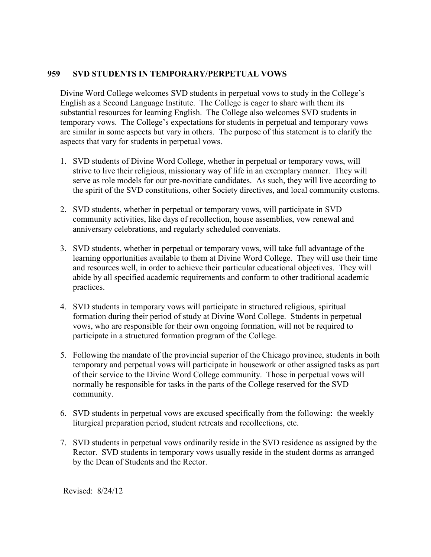#### **959 SVD STUDENTS IN TEMPORARY/PERPETUAL VOWS**

Divine Word College welcomes SVD students in perpetual vows to study in the College's English as a Second Language Institute. The College is eager to share with them its substantial resources for learning English. The College also welcomes SVD students in temporary vows. The College's expectations for students in perpetual and temporary vows are similar in some aspects but vary in others. The purpose of this statement is to clarify the aspects that vary for students in perpetual vows.

- 1. SVD students of Divine Word College, whether in perpetual or temporary vows, will strive to live their religious, missionary way of life in an exemplary manner. They will serve as role models for our pre-novitiate candidates. As such, they will live according to the spirit of the SVD constitutions, other Society directives, and local community customs.
- 2. SVD students, whether in perpetual or temporary vows, will participate in SVD community activities, like days of recollection, house assemblies, vow renewal and anniversary celebrations, and regularly scheduled conveniats.
- 3. SVD students, whether in perpetual or temporary vows, will take full advantage of the learning opportunities available to them at Divine Word College. They will use their time and resources well, in order to achieve their particular educational objectives. They will abide by all specified academic requirements and conform to other traditional academic practices.
- 4. SVD students in temporary vows will participate in structured religious, spiritual formation during their period of study at Divine Word College. Students in perpetual vows, who are responsible for their own ongoing formation, will not be required to participate in a structured formation program of the College.
- 5. Following the mandate of the provincial superior of the Chicago province, students in both temporary and perpetual vows will participate in housework or other assigned tasks as part of their service to the Divine Word College community. Those in perpetual vows will normally be responsible for tasks in the parts of the College reserved for the SVD community.
- 6. SVD students in perpetual vows are excused specifically from the following: the weekly liturgical preparation period, student retreats and recollections, etc.
- 7. SVD students in perpetual vows ordinarily reside in the SVD residence as assigned by the Rector. SVD students in temporary vows usually reside in the student dorms as arranged by the Dean of Students and the Rector.

Revised: 8/24/12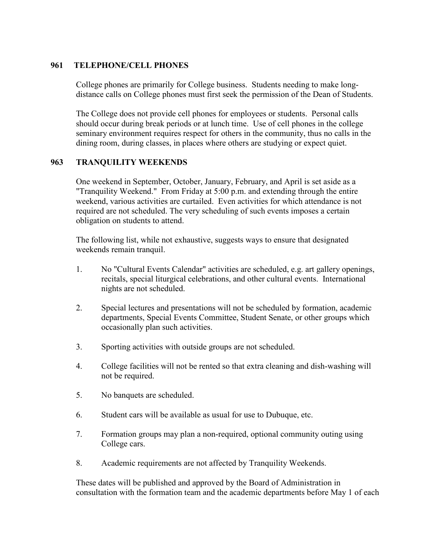#### **961 TELEPHONE/CELL PHONES**

College phones are primarily for College business. Students needing to make longdistance calls on College phones must first seek the permission of the Dean of Students.

The College does not provide cell phones for employees or students. Personal calls should occur during break periods or at lunch time. Use of cell phones in the college seminary environment requires respect for others in the community, thus no calls in the dining room, during classes, in places where others are studying or expect quiet.

#### **963 TRANQUILITY WEEKENDS**

One weekend in September, October, January, February, and April is set aside as a "Tranquility Weekend." From Friday at 5:00 p.m. and extending through the entire weekend, various activities are curtailed. Even activities for which attendance is not required are not scheduled. The very scheduling of such events imposes a certain obligation on students to attend.

The following list, while not exhaustive, suggests ways to ensure that designated weekends remain tranquil.

- 1. No "Cultural Events Calendar" activities are scheduled, e.g. art gallery openings, recitals, special liturgical celebrations, and other cultural events. International nights are not scheduled.
- 2. Special lectures and presentations will not be scheduled by formation, academic departments, Special Events Committee, Student Senate, or other groups which occasionally plan such activities.
- 3. Sporting activities with outside groups are not scheduled.
- 4. College facilities will not be rented so that extra cleaning and dish-washing will not be required.
- 5. No banquets are scheduled.
- 6. Student cars will be available as usual for use to Dubuque, etc.
- 7. Formation groups may plan a non-required, optional community outing using College cars.
- 8. Academic requirements are not affected by Tranquility Weekends.

These dates will be published and approved by the Board of Administration in consultation with the formation team and the academic departments before May 1 of each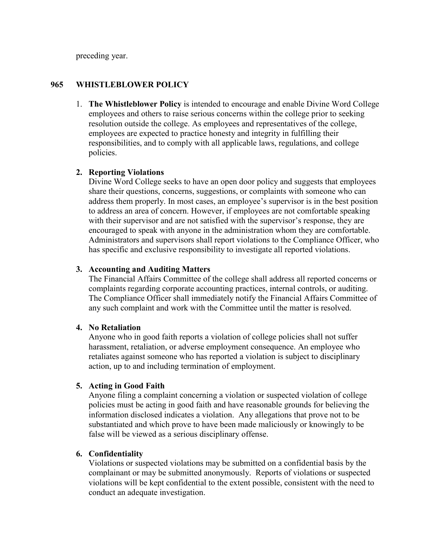preceding year.

#### **965 WHISTLEBLOWER POLICY**

1. **The Whistleblower Policy** is intended to encourage and enable Divine Word College employees and others to raise serious concerns within the college prior to seeking resolution outside the college. As employees and representatives of the college, employees are expected to practice honesty and integrity in fulfilling their responsibilities, and to comply with all applicable laws, regulations, and college policies.

#### **2. Reporting Violations**

 Divine Word College seeks to have an open door policy and suggests that employees share their questions, concerns, suggestions, or complaints with someone who can address them properly. In most cases, an employee's supervisor is in the best position to address an area of concern. However, if employees are not comfortable speaking with their supervisor and are not satisfied with the supervisor's response, they are encouraged to speak with anyone in the administration whom they are comfortable. Administrators and supervisors shall report violations to the Compliance Officer, who has specific and exclusive responsibility to investigate all reported violations.

#### **3. Accounting and Auditing Matters**

The Financial Affairs Committee of the college shall address all reported concerns or complaints regarding corporate accounting practices, internal controls, or auditing. The Compliance Officer shall immediately notify the Financial Affairs Committee of any such complaint and work with the Committee until the matter is resolved.

#### **4. No Retaliation**

Anyone who in good faith reports a violation of college policies shall not suffer harassment, retaliation, or adverse employment consequence. An employee who retaliates against someone who has reported a violation is subject to disciplinary action, up to and including termination of employment.

#### **5. Acting in Good Faith**

Anyone filing a complaint concerning a violation or suspected violation of college policies must be acting in good faith and have reasonable grounds for believing the information disclosed indicates a violation. Any allegations that prove not to be substantiated and which prove to have been made maliciously or knowingly to be false will be viewed as a serious disciplinary offense.

#### **6. Confidentiality**

Violations or suspected violations may be submitted on a confidential basis by the complainant or may be submitted anonymously. Reports of violations or suspected violations will be kept confidential to the extent possible, consistent with the need to conduct an adequate investigation.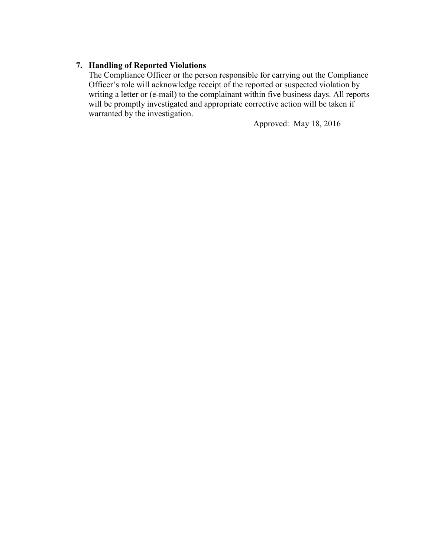### **7. Handling of Reported Violations**

The Compliance Officer or the person responsible for carrying out the Compliance Officer's role will acknowledge receipt of the reported or suspected violation by writing a letter or (e-mail) to the complainant within five business days. All reports will be promptly investigated and appropriate corrective action will be taken if warranted by the investigation.

Approved: May 18, 2016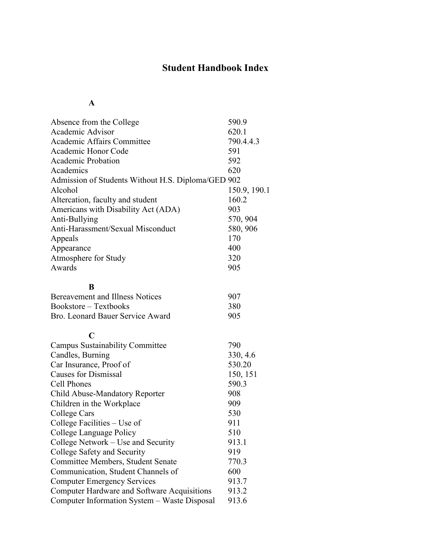# **Student Handbook Index**

# **A**

| Absence from the College                           | 590.9        |
|----------------------------------------------------|--------------|
| Academic Advisor                                   | 620.1        |
| Academic Affairs Committee                         | 790.4.4.3    |
| Academic Honor Code                                | 591          |
| <b>Academic Probation</b>                          | 592          |
| Academics                                          | 620          |
| Admission of Students Without H.S. Diploma/GED 902 |              |
| Alcohol                                            | 150.9, 190.1 |
| Altercation, faculty and student                   | 160.2        |
| Americans with Disability Act (ADA)                | 903          |
| Anti-Bullying                                      | 570, 904     |
| Anti-Harassment/Sexual Misconduct                  | 580, 906     |
| Appeals                                            | 170          |
| Appearance                                         | 400          |
| Atmosphere for Study                               | 320          |
| Awards                                             | 905          |
|                                                    |              |
| B                                                  |              |
| Bereavement and Illness Notices                    | 907          |
| Bookstore – Textbooks                              | 380          |
| Bro. Leonard Bauer Service Award                   | 905          |
| $\mathbf C$                                        |              |
| <b>Campus Sustainability Committee</b>             | 790          |
| Candles, Burning                                   | 330, 4.6     |
| Car Insurance, Proof of                            | 530.20       |
| <b>Causes for Dismissal</b>                        | 150, 151     |
| <b>Cell Phones</b>                                 | 590.3        |
| Child Abuse-Mandatory Reporter                     | 908          |
| Children in the Workplace                          | 909          |
| College Cars                                       | 530          |
| College Facilities – Use of                        | 911          |
| College Language Policy                            | 510          |
| College Network - Use and Security                 | 913.1        |
| College Safety and Security                        | 919          |
| Committee Members, Student Senate                  | 770.3        |
| Communication, Student Channels of                 | 600          |
| <b>Computer Emergency Services</b>                 | 913.7        |
| Computer Hardware and Software Acquisitions        | 913.2        |
| Computer Information System - Waste Disposal       | 913.6        |
|                                                    |              |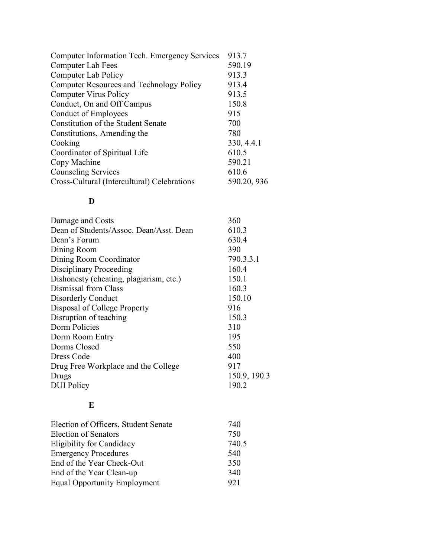| Computer Information Tech. Emergency Services   | 913.7       |
|-------------------------------------------------|-------------|
| Computer Lab Fees                               | 590.19      |
| <b>Computer Lab Policy</b>                      | 913.3       |
| <b>Computer Resources and Technology Policy</b> | 913.4       |
| <b>Computer Virus Policy</b>                    | 913.5       |
| Conduct, On and Off Campus                      | 150.8       |
| <b>Conduct of Employees</b>                     | 915         |
| Constitution of the Student Senate              | 700         |
| Constitutions, Amending the                     | 780         |
| Cooking                                         | 330, 4.4.1  |
| Coordinator of Spiritual Life                   | 610.5       |
| Copy Machine                                    | 590.21      |
| <b>Counseling Services</b>                      | 610.6       |
| Cross-Cultural (Intercultural) Celebrations     | 590.20, 936 |

# **D**

| Damage and Costs                        | 360          |
|-----------------------------------------|--------------|
| Dean of Students/Assoc. Dean/Asst. Dean | 610.3        |
| Dean's Forum                            | 630.4        |
| Dining Room                             | 390          |
| Dining Room Coordinator                 | 790.3.3.1    |
| Disciplinary Proceeding                 | 160.4        |
| Dishonesty (cheating, plagiarism, etc.) | 150.1        |
| Dismissal from Class                    | 160.3        |
| Disorderly Conduct                      | 150.10       |
| Disposal of College Property            | 916          |
| Disruption of teaching                  | 150.3        |
| Dorm Policies                           | 310          |
| Dorm Room Entry                         | 195          |
| Dorms Closed                            | 550          |
| Dress Code                              | 400          |
| Drug Free Workplace and the College     | 917          |
| Drugs                                   | 150.9, 190.3 |
| <b>DUI</b> Policy                       | 190.2        |

# **E**

| 740   |
|-------|
| 750   |
| 740.5 |
| 540   |
| 350   |
| 340   |
| 921   |
|       |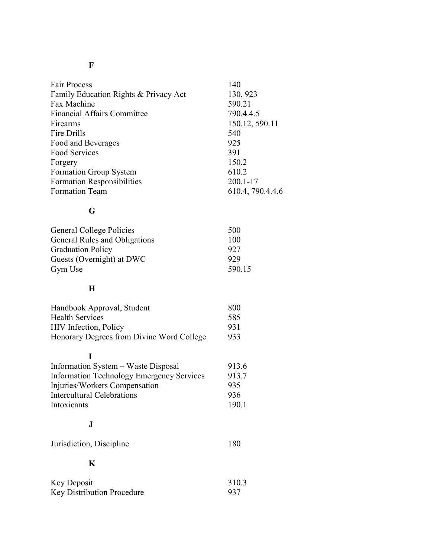# **F**

| 140              |
|------------------|
| 130, 923         |
| 590.21           |
| 790.4.4.5        |
| 150.12, 590.11   |
| 540              |
| 925              |
| 391              |
| 150.2            |
| 610.2            |
| $200.1 - 17$     |
| 610.4, 790.4.4.6 |
|                  |

# **G**

| <b>General College Policies</b> | 500    |
|---------------------------------|--------|
| General Rules and Obligations   | 100    |
| <b>Graduation Policy</b>        | 927    |
| Guests (Overnight) at DWC       | 929    |
| Gym Use                         | 590.15 |

# **H**

| Handbook Approval, Student                | 800 |
|-------------------------------------------|-----|
| <b>Health Services</b>                    | 585 |
| <b>HIV</b> Infection, Policy              | 931 |
| Honorary Degrees from Divine Word College | 933 |

# **I**

| Information System – Waste Disposal              | 913.6 |
|--------------------------------------------------|-------|
| <b>Information Technology Emergency Services</b> | 913.7 |
| Injuries/Workers Compensation                    | 935   |
| <b>Intercultural Celebrations</b>                | 936   |
| Intoxicants                                      | 190.1 |
|                                                  |       |

# **J**

| Jurisdiction, Discipline | 180 |
|--------------------------|-----|
|--------------------------|-----|

# **K**

| Key Deposit                       | 310.3 |
|-----------------------------------|-------|
| <b>Key Distribution Procedure</b> | -937  |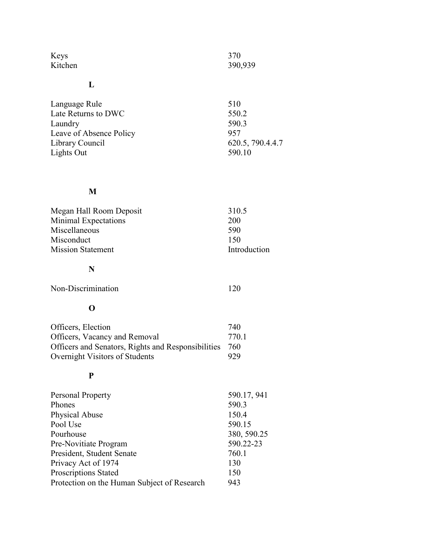| Keys    | 370     |
|---------|---------|
| Kitchen | 390,939 |

## **L**

| Language Rule           | 510              |
|-------------------------|------------------|
| Late Returns to DWC     | 550.2            |
| Laundry                 | 590.3            |
| Leave of Absence Policy | 957              |
| Library Council         | 620.5, 790.4.4.7 |
| Lights Out              | 590.10           |

# **M**

| 310.5        |
|--------------|
| <b>200</b>   |
| 590          |
| 150          |
| Introduction |
|              |

# **N**

**O**

Non-Discrimination 120

| Officers, Election                                 | 740  |
|----------------------------------------------------|------|
| Officers, Vacancy and Removal                      | 7701 |
| Officers and Senators, Rights and Responsibilities | 760  |
| Overnight Visitors of Students                     | 929  |

## **P**

| Personal Property                           | 590.17, 941 |
|---------------------------------------------|-------------|
| Phones                                      | 590.3       |
| <b>Physical Abuse</b>                       | 150.4       |
| Pool Use                                    | 590.15      |
| Pourhouse                                   | 380, 590.25 |
| Pre-Novitiate Program                       | 590.22-23   |
| President, Student Senate                   | 760.1       |
| Privacy Act of 1974                         | 130         |
| Proscriptions Stated                        | 150         |
| Protection on the Human Subject of Research | 943         |
|                                             |             |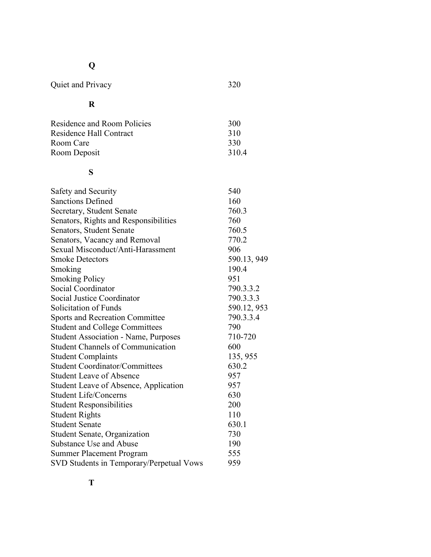# **Q**

Quiet and Privacy 320

# **R**

| Residence and Room Policies | 300   |
|-----------------------------|-------|
| Residence Hall Contract     | 310   |
| Room Care                   | 330   |
| Room Deposit                | 310.4 |

# **S**

| Safety and Security                          | 540         |
|----------------------------------------------|-------------|
| <b>Sanctions Defined</b>                     | 160         |
| Secretary, Student Senate                    | 760.3       |
| Senators, Rights and Responsibilities        | 760         |
| Senators, Student Senate                     | 760.5       |
| Senators, Vacancy and Removal                | 770.2       |
| Sexual Misconduct/Anti-Harassment            | 906         |
| <b>Smoke Detectors</b>                       | 590.13, 949 |
| Smoking                                      | 190.4       |
| <b>Smoking Policy</b>                        | 951         |
| Social Coordinator                           | 790.3.3.2   |
| <b>Social Justice Coordinator</b>            | 790.3.3.3   |
| Solicitation of Funds                        | 590.12, 953 |
| <b>Sports and Recreation Committee</b>       | 790.3.3.4   |
| <b>Student and College Committees</b>        | 790         |
| <b>Student Association - Name, Purposes</b>  | 710-720     |
| <b>Student Channels of Communication</b>     | 600         |
| <b>Student Complaints</b>                    | 135, 955    |
| <b>Student Coordinator/Committees</b>        | 630.2       |
| <b>Student Leave of Absence</b>              | 957         |
| <b>Student Leave of Absence, Application</b> | 957         |
| <b>Student Life/Concerns</b>                 | 630         |
| <b>Student Responsibilities</b>              | 200         |
| <b>Student Rights</b>                        | 110         |
| <b>Student Senate</b>                        | 630.1       |
| <b>Student Senate, Organization</b>          | 730         |
| Substance Use and Abuse                      | 190         |
| <b>Summer Placement Program</b>              | 555         |
| SVD Students in Temporary/Perpetual Vows     | 959         |
|                                              |             |